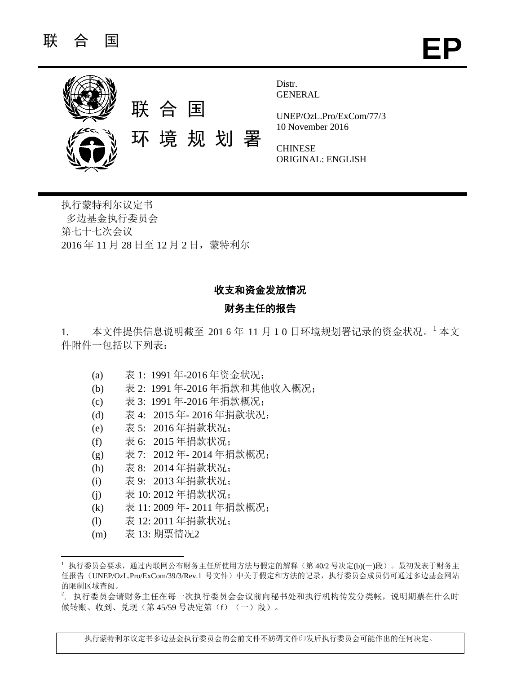

Distr. **GENERAL** 

UNEP/OzL.Pro/ExCom/77/3 10 November 2016

**CHINESE** ORIGINAL: ENGLISH

执行蒙特利尔议定书 多边基金执行委员会 第七十七次会议 2016 年 11 月 28 日至 12 月 2 日,蒙特利尔

# 收支和资金发放情况

# 财务主任的报告

1. 本文件提供信息说明截至 2016年 11月 10日环境规划署记录的资金状况。 本文 件附件一包括以下列表:

- (a) 表 1: 1991 年-2016 年资金状况;
- (b) 表 2: 1991 年-2016 年捐款和其他收入概况;
- (c) 表 3: 1991 年-2016 年捐款概况;
- (d) 表 4: 2015 年- 2016 年捐款状况;
- (e) 表 5: 2016 年捐款状况;
- (f) 表 6: 2015 年捐款状况;
- (g) 表 7: 2012 年- 2014 年捐款概况;
- (h) 表 8: 2014 年捐款状况;
- (i) 表 9: 2013 年捐款状况;
- (j) 表 10: 2012 年捐款状况;
- (k) 表 11: 2009 年- 2011 年捐款概况;
- (l) 表 12: 2011 年捐款状况;
- (m) 表 13: 期票情况2

 $\overline{a}$ 

执行蒙特利尔议定书多边基金执行委员会的会前文件不妨碍文件印发后执行委员会可能作出的任何决定。

<sup>1</sup> 执行委员会要求,通过内联网公布财务主任所使用方法与假定的解释(第 40/2 号决定(b)(一)段)。最初发表于财务主 任报告(UNEP/OzL.Pro/ExCom/39/3/Rev.1 号文件)中关于假定和方法的记录,执行委员会成员仍可通过多边基金网站 的限制区域查阅。

<sup>&</sup>lt;sup>2</sup>. 执行委员会请财务主任在每一次执行委员会会议前向秘书处和执行机构传发分类帐, 说明期票在什么时 候转账、收到、兑现(第 45/59号决定第(f)(一)段)。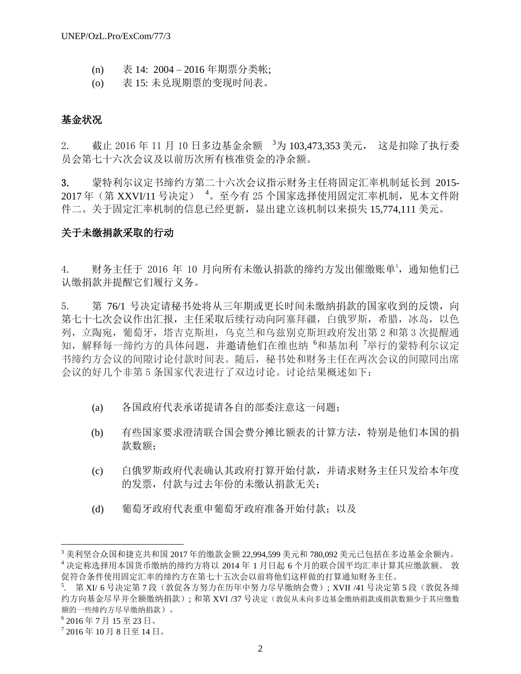- (n) 表 14: 2004 2016 年期票分类帐;
- (o) 表 15: 未兑现期票的变现时间表。

## 基金状况

2. 截止 2016 年 11 月 10 日多边基金余额 <sup>3</sup>为 103,473,353 美元, 这是扣除了执行委 员会第七十六次会议及以前历次所有核准资金的净余额。

3. 蒙特利尔议定书缔约方第二十六次会议指示财务主任将固定汇率机制延长到 2015- 2017 年(第 XXVI/11 号决定) <sup>4</sup>。至今有 25 个国家选择使用固定汇率机制,见本文件附 件二。关于固定汇率机制的信息已经更新,显出建立该机制以来损失 15,774,111 美元。

## 关于未缴捐款采取的行动

4. 财务主任于 2016 年 10 月向所有未缴认捐款的缔约方发出催缴账单5, 通知他们已 认缴捐款并提醒它们履行义务。

5. 第 76/1 号决定请秘书处将从三年期或更长时间未缴纳捐款的国家收到的反馈,向 第七十七次会议作出汇报,主任采取后续行动向阿塞拜疆,白俄罗斯,希腊,冰岛,以色 列,立陶宛,葡萄牙,塔吉克斯坦,乌克兰和乌兹别克斯坦政府发出第 2 和第 3 次提醒通 知, 解释每一缔约方的具体问题, 并激请他们在维也纳 <sup>6</sup>和基加利 <sup>7</sup>举行的蒙特利尔议定 书缔约方会议的间隙讨论付款时间表。随后,秘书处和财务主任在两次会议的间隙同出席 会议的好几个非第 5 条国家代表进行了双边讨论。讨论结果概述如下:

- (a) 各国政府代表承诺提请各自的部委注意这一问题;
- (b) 有些国家要求澄清联合国会费分摊比额表的计算方法,特别是他们本国的捐 款数额:
- (c) 白俄罗斯政府代表确认其政府打算开始付款,并请求财务主任只发给本年度 的发票,付款与过去年份的未缴认捐款无关;
- (d) 葡萄牙政府代表重申葡萄牙政府准备开始付款;以及

l

<sup>3</sup> 美利坚合众国和捷克共和国 2017 年的缴款金额 22,994,599 美元和 780,092 美元已包括在多边基金余额内。 <sup>4</sup> 决定称选择用本国货币缴纳的缔约方将以 2014 年 1 月日起 6 个月的联合国平均汇率计算其应缴款额。 敦 促符合条件使用固定汇率的缔约方在第七十五次会以前将他们这样做的打算通知财务主任。

<sup>5.</sup> 第 XI/ 6 号决定第 7 段 (敦促各方努力在历年中努力尽早缴纳会费); XVII /41 号决定第 5 段 (敦促各缔 约方向基金尽早并全额缴纳捐款); 和第 XVI /37 号决定(敦促从未向多边基金缴纳捐款或捐款数额少于其应缴数 额的一些缔约方尽早缴纳捐款)。

<sup>6</sup> 2016 年 7 月 15 至 23 日。

<sup>7</sup> 2016 年 10 月 8 日至 14 日。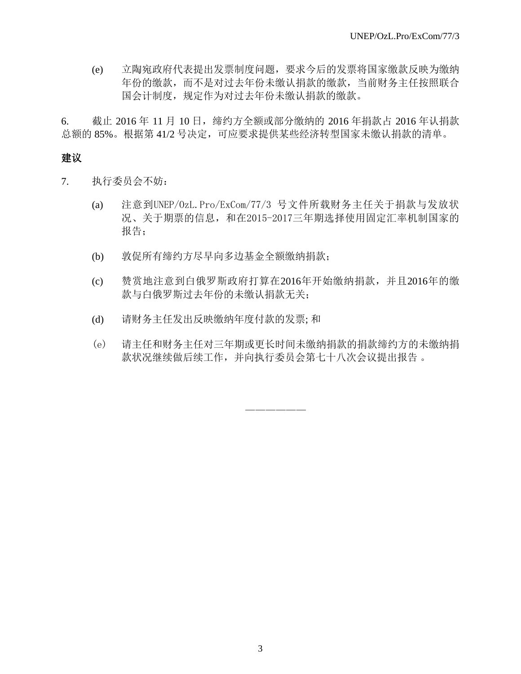(e) 立陶宛政府代表提出发票制度问题,要求今后的发票将国家缴款反映为缴纳 年份的缴款,而不是对过去年份未缴认捐款的缴款,当前财务主任按照联合 国会计制度,规定作为对过去年份未缴认捐款的缴款。

6. 截止 2016 年 11 月 10 日,缔约方全额或部分缴纳的 2016 年捐款占 2016 年认捐款 总额的 85%。根据第 41/2 号决定,可应要求提供某些经济转型国家未缴认捐款的清单。

## 建议

- 7. 执行委员会不妨:
	- (a) 注意到UNEP/OzL.Pro/ExCom/77/3 号文件所载财务主任关于捐款与发放状 况、关于期票的信息,和在2015-2017三年期选择使用固定汇率机制国家的 报告;
	- (b) 敦促所有缔约方尽早向多边基金全额缴纳捐款;
	- (c) 赞赏地注意到白俄罗斯政府打算在2016年开始缴纳捐款,并且2016年的缴 款与白俄罗斯过去年份的未缴认捐款无关;
	- (d) 请财务主任发出反映缴纳年度付款的发票; 和
	- (e) 请主任和财务主任对三年期或更长时间未缴纳捐款的捐款缔约方的未缴纳捐 款状况继续做后续工作,并向执行委员会第七十八次会议提出报告 。

——————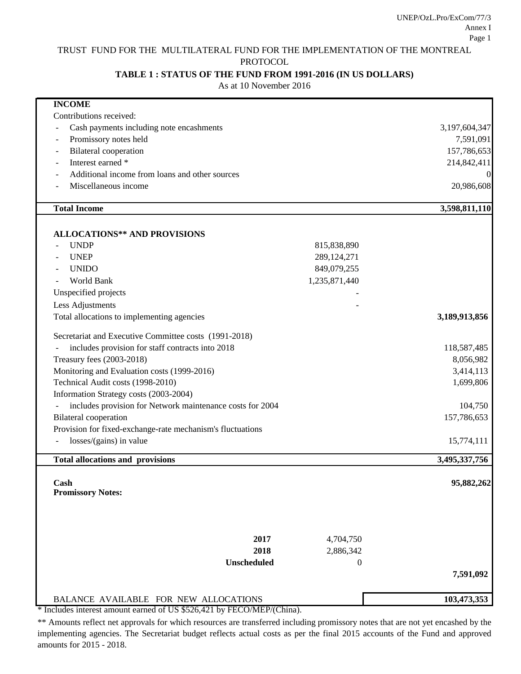UNEP/OzL.Pro/ExCom/77/3 Annex I Page 1

## TRUST FUND FOR THE MULTILATERAL FUND FOR THE IMPLEMENTATION OF THE MONTREAL

PROTOCOL

## **TABLE 1 : STATUS OF THE FUND FROM 1991-2016 (IN US DOLLARS)**

As at 10 November 2016

| <b>INCOME</b>                                              |                  |                |
|------------------------------------------------------------|------------------|----------------|
| Contributions received:                                    |                  |                |
| Cash payments including note encashments                   |                  | 3,197,604,347  |
| Promissory notes held                                      |                  | 7,591,091      |
| <b>Bilateral</b> cooperation                               |                  | 157,786,653    |
| Interest earned *                                          |                  | 214,842,411    |
| Additional income from loans and other sources             |                  | $\overline{0}$ |
| Miscellaneous income                                       |                  | 20,986,608     |
| <b>Total Income</b>                                        |                  | 3,598,811,110  |
|                                                            |                  |                |
| <b>ALLOCATIONS** AND PROVISIONS</b>                        |                  |                |
| <b>UNDP</b>                                                | 815,838,890      |                |
| <b>UNEP</b>                                                | 289,124,271      |                |
| <b>UNIDO</b>                                               | 849,079,255      |                |
| World Bank                                                 | 1,235,871,440    |                |
| Unspecified projects                                       |                  |                |
| Less Adjustments                                           |                  |                |
| Total allocations to implementing agencies                 |                  | 3,189,913,856  |
| Secretariat and Executive Committee costs (1991-2018)      |                  |                |
| includes provision for staff contracts into 2018           |                  | 118,587,485    |
| Treasury fees (2003-2018)                                  |                  | 8,056,982      |
| Monitoring and Evaluation costs (1999-2016)                |                  | 3,414,113      |
| Technical Audit costs (1998-2010)                          |                  | 1,699,806      |
| Information Strategy costs (2003-2004)                     |                  |                |
| includes provision for Network maintenance costs for 2004  |                  | 104,750        |
| <b>Bilateral</b> cooperation                               |                  | 157,786,653    |
| Provision for fixed-exchange-rate mechanism's fluctuations |                  |                |
| losses/(gains) in value                                    |                  | 15,774,111     |
| <b>Total allocations and provisions</b>                    |                  | 3,495,337,756  |
| Cash                                                       |                  | 95,882,262     |
| <b>Promissory Notes:</b>                                   |                  |                |
|                                                            |                  |                |
| 2017                                                       | 4,704,750        |                |
| 2018                                                       | 2,886,342        |                |
| <b>Unscheduled</b>                                         | $\boldsymbol{0}$ |                |
|                                                            |                  | 7,591,092      |
|                                                            |                  |                |
| BALANCE AVAILABLE FOR NEW ALLOCATIONS                      |                  | 103,473,353    |

\* Includes interest amount earned of US \$526,421 by FECO/MEP/(China).

\*\* Amounts reflect net approvals for which resources are transferred including promissory notes that are not yet encashed by the implementing agencies. The Secretariat budget reflects actual costs as per the final 2015 accounts of the Fund and approved amounts for 2015 - 2018.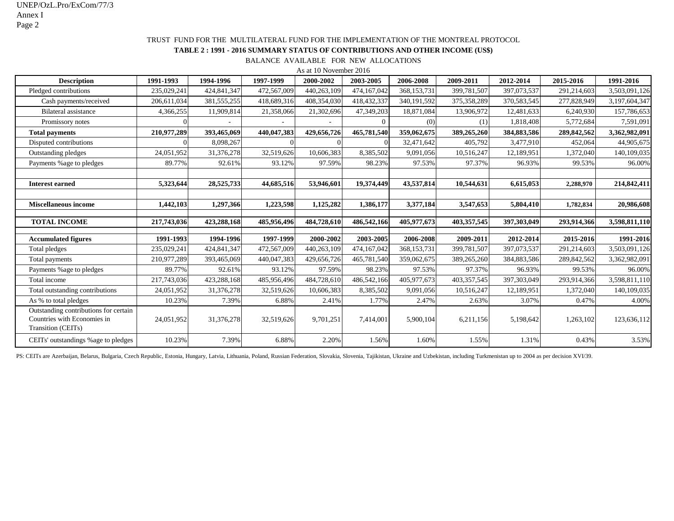UNEP/OzL.Pro/ExCom/77/3 Annex I Page 2

## TRUST FUND FOR THE MULTILATERAL FUND FOR THE IMPLEMENTATION OF THE MONTREAL PROTOCOL

### **TABLE 2 : 1991 - 2016 SUMMARY STATUS OF CONTRIBUTIONS AND OTHER INCOME (US\$)**

BALANCE AVAILABLE FOR NEW ALLOCATIONS

As at 10 November 2016

| <b>Description</b>                                                                         | 1991-1993   | 1994-1996     | 1997-1999   | 2000-2002   | 2003-2005   | 2006-2008   | 2009-2011   | 2012-2014   | 2015-2016   | 1991-2016     |
|--------------------------------------------------------------------------------------------|-------------|---------------|-------------|-------------|-------------|-------------|-------------|-------------|-------------|---------------|
| Pledged contributions                                                                      | 235,029,241 | 424,841,347   | 472,567,009 | 440,263,109 | 474,167,042 | 368,153,731 | 399,781,507 | 397,073,537 | 291,214,603 | 3,503,091,126 |
| Cash payments/received                                                                     | 206,611,034 | 381, 555, 255 | 418,689,316 | 408,354,030 | 418,432,337 | 340,191,592 | 375,358,289 | 370,583,545 | 277,828,949 | 3,197,604,347 |
| Bilateral assistance                                                                       | 4,366,255   | 11,909,814    | 21,358,066  | 21,302,696  | 47,349,203  | 18,871,084  | 13,906,972  | 12,481,633  | 6,240,930   | 157,786,653   |
| Promissory notes                                                                           |             |               |             |             |             | (0)         | (1)         | 1,818,408   | 5,772,684   | 7,591,091     |
| <b>Total payments</b>                                                                      | 210,977,289 | 393,465,069   | 440,047,383 | 429,656,726 | 465,781,540 | 359,062,675 | 389,265,260 | 384,883,586 | 289,842,562 | 3,362,982,091 |
| Disputed contributions                                                                     |             | 8,098,267     |             |             |             | 32,471,642  | 405,792     | 3,477,910   | 452,064     | 44,905,675    |
| Outstanding pledges                                                                        | 24,051,952  | 31,376,278    | 32,519,626  | 10,606,383  | 8,385,502   | 9,091,056   | 10,516,247  | 12,189,951  | 1,372,040   | 140,109,035   |
| Payments % age to pledges                                                                  | 89.77%      | 92.61%        | 93.12%      | 97.59%      | 98.23%      | 97.53%      | 97.37%      | 96.93%      | 99.53%      | 96.00%        |
|                                                                                            |             |               |             |             |             |             |             |             |             |               |
| <b>Interest earned</b>                                                                     | 5,323,644   | 28,525,733    | 44,685,516  | 53,946,601  | 19,374,449  | 43,537,814  | 10,544,631  | 6,615,053   | 2,288,970   | 214,842,411   |
|                                                                                            |             |               |             |             |             |             |             |             |             |               |
| <b>Miscellaneous income</b>                                                                | 1,442,103   | 1,297,366     | 1,223,598   | 1,125,282   | 1,386,177   | 3,377,184   | 3,547,653   | 5,804,410   | 1,782,834   | 20,986,608    |
|                                                                                            |             |               |             |             |             |             |             |             |             |               |
| <b>TOTAL INCOME</b>                                                                        | 217,743,036 | 423,288,168   | 485,956,496 | 484,728,610 | 486,542,166 | 405,977,673 | 403,357,545 | 397,303,049 | 293,914,366 | 3,598,811,110 |
| <b>Accumulated figures</b>                                                                 | 1991-1993   | 1994-1996     | 1997-1999   | 2000-2002   | 2003-2005   | 2006-2008   | 2009-2011   | 2012-2014   | 2015-2016   | 1991-2016     |
| Total pledges                                                                              | 235,029,241 | 424,841,347   | 472,567,009 | 440,263,109 | 474,167,042 | 368,153,731 | 399,781,507 | 397,073,537 | 291,214,603 | 3,503,091,126 |
| Total payments                                                                             | 210,977,289 | 393,465,069   | 440,047,383 | 429,656,726 | 465,781,540 | 359,062,675 | 389,265,260 | 384,883,586 | 289,842,562 | 3,362,982,091 |
| Payments % age to pledges                                                                  | 89.77%      | 92.61%        | 93.12%      | 97.59%      | 98.23%      | 97.53%      | 97.37%      | 96.93%      | 99.53%      | 96.00%        |
| Total income                                                                               | 217,743,036 | 423,288,168   | 485,956,496 | 484,728,610 | 486,542,166 | 405,977,673 | 403,357,545 | 397,303,049 | 293,914,366 | 3,598,811,110 |
| Total outstanding contributions                                                            | 24,051,952  | 31,376,278    | 32,519,626  | 10,606,383  | 8,385,502   | 9,091,056   | 10,516,247  | 12,189,951  | 1,372,040   | 140,109,035   |
| As % to total pledges                                                                      | 10.23%      | 7.39%         | 6.88%       | 2.41%       | 1.77%       | 2.47%       | 2.63%       | 3.07%       | 0.47%       | 4.00%         |
| Outstanding contributions for certain<br>Countries with Economies in<br>Transition (CEITs) | 24,051,952  | 31,376,278    | 32,519,626  | 9,701,251   | 7,414,001   | 5,900,104   | 6,211,156   | 5,198,642   | 1,263,102   | 123,636,112   |
| CEITs' outstandings % age to pledges                                                       | 10.23%      | 7.39%         | 6.88%       | 2.20%       | 1.56%       | 1.60%       | 1.55%       | 1.31%       | 0.43%       | 3.53%         |

PS: CEITs are Azerbaijan, Belarus, Bulgaria, Czech Republic, Estonia, Hungary, Latvia, Lithuania, Poland, Russian Federation, Slovakia, Slovenia, Tajikistan, Ukraine and Uzbekistan, including Turkmenistan up to 2004 as per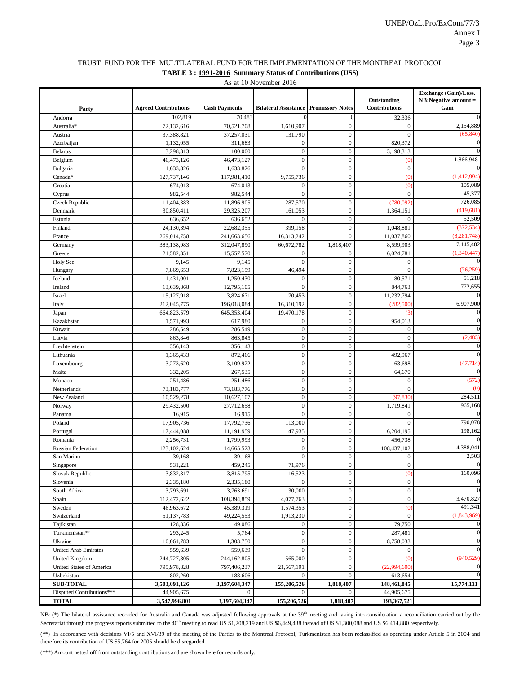### TRUST FUND FOR THE MULTILATERAL FUND FOR THE IMPLEMENTATION OF THE MONTREAL PROTOCOL **TABLE 3 : 1991-2016 Summary Status of Contributions (US\$)**

As at 10 November 2016

| Party                                         | <b>Agreed Contributions</b> | <b>Cash Payments</b>   | <b>Bilateral Assistance Promissory Notes</b> |                                  | Outstanding<br>Contributions | Exchange (Gain)/Loss.<br>$NB: Negative amount =$<br>Gain |
|-----------------------------------------------|-----------------------------|------------------------|----------------------------------------------|----------------------------------|------------------------------|----------------------------------------------------------|
| Andorra                                       | 102,819                     | 70,483                 |                                              | $\mathbf{0}$                     | 32,336                       |                                                          |
| Australia*                                    | 72,132,616                  | 70,521,708             | 1,610,907                                    | $\boldsymbol{0}$                 | $\boldsymbol{0}$             | 2,154,889                                                |
| Austria                                       | 37,388,821                  | 37,257,031             | 131,790                                      | $\mathbf{0}$                     | $\boldsymbol{0}$             | (65, 840)                                                |
| Azerbaijan                                    | 1,132,055                   | 311,683                | $\boldsymbol{0}$                             | $\overline{0}$                   | 820,372                      |                                                          |
| <b>Belarus</b>                                | 3,298,313                   | 100,000                | $\boldsymbol{0}$                             | $\mathbf{0}$                     | 3,198,313                    |                                                          |
| Belgium                                       | 46,473,126                  | 46,473,127             | $\boldsymbol{0}$                             | $\mathbf{0}$                     | (0)                          | 1,866,948                                                |
| Bulgaria                                      | 1,633,826                   | 1,633,826              | $\overline{0}$                               | $\mathbf{0}$                     | $\overline{0}$               |                                                          |
| Canada*                                       | 127,737,146                 | 117,981,410            | 9,755,736                                    | $\mathbf{0}$                     | (0)                          | (1,412,994)                                              |
| Croatia                                       | 674,013                     | 674,013                | $\boldsymbol{0}$                             | $\mathbf{0}$                     | (0)                          | 105,089                                                  |
| Cyprus                                        | 982,544                     | 982,544                | $\overline{0}$                               | $\overline{0}$                   | $\mathbf{0}$                 | 45,377                                                   |
| Czech Republic                                | 11,404,383                  | 11,896,905             | 287,570                                      | $\mathbf{0}$                     | (780,092)                    | 726,085                                                  |
| Denmark                                       | 30,850,411                  | 29,325,207             | 161,053                                      | $\boldsymbol{0}$                 | 1,364,151                    | (419, 681)                                               |
| Estonia                                       | 636,652                     | 636,652                | $\theta$                                     | $\overline{0}$                   | $\mathbf{0}$                 | 52,509                                                   |
| Finland                                       | 24,130,394                  | 22,682,355             | 399,158                                      | $\mathbf{0}$                     | 1,048,881                    | (372, 534)                                               |
| France                                        | 269,014,758                 | 241,663,656            | 16,313,242                                   | $\mathbf{0}$                     | 11,037,860                   | (8, 281, 748)                                            |
| Germany                                       | 383,138,983                 | 312,047,890            | 60,672,782                                   | 1,818,407                        | 8,599,903                    | 7,145,482                                                |
| Greece                                        | 21,582,351                  | 15,557,570             | $\boldsymbol{0}$                             | $\boldsymbol{0}$                 | 6,024,781                    | (1,340,447)                                              |
| <b>Holy See</b>                               | 9,145                       | 9,145                  | $\mathbf{0}$                                 | $\boldsymbol{0}$                 | $\boldsymbol{0}$             |                                                          |
| Hungary                                       | 7,869,653                   | 7,823,159              | 46,494                                       | $\overline{0}$                   | $\overline{0}$               | (76, 259)                                                |
| Iceland                                       | 1,431,001                   | 1,250,430              | $\boldsymbol{0}$                             | $\boldsymbol{0}$                 | 180,571                      | 51,218                                                   |
| Ireland                                       | 13,639,868                  | 12,795,105             | $\mathbf{0}$                                 | $\mathbf 0$                      | 844,763                      | 772,655                                                  |
| Israel                                        | 15,127,918                  | 3,824,671              | 70,453                                       | $\overline{0}$                   | 11,232,794                   |                                                          |
| Italy                                         | 212,045,775                 | 196,018,084            | 16,310,192                                   | $\mathbf{0}$                     | (282, 500)                   | 6,907,900                                                |
| Japan                                         | 664,823,579                 | 645,353,404            | 19,470,178                                   | $\mathbf 0$                      | (3)                          |                                                          |
| Kazakhstan                                    | 1,571,993                   | 617,980                | $\boldsymbol{0}$                             | $\overline{0}$                   | 954,013                      |                                                          |
| Kuwait                                        | 286,549                     | 286,549                | $\boldsymbol{0}$                             | $\boldsymbol{0}$                 | $\boldsymbol{0}$             |                                                          |
| Latvia                                        | 863,846                     | 863,845                | $\boldsymbol{0}$                             | $\boldsymbol{0}$                 | $\boldsymbol{0}$             | (2, 483)                                                 |
| Liechtenstein                                 | 356,143                     | 356,143                | $\mathbf{0}$                                 | $\overline{0}$                   | $\overline{0}$               |                                                          |
| Lithuania                                     | 1,365,433                   | 872,466                | $\boldsymbol{0}$                             | $\boldsymbol{0}$                 | 492,967                      |                                                          |
| Luxembourg                                    | 3,273,620                   | 3,109,922              | $\boldsymbol{0}$                             | $\mathbf{0}$                     | 163,698                      | (47, 714)                                                |
| Malta                                         | 332,205                     | 267,535                | $\boldsymbol{0}$                             | $\overline{0}$                   | 64,670                       |                                                          |
| Monaco                                        | 251,486                     | 251,486                | $\mathbf{0}$                                 | $\boldsymbol{0}$                 | $\boldsymbol{0}$             | (572)                                                    |
| Netherlands                                   | 73,183,777                  | 73,183,776             | $\boldsymbol{0}$                             | $\mathbf{0}$                     | $\mathbf{0}$                 | $\omega$                                                 |
| New Zealand                                   | 10,529,278                  | 10,627,107             | $\boldsymbol{0}$                             | $\overline{0}$                   | (97, 830)                    | 284,511                                                  |
| Norway                                        | 29,432,500                  | 27,712,658             | $\mathbf{0}$                                 | $\boldsymbol{0}$                 | 1,719,841                    | 965,168                                                  |
| Panama                                        | 16,915                      | 16,915                 | $\overline{0}$                               | $\mathbf{0}$                     | $\theta$                     |                                                          |
| Poland                                        | 17,905,736                  | 17,792,736             | 113,000                                      | $\overline{0}$                   | $\mathbf{0}$                 | 790,078                                                  |
| Portugal                                      | 17,444,088                  | 11,191,959             | 47,935                                       | $\boldsymbol{0}$                 | 6,204,195                    | 198,162                                                  |
| Romania                                       | 2,256,731                   | 1,799,993              | $\boldsymbol{0}$                             | $\mathbf{0}$                     | 456,738                      |                                                          |
| <b>Russian Federation</b>                     | 123,102,624                 | 14,665,523             | $\boldsymbol{0}$                             | $\overline{0}$                   | 108,437,102                  | 4,388,041                                                |
| San Marino                                    | 39,168                      | 39,168                 | $\overline{0}$                               | $\boldsymbol{0}$                 | $\boldsymbol{0}$             | 2,503                                                    |
| Singapore                                     | 531,221                     | 459,245                | 71,976                                       | $\boldsymbol{0}$                 | $\boldsymbol{0}$             |                                                          |
| Slovak Republic                               | 3,832,317                   | 3,815,795              | 16,523                                       | $\boldsymbol{0}$                 | (0)                          | 160,096                                                  |
| Slovenia                                      | 2,335,180                   | 2,335,180              | $\overline{0}$                               | $\boldsymbol{0}$                 | $\boldsymbol{0}$             |                                                          |
| South Africa                                  | 3,793,691                   | 3,763,691              | 30,000                                       | $\mathbf{0}$                     | $\boldsymbol{0}$             |                                                          |
| Spain                                         | 112,472,622                 | 108,394,859            | 4,077,763                                    | $\boldsymbol{0}$                 | $\boldsymbol{0}$             | 3,470,827                                                |
| Sweden                                        | 46,963,672                  | 45,389,319             | 1,574,353                                    | $\boldsymbol{0}$                 | (0)                          | 491,341                                                  |
| Switzerland                                   | 51,137,783                  | 49,224,553             | 1,913,230                                    | $\boldsymbol{0}$                 | $\boldsymbol{0}$             | (1,843,969)                                              |
| Tajikistan<br>Turkmenistan**                  | 128,836                     | 49,086                 | $\mathbf{0}$                                 | $\boldsymbol{0}$                 | 79,750                       |                                                          |
| Ukraine                                       | 293,245<br>10,061,783       | 5,764<br>1,303,750     | $\boldsymbol{0}$<br>$\boldsymbol{0}$         | $\boldsymbol{0}$<br>$\mathbf{0}$ | 287,481<br>8,758,033         |                                                          |
|                                               |                             |                        | $\mathbf{0}$                                 | $\boldsymbol{0}$                 |                              |                                                          |
| <b>United Arab Emirates</b><br>United Kingdom | 559,639                     | 559,639<br>244,162,805 | 565,000                                      | $\boldsymbol{0}$                 | $\boldsymbol{0}$<br>(0)      | (940, 529)                                               |
|                                               | 244,727,805                 | 797,406,237            |                                              | $\boldsymbol{0}$                 | (22,994,600)                 |                                                          |
| United States of America<br>Uzbekistan        | 795,978,828<br>802,260      | 188,606                | 21,567,191<br>$\boldsymbol{0}$               | $\overline{0}$                   | 613,654                      |                                                          |
| <b>SUB-TOTAL</b>                              | 3,503,091,126               | 3,197,604,347          | 155,206,526                                  | 1,818,407                        | 148,461,845                  | 15,774,111                                               |
| Disputed Contributions***                     | 44,905,675                  | $\mathbf{0}$           | $\mathbf{0}$                                 | $\overline{0}$                   | 44,905,675                   |                                                          |
| <b>TOTAL</b>                                  | 3,547,996,801               | 3,197,604,347          | 155,206,526                                  | 1,818,407                        | 193,367,521                  |                                                          |
|                                               |                             |                        |                                              |                                  |                              |                                                          |

NB: (\*) The bilateral assistance recorded for Australia and Canada was adjusted following approvals at the 39<sup>th</sup> meeting and taking into consideration a reconciliation carried out by the Secretariat through the progress reports submitted to the 40<sup>th</sup> meeting to read US \$1,208,219 and US \$6,449,438 instead of US \$1,300,088 and US \$6,414,880 respectively.

(\*\*) In accordance with decisions VI/5 and XVI/39 of the meeting of the Parties to the Montreal Protocol, Turkmenistan has been reclassified as operating under Article 5 in 2004 and therefore its contribution of US \$5,764 for 2005 should be disregarded.

(\*\*\*) Amount netted off from outstanding contributions and are shown here for records only.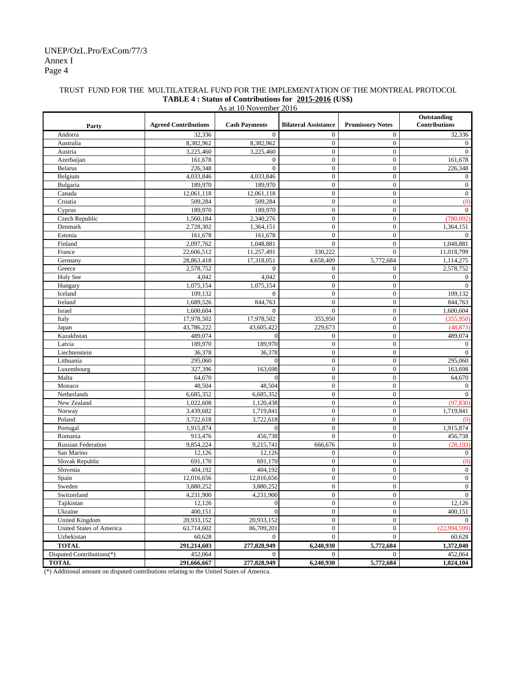## Annex I Page 4 UNEP/OzL.Pro/ExCom/77/3

## TRUST FUND FOR THE MULTILATERAL FUND FOR THE IMPLEMENTATION OF THE MONTREAL PROTOCOL **TABLE 4 : Status of Contributions for 2015-2016 (US\$)**

|                                                          | As at 10 November 2016      |                      |                             |                         |                              |  |  |  |
|----------------------------------------------------------|-----------------------------|----------------------|-----------------------------|-------------------------|------------------------------|--|--|--|
| Party                                                    | <b>Agreed Contributions</b> | <b>Cash Payments</b> | <b>Bilateral Assistance</b> | <b>Promissory Notes</b> | Outstanding<br>Contributions |  |  |  |
| Andorra                                                  | 32,336                      | $\theta$             | $\mathbf{0}$                | $\mathbf{0}$            | 32,336                       |  |  |  |
| Australia                                                | 8,382,962                   | 8,382,962            | $\boldsymbol{0}$            | $\mathbf{0}$            | $\overline{0}$               |  |  |  |
| Austria                                                  | 3,225,460                   | 3,225,460            | $\boldsymbol{0}$            | $\mathbf{0}$            | $\Omega$                     |  |  |  |
| Azerbaijan                                               | 161,678                     | $\boldsymbol{0}$     | $\overline{0}$              | $\mathbf{0}$            | 161.678                      |  |  |  |
| <b>Belarus</b>                                           | 226,348                     | $\mathbf{0}$         | $\mathbf{0}$                | $\mathbf{0}$            | 226,348                      |  |  |  |
| Belgium                                                  | 4,033,846                   | 4,033,846            | $\boldsymbol{0}$            | $\overline{0}$          | $\boldsymbol{0}$             |  |  |  |
| Bulgaria                                                 | 189,970                     | 189,970              | $\boldsymbol{0}$            | $\mathbf{0}$            | $\mathbf{0}$                 |  |  |  |
| Canada                                                   | 12,061,118                  | 12,061,118           | $\mathbf{0}$                | $\mathbf{0}$            | $\mathbf{0}$                 |  |  |  |
| Croatia                                                  | 509,284                     | 509,284              | $\boldsymbol{0}$            | $\mathbf{0}$            | (0)                          |  |  |  |
| Cyprus                                                   | 189,970                     | 189.970              | $\boldsymbol{0}$            | $\mathbf{0}$            | $\overline{0}$               |  |  |  |
| Czech Republic                                           | 1,560,184                   | 2,340,276            | $\boldsymbol{0}$            | $\mathbf{0}$            | (780,092)                    |  |  |  |
| Denmark                                                  | 2,728,302                   | 1,364,151            | $\mathbf{0}$                | $\mathbf{0}$            | 1,364,151                    |  |  |  |
| Estonia                                                  | 161,678                     | 161,678              | $\mathbf{0}$                | $\mathbf{0}$            | $\overline{0}$               |  |  |  |
| Finland                                                  | 2,097,762                   | 1,048,881            | $\boldsymbol{0}$            | $\mathbf{0}$            | 1,048,881                    |  |  |  |
| France                                                   | 22,606,512                  | 11,257,491           | 330,222                     | $\theta$                | 11,018,799                   |  |  |  |
| Germany                                                  | 28,863,418                  | 17,318,051           | 4,658,409                   | 5,772,684               | 1,114,275                    |  |  |  |
| Greece                                                   | 2,578,752                   | $\mathbf{0}$         | $\boldsymbol{0}$            | $\mathbf{0}$            | 2,578,752                    |  |  |  |
| Holy See                                                 | 4,042                       | 4,042                | $\boldsymbol{0}$            | $\mathbf{0}$            | $\boldsymbol{0}$             |  |  |  |
| Hungary                                                  | 1,075,154                   | 1,075,154            | $\mathbf{0}$                | $\mathbf{0}$            | $\overline{0}$               |  |  |  |
| Iceland                                                  | 109,132                     | $\mathbf{0}$         | $\boldsymbol{0}$            | $\overline{0}$          | 109,132                      |  |  |  |
| Ireland                                                  | 1,689,526                   | 844,763              | $\mathbf{0}$                | $\mathbf{0}$            | 844.763                      |  |  |  |
| Israel                                                   | 1,600,604                   | $\theta$             | $\overline{0}$              | $\mathbf{0}$            | 1,600,604                    |  |  |  |
| Italy                                                    | 17,978,502                  | 17,978,502           | 355,950                     | $\mathbf{0}$            | (355,950)                    |  |  |  |
| Japan                                                    | 43,786,222                  | 43,605,422           | 229,673                     | $\mathbf{0}$            | (48, 873)                    |  |  |  |
| Kazakhstan                                               | 489,074                     | $\mathbf{0}$         | $\boldsymbol{0}$            | $\boldsymbol{0}$        | 489,074                      |  |  |  |
| Latvia                                                   | 189,970                     | 189,970              | $\mathbf{0}$                | $\mathbf{0}$            | $\mathbf{0}$                 |  |  |  |
| Liechtenstein                                            | 36,378                      | 36,378               | $\boldsymbol{0}$            | $\boldsymbol{0}$        | $\Omega$                     |  |  |  |
| Lithuania                                                | 295,060                     | $\overline{0}$       | $\boldsymbol{0}$            | $\mathbf{0}$            | 295,060                      |  |  |  |
| Luxembourg                                               | 327,396                     | 163,698              | $\mathbf{0}$                | $\mathbf{0}$            | 163,698                      |  |  |  |
| Malta                                                    | 64,670                      | $\overline{0}$       | $\boldsymbol{0}$            | $\mathbf{0}$            | 64,670                       |  |  |  |
| Monaco                                                   | 48,504                      | 48,504               | $\boldsymbol{0}$            | $\overline{0}$          | $\mathbf{0}$                 |  |  |  |
| Netherlands                                              | 6,685,352                   | 6,685,352            | $\mathbf{0}$                | $\overline{0}$          | $\overline{0}$               |  |  |  |
| New Zealand                                              | 1,022,608                   | 1,120,438            | $\mathbf{0}$                | $\mathbf{0}$            | (97, 830)                    |  |  |  |
| Norway                                                   | 3,439,682                   | 1,719,841            | $\mathbf{0}$                | $\mathbf{0}$            | 1,719,841                    |  |  |  |
| Poland                                                   | 3,722,618                   | 3,722,618            | $\boldsymbol{0}$            | $\mathbf{0}$            | (0)                          |  |  |  |
| Portugal                                                 | 1,915,874                   | $\overline{0}$       | $\mathbf{0}$                | $\mathbf{0}$            | 1,915,874                    |  |  |  |
| Romania                                                  | 913,476                     | 456,738              | $\overline{0}$              | $\mathbf{0}$            | 456,738                      |  |  |  |
| <b>Russian Federation</b>                                | 9,854,224                   | 9,215,741            | 666.676                     | $\overline{0}$          | (28, 193)                    |  |  |  |
| San Marino                                               | 12,126                      | 12,126               | $\boldsymbol{0}$            | $\boldsymbol{0}$        | $\mathbf{0}$                 |  |  |  |
| Slovak Republic                                          | 691,170                     | 691,170              | $\mathbf{0}$                | $\mathbf{0}$            | (0)                          |  |  |  |
| Slovenia                                                 | 404.192                     | 404.192              | $\mathbf{0}$                | $\mathbf{0}$            | $\overline{0}$               |  |  |  |
| Spain                                                    | 12,016,656                  | 12,016,656           | $\boldsymbol{0}$            | $\mathbf{0}$            | $\mathbf{0}$                 |  |  |  |
| Sweden                                                   | 3,880,252                   | 3,880,252            | $\boldsymbol{0}$            | $\boldsymbol{0}$        | $\boldsymbol{0}$             |  |  |  |
| Switzerland                                              | 4,231,900                   | 4,231,900            | $\boldsymbol{0}$            | $\boldsymbol{0}$        | $\overline{0}$               |  |  |  |
| Tajikistan                                               | 12,126                      | $\mathbf{0}$         | $\boldsymbol{0}$            | $\boldsymbol{0}$        | 12,126                       |  |  |  |
| Ukraine                                                  | 400,151                     | $\theta$             | $\boldsymbol{0}$            | $\boldsymbol{0}$        | 400,151                      |  |  |  |
| <b>United Kingdom</b><br><b>United States of America</b> | 20,933,152                  | 20,933,152           | $\boldsymbol{0}$            | $\mathbf{0}$            | $\overline{0}$               |  |  |  |
|                                                          | 63,714,602<br>60,628        | 86,709,201           | $\boldsymbol{0}$            | $\boldsymbol{0}$        | (22,994,599)                 |  |  |  |
| Uzbekistan                                               |                             | $\mathbf{0}$         | $\boldsymbol{0}$            | $\mathbf{0}$            | 60,628                       |  |  |  |
| <b>TOTAL</b>                                             | 291,214,603                 | 277,828,949          | 6,240,930                   | 5,772,684               | 1,372,040                    |  |  |  |
| Disputed Contributions(*)                                | 452,064                     | $\overline{0}$       | $\overline{0}$              | $\overline{0}$          | 452,064                      |  |  |  |
| <b>TOTAL</b>                                             | 291,666,667                 | 277,828,949          | 6,240,930                   | 5,772,684               | 1,824,104                    |  |  |  |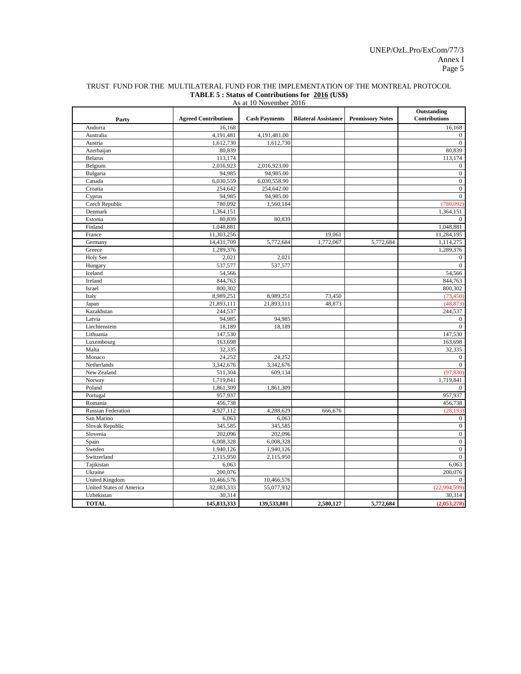| Outstanding<br><b>Agreed Contributions</b><br><b>Bilateral Assistance</b><br><b>Promissory Notes</b><br>Contributions<br><b>Cash Payments</b><br>Party<br>Andorra<br>16,168<br>16,168<br>Australia<br>4,191,481<br>4,191,481.00<br>0<br>1,612,730<br>Austria<br>1,612,730<br>$\mathbf{0}$<br>Azerbaijan<br>80,839<br>80.839<br><b>Belarus</b><br>113,174<br>113,174<br>2,016,923<br>2,016,923.00<br>Belgium<br>0<br>94,985<br>94,985.00<br>$\boldsymbol{0}$<br>Bulgaria<br>Canada<br>6,030,559<br>6,030,558.90<br>$\boldsymbol{0}$<br>Croatia<br>254,642<br>254,642.00<br>$\boldsymbol{0}$<br>94,985<br>94,985.00<br>Cyprus<br>$\mathbf{0}$<br>Czech Republic<br>780,092<br>1,560,184<br>(780,092)<br>Denmark<br>1,364,151<br>1,364,151<br>Estonia<br>80,839<br>80,839<br>0<br>Finland<br>1,048,881<br>1,048,881<br>11,303,256<br>19,061<br>11,284,195<br>France<br>1,772,067<br>Germany<br>14,431,709<br>5,772,684<br>5,772,684<br>1,114,275<br>Greece<br>1,289,376<br>1,289,376<br>Holy See<br>2,021<br>2,021<br>$\mathbf{0}$<br>537,577<br>537,577<br>Hungary<br>$\mathbf{0}$<br>54,566<br>Iceland<br>54,566<br>844,763<br>844,763<br>Ireland<br>Israel<br>800,302<br>800,302<br>Italy<br>8,989,251<br>73,450<br>(73, 450)<br>8,989,251<br>21,893,111<br>21,893,111<br>48,873<br>Japan<br>(48, 873)<br>Kazakhstan<br>244,537<br>244,537<br>94,985<br>94,985<br>Latvia<br>$\boldsymbol{0}$<br>Liechtenstein<br>18,189<br>18,189<br>$\Omega$<br>Lithuania<br>147,530<br>147,530<br>Luxembourg<br>163,698<br>163,698<br>Malta<br>32,335<br>32,335<br>24,252<br>Monaco<br>24,252<br>$\mathbf{0}$<br>Netherlands<br>3,342,676<br>3,342,676<br>$\Omega$<br>New Zealand<br>511,304<br>609,134<br>(97, 830)<br>Norway<br>1,719,841<br>1,719,841<br>Poland<br>1,861,309<br>1,861,309<br>$\mathbf{0}$<br>957,937<br>957,937<br>Portugal<br>456,738<br>456,738<br>Romania<br>4,927,112<br>4,288,629<br><b>Russian Federation</b><br>666,676<br>(28, 193)<br>San Marino<br>6,063<br>6,063<br>$\mathbf{0}$<br>345,585<br>345,585<br>Slovak Republic<br>$\boldsymbol{0}$<br>Slovenia<br>202,096<br>202,096<br>$\boldsymbol{0}$<br>$\boldsymbol{0}$<br>Spain<br>6,008,328<br>6,008,328<br>Sweden<br>1,940,126<br>1,940,126<br>$\boldsymbol{0}$<br>Switzerland<br>2,115,950<br>2,115,950<br>$\boldsymbol{0}$<br>Tajikistan<br>6,063<br>6,063<br>200,076<br>Ukraine<br>200,076<br><b>United Kingdom</b><br>10,466,576<br>10,466,576<br>$\mathbf{0}$<br>United States of America<br>32,083,333<br>55,077,932<br>(22,994,599)<br>30,314<br>Uzbekistan<br>30,314<br><b>TOTAL</b><br>145,833,333<br>139,533,801<br>2,580,127<br>5,772,684<br>(2,053,278) | As at 10 November 2016 |  |  |  |  |  |  |  |  |
|----------------------------------------------------------------------------------------------------------------------------------------------------------------------------------------------------------------------------------------------------------------------------------------------------------------------------------------------------------------------------------------------------------------------------------------------------------------------------------------------------------------------------------------------------------------------------------------------------------------------------------------------------------------------------------------------------------------------------------------------------------------------------------------------------------------------------------------------------------------------------------------------------------------------------------------------------------------------------------------------------------------------------------------------------------------------------------------------------------------------------------------------------------------------------------------------------------------------------------------------------------------------------------------------------------------------------------------------------------------------------------------------------------------------------------------------------------------------------------------------------------------------------------------------------------------------------------------------------------------------------------------------------------------------------------------------------------------------------------------------------------------------------------------------------------------------------------------------------------------------------------------------------------------------------------------------------------------------------------------------------------------------------------------------------------------------------------------------------------------------------------------------------------------------------------------------------------------------------------------------------------------------------------------------------------------------------------------------------------------------------------------------------------------------------------------------------------------------------------------------------------------------------------------------------------------------------------------------------------------------------------------|------------------------|--|--|--|--|--|--|--|--|
|                                                                                                                                                                                                                                                                                                                                                                                                                                                                                                                                                                                                                                                                                                                                                                                                                                                                                                                                                                                                                                                                                                                                                                                                                                                                                                                                                                                                                                                                                                                                                                                                                                                                                                                                                                                                                                                                                                                                                                                                                                                                                                                                                                                                                                                                                                                                                                                                                                                                                                                                                                                                                                        |                        |  |  |  |  |  |  |  |  |
|                                                                                                                                                                                                                                                                                                                                                                                                                                                                                                                                                                                                                                                                                                                                                                                                                                                                                                                                                                                                                                                                                                                                                                                                                                                                                                                                                                                                                                                                                                                                                                                                                                                                                                                                                                                                                                                                                                                                                                                                                                                                                                                                                                                                                                                                                                                                                                                                                                                                                                                                                                                                                                        |                        |  |  |  |  |  |  |  |  |
|                                                                                                                                                                                                                                                                                                                                                                                                                                                                                                                                                                                                                                                                                                                                                                                                                                                                                                                                                                                                                                                                                                                                                                                                                                                                                                                                                                                                                                                                                                                                                                                                                                                                                                                                                                                                                                                                                                                                                                                                                                                                                                                                                                                                                                                                                                                                                                                                                                                                                                                                                                                                                                        |                        |  |  |  |  |  |  |  |  |
|                                                                                                                                                                                                                                                                                                                                                                                                                                                                                                                                                                                                                                                                                                                                                                                                                                                                                                                                                                                                                                                                                                                                                                                                                                                                                                                                                                                                                                                                                                                                                                                                                                                                                                                                                                                                                                                                                                                                                                                                                                                                                                                                                                                                                                                                                                                                                                                                                                                                                                                                                                                                                                        |                        |  |  |  |  |  |  |  |  |
|                                                                                                                                                                                                                                                                                                                                                                                                                                                                                                                                                                                                                                                                                                                                                                                                                                                                                                                                                                                                                                                                                                                                                                                                                                                                                                                                                                                                                                                                                                                                                                                                                                                                                                                                                                                                                                                                                                                                                                                                                                                                                                                                                                                                                                                                                                                                                                                                                                                                                                                                                                                                                                        |                        |  |  |  |  |  |  |  |  |
|                                                                                                                                                                                                                                                                                                                                                                                                                                                                                                                                                                                                                                                                                                                                                                                                                                                                                                                                                                                                                                                                                                                                                                                                                                                                                                                                                                                                                                                                                                                                                                                                                                                                                                                                                                                                                                                                                                                                                                                                                                                                                                                                                                                                                                                                                                                                                                                                                                                                                                                                                                                                                                        |                        |  |  |  |  |  |  |  |  |
|                                                                                                                                                                                                                                                                                                                                                                                                                                                                                                                                                                                                                                                                                                                                                                                                                                                                                                                                                                                                                                                                                                                                                                                                                                                                                                                                                                                                                                                                                                                                                                                                                                                                                                                                                                                                                                                                                                                                                                                                                                                                                                                                                                                                                                                                                                                                                                                                                                                                                                                                                                                                                                        |                        |  |  |  |  |  |  |  |  |
|                                                                                                                                                                                                                                                                                                                                                                                                                                                                                                                                                                                                                                                                                                                                                                                                                                                                                                                                                                                                                                                                                                                                                                                                                                                                                                                                                                                                                                                                                                                                                                                                                                                                                                                                                                                                                                                                                                                                                                                                                                                                                                                                                                                                                                                                                                                                                                                                                                                                                                                                                                                                                                        |                        |  |  |  |  |  |  |  |  |
|                                                                                                                                                                                                                                                                                                                                                                                                                                                                                                                                                                                                                                                                                                                                                                                                                                                                                                                                                                                                                                                                                                                                                                                                                                                                                                                                                                                                                                                                                                                                                                                                                                                                                                                                                                                                                                                                                                                                                                                                                                                                                                                                                                                                                                                                                                                                                                                                                                                                                                                                                                                                                                        |                        |  |  |  |  |  |  |  |  |
|                                                                                                                                                                                                                                                                                                                                                                                                                                                                                                                                                                                                                                                                                                                                                                                                                                                                                                                                                                                                                                                                                                                                                                                                                                                                                                                                                                                                                                                                                                                                                                                                                                                                                                                                                                                                                                                                                                                                                                                                                                                                                                                                                                                                                                                                                                                                                                                                                                                                                                                                                                                                                                        |                        |  |  |  |  |  |  |  |  |
|                                                                                                                                                                                                                                                                                                                                                                                                                                                                                                                                                                                                                                                                                                                                                                                                                                                                                                                                                                                                                                                                                                                                                                                                                                                                                                                                                                                                                                                                                                                                                                                                                                                                                                                                                                                                                                                                                                                                                                                                                                                                                                                                                                                                                                                                                                                                                                                                                                                                                                                                                                                                                                        |                        |  |  |  |  |  |  |  |  |
|                                                                                                                                                                                                                                                                                                                                                                                                                                                                                                                                                                                                                                                                                                                                                                                                                                                                                                                                                                                                                                                                                                                                                                                                                                                                                                                                                                                                                                                                                                                                                                                                                                                                                                                                                                                                                                                                                                                                                                                                                                                                                                                                                                                                                                                                                                                                                                                                                                                                                                                                                                                                                                        |                        |  |  |  |  |  |  |  |  |
|                                                                                                                                                                                                                                                                                                                                                                                                                                                                                                                                                                                                                                                                                                                                                                                                                                                                                                                                                                                                                                                                                                                                                                                                                                                                                                                                                                                                                                                                                                                                                                                                                                                                                                                                                                                                                                                                                                                                                                                                                                                                                                                                                                                                                                                                                                                                                                                                                                                                                                                                                                                                                                        |                        |  |  |  |  |  |  |  |  |
|                                                                                                                                                                                                                                                                                                                                                                                                                                                                                                                                                                                                                                                                                                                                                                                                                                                                                                                                                                                                                                                                                                                                                                                                                                                                                                                                                                                                                                                                                                                                                                                                                                                                                                                                                                                                                                                                                                                                                                                                                                                                                                                                                                                                                                                                                                                                                                                                                                                                                                                                                                                                                                        |                        |  |  |  |  |  |  |  |  |
|                                                                                                                                                                                                                                                                                                                                                                                                                                                                                                                                                                                                                                                                                                                                                                                                                                                                                                                                                                                                                                                                                                                                                                                                                                                                                                                                                                                                                                                                                                                                                                                                                                                                                                                                                                                                                                                                                                                                                                                                                                                                                                                                                                                                                                                                                                                                                                                                                                                                                                                                                                                                                                        |                        |  |  |  |  |  |  |  |  |
|                                                                                                                                                                                                                                                                                                                                                                                                                                                                                                                                                                                                                                                                                                                                                                                                                                                                                                                                                                                                                                                                                                                                                                                                                                                                                                                                                                                                                                                                                                                                                                                                                                                                                                                                                                                                                                                                                                                                                                                                                                                                                                                                                                                                                                                                                                                                                                                                                                                                                                                                                                                                                                        |                        |  |  |  |  |  |  |  |  |
|                                                                                                                                                                                                                                                                                                                                                                                                                                                                                                                                                                                                                                                                                                                                                                                                                                                                                                                                                                                                                                                                                                                                                                                                                                                                                                                                                                                                                                                                                                                                                                                                                                                                                                                                                                                                                                                                                                                                                                                                                                                                                                                                                                                                                                                                                                                                                                                                                                                                                                                                                                                                                                        |                        |  |  |  |  |  |  |  |  |
|                                                                                                                                                                                                                                                                                                                                                                                                                                                                                                                                                                                                                                                                                                                                                                                                                                                                                                                                                                                                                                                                                                                                                                                                                                                                                                                                                                                                                                                                                                                                                                                                                                                                                                                                                                                                                                                                                                                                                                                                                                                                                                                                                                                                                                                                                                                                                                                                                                                                                                                                                                                                                                        |                        |  |  |  |  |  |  |  |  |
|                                                                                                                                                                                                                                                                                                                                                                                                                                                                                                                                                                                                                                                                                                                                                                                                                                                                                                                                                                                                                                                                                                                                                                                                                                                                                                                                                                                                                                                                                                                                                                                                                                                                                                                                                                                                                                                                                                                                                                                                                                                                                                                                                                                                                                                                                                                                                                                                                                                                                                                                                                                                                                        |                        |  |  |  |  |  |  |  |  |
|                                                                                                                                                                                                                                                                                                                                                                                                                                                                                                                                                                                                                                                                                                                                                                                                                                                                                                                                                                                                                                                                                                                                                                                                                                                                                                                                                                                                                                                                                                                                                                                                                                                                                                                                                                                                                                                                                                                                                                                                                                                                                                                                                                                                                                                                                                                                                                                                                                                                                                                                                                                                                                        |                        |  |  |  |  |  |  |  |  |
|                                                                                                                                                                                                                                                                                                                                                                                                                                                                                                                                                                                                                                                                                                                                                                                                                                                                                                                                                                                                                                                                                                                                                                                                                                                                                                                                                                                                                                                                                                                                                                                                                                                                                                                                                                                                                                                                                                                                                                                                                                                                                                                                                                                                                                                                                                                                                                                                                                                                                                                                                                                                                                        |                        |  |  |  |  |  |  |  |  |
|                                                                                                                                                                                                                                                                                                                                                                                                                                                                                                                                                                                                                                                                                                                                                                                                                                                                                                                                                                                                                                                                                                                                                                                                                                                                                                                                                                                                                                                                                                                                                                                                                                                                                                                                                                                                                                                                                                                                                                                                                                                                                                                                                                                                                                                                                                                                                                                                                                                                                                                                                                                                                                        |                        |  |  |  |  |  |  |  |  |
|                                                                                                                                                                                                                                                                                                                                                                                                                                                                                                                                                                                                                                                                                                                                                                                                                                                                                                                                                                                                                                                                                                                                                                                                                                                                                                                                                                                                                                                                                                                                                                                                                                                                                                                                                                                                                                                                                                                                                                                                                                                                                                                                                                                                                                                                                                                                                                                                                                                                                                                                                                                                                                        |                        |  |  |  |  |  |  |  |  |
|                                                                                                                                                                                                                                                                                                                                                                                                                                                                                                                                                                                                                                                                                                                                                                                                                                                                                                                                                                                                                                                                                                                                                                                                                                                                                                                                                                                                                                                                                                                                                                                                                                                                                                                                                                                                                                                                                                                                                                                                                                                                                                                                                                                                                                                                                                                                                                                                                                                                                                                                                                                                                                        |                        |  |  |  |  |  |  |  |  |
|                                                                                                                                                                                                                                                                                                                                                                                                                                                                                                                                                                                                                                                                                                                                                                                                                                                                                                                                                                                                                                                                                                                                                                                                                                                                                                                                                                                                                                                                                                                                                                                                                                                                                                                                                                                                                                                                                                                                                                                                                                                                                                                                                                                                                                                                                                                                                                                                                                                                                                                                                                                                                                        |                        |  |  |  |  |  |  |  |  |
|                                                                                                                                                                                                                                                                                                                                                                                                                                                                                                                                                                                                                                                                                                                                                                                                                                                                                                                                                                                                                                                                                                                                                                                                                                                                                                                                                                                                                                                                                                                                                                                                                                                                                                                                                                                                                                                                                                                                                                                                                                                                                                                                                                                                                                                                                                                                                                                                                                                                                                                                                                                                                                        |                        |  |  |  |  |  |  |  |  |
|                                                                                                                                                                                                                                                                                                                                                                                                                                                                                                                                                                                                                                                                                                                                                                                                                                                                                                                                                                                                                                                                                                                                                                                                                                                                                                                                                                                                                                                                                                                                                                                                                                                                                                                                                                                                                                                                                                                                                                                                                                                                                                                                                                                                                                                                                                                                                                                                                                                                                                                                                                                                                                        |                        |  |  |  |  |  |  |  |  |
|                                                                                                                                                                                                                                                                                                                                                                                                                                                                                                                                                                                                                                                                                                                                                                                                                                                                                                                                                                                                                                                                                                                                                                                                                                                                                                                                                                                                                                                                                                                                                                                                                                                                                                                                                                                                                                                                                                                                                                                                                                                                                                                                                                                                                                                                                                                                                                                                                                                                                                                                                                                                                                        |                        |  |  |  |  |  |  |  |  |
|                                                                                                                                                                                                                                                                                                                                                                                                                                                                                                                                                                                                                                                                                                                                                                                                                                                                                                                                                                                                                                                                                                                                                                                                                                                                                                                                                                                                                                                                                                                                                                                                                                                                                                                                                                                                                                                                                                                                                                                                                                                                                                                                                                                                                                                                                                                                                                                                                                                                                                                                                                                                                                        |                        |  |  |  |  |  |  |  |  |
|                                                                                                                                                                                                                                                                                                                                                                                                                                                                                                                                                                                                                                                                                                                                                                                                                                                                                                                                                                                                                                                                                                                                                                                                                                                                                                                                                                                                                                                                                                                                                                                                                                                                                                                                                                                                                                                                                                                                                                                                                                                                                                                                                                                                                                                                                                                                                                                                                                                                                                                                                                                                                                        |                        |  |  |  |  |  |  |  |  |
|                                                                                                                                                                                                                                                                                                                                                                                                                                                                                                                                                                                                                                                                                                                                                                                                                                                                                                                                                                                                                                                                                                                                                                                                                                                                                                                                                                                                                                                                                                                                                                                                                                                                                                                                                                                                                                                                                                                                                                                                                                                                                                                                                                                                                                                                                                                                                                                                                                                                                                                                                                                                                                        |                        |  |  |  |  |  |  |  |  |
|                                                                                                                                                                                                                                                                                                                                                                                                                                                                                                                                                                                                                                                                                                                                                                                                                                                                                                                                                                                                                                                                                                                                                                                                                                                                                                                                                                                                                                                                                                                                                                                                                                                                                                                                                                                                                                                                                                                                                                                                                                                                                                                                                                                                                                                                                                                                                                                                                                                                                                                                                                                                                                        |                        |  |  |  |  |  |  |  |  |
|                                                                                                                                                                                                                                                                                                                                                                                                                                                                                                                                                                                                                                                                                                                                                                                                                                                                                                                                                                                                                                                                                                                                                                                                                                                                                                                                                                                                                                                                                                                                                                                                                                                                                                                                                                                                                                                                                                                                                                                                                                                                                                                                                                                                                                                                                                                                                                                                                                                                                                                                                                                                                                        |                        |  |  |  |  |  |  |  |  |
|                                                                                                                                                                                                                                                                                                                                                                                                                                                                                                                                                                                                                                                                                                                                                                                                                                                                                                                                                                                                                                                                                                                                                                                                                                                                                                                                                                                                                                                                                                                                                                                                                                                                                                                                                                                                                                                                                                                                                                                                                                                                                                                                                                                                                                                                                                                                                                                                                                                                                                                                                                                                                                        |                        |  |  |  |  |  |  |  |  |
|                                                                                                                                                                                                                                                                                                                                                                                                                                                                                                                                                                                                                                                                                                                                                                                                                                                                                                                                                                                                                                                                                                                                                                                                                                                                                                                                                                                                                                                                                                                                                                                                                                                                                                                                                                                                                                                                                                                                                                                                                                                                                                                                                                                                                                                                                                                                                                                                                                                                                                                                                                                                                                        |                        |  |  |  |  |  |  |  |  |
|                                                                                                                                                                                                                                                                                                                                                                                                                                                                                                                                                                                                                                                                                                                                                                                                                                                                                                                                                                                                                                                                                                                                                                                                                                                                                                                                                                                                                                                                                                                                                                                                                                                                                                                                                                                                                                                                                                                                                                                                                                                                                                                                                                                                                                                                                                                                                                                                                                                                                                                                                                                                                                        |                        |  |  |  |  |  |  |  |  |
|                                                                                                                                                                                                                                                                                                                                                                                                                                                                                                                                                                                                                                                                                                                                                                                                                                                                                                                                                                                                                                                                                                                                                                                                                                                                                                                                                                                                                                                                                                                                                                                                                                                                                                                                                                                                                                                                                                                                                                                                                                                                                                                                                                                                                                                                                                                                                                                                                                                                                                                                                                                                                                        |                        |  |  |  |  |  |  |  |  |
|                                                                                                                                                                                                                                                                                                                                                                                                                                                                                                                                                                                                                                                                                                                                                                                                                                                                                                                                                                                                                                                                                                                                                                                                                                                                                                                                                                                                                                                                                                                                                                                                                                                                                                                                                                                                                                                                                                                                                                                                                                                                                                                                                                                                                                                                                                                                                                                                                                                                                                                                                                                                                                        |                        |  |  |  |  |  |  |  |  |
|                                                                                                                                                                                                                                                                                                                                                                                                                                                                                                                                                                                                                                                                                                                                                                                                                                                                                                                                                                                                                                                                                                                                                                                                                                                                                                                                                                                                                                                                                                                                                                                                                                                                                                                                                                                                                                                                                                                                                                                                                                                                                                                                                                                                                                                                                                                                                                                                                                                                                                                                                                                                                                        |                        |  |  |  |  |  |  |  |  |
|                                                                                                                                                                                                                                                                                                                                                                                                                                                                                                                                                                                                                                                                                                                                                                                                                                                                                                                                                                                                                                                                                                                                                                                                                                                                                                                                                                                                                                                                                                                                                                                                                                                                                                                                                                                                                                                                                                                                                                                                                                                                                                                                                                                                                                                                                                                                                                                                                                                                                                                                                                                                                                        |                        |  |  |  |  |  |  |  |  |
|                                                                                                                                                                                                                                                                                                                                                                                                                                                                                                                                                                                                                                                                                                                                                                                                                                                                                                                                                                                                                                                                                                                                                                                                                                                                                                                                                                                                                                                                                                                                                                                                                                                                                                                                                                                                                                                                                                                                                                                                                                                                                                                                                                                                                                                                                                                                                                                                                                                                                                                                                                                                                                        |                        |  |  |  |  |  |  |  |  |
|                                                                                                                                                                                                                                                                                                                                                                                                                                                                                                                                                                                                                                                                                                                                                                                                                                                                                                                                                                                                                                                                                                                                                                                                                                                                                                                                                                                                                                                                                                                                                                                                                                                                                                                                                                                                                                                                                                                                                                                                                                                                                                                                                                                                                                                                                                                                                                                                                                                                                                                                                                                                                                        |                        |  |  |  |  |  |  |  |  |
|                                                                                                                                                                                                                                                                                                                                                                                                                                                                                                                                                                                                                                                                                                                                                                                                                                                                                                                                                                                                                                                                                                                                                                                                                                                                                                                                                                                                                                                                                                                                                                                                                                                                                                                                                                                                                                                                                                                                                                                                                                                                                                                                                                                                                                                                                                                                                                                                                                                                                                                                                                                                                                        |                        |  |  |  |  |  |  |  |  |
|                                                                                                                                                                                                                                                                                                                                                                                                                                                                                                                                                                                                                                                                                                                                                                                                                                                                                                                                                                                                                                                                                                                                                                                                                                                                                                                                                                                                                                                                                                                                                                                                                                                                                                                                                                                                                                                                                                                                                                                                                                                                                                                                                                                                                                                                                                                                                                                                                                                                                                                                                                                                                                        |                        |  |  |  |  |  |  |  |  |
|                                                                                                                                                                                                                                                                                                                                                                                                                                                                                                                                                                                                                                                                                                                                                                                                                                                                                                                                                                                                                                                                                                                                                                                                                                                                                                                                                                                                                                                                                                                                                                                                                                                                                                                                                                                                                                                                                                                                                                                                                                                                                                                                                                                                                                                                                                                                                                                                                                                                                                                                                                                                                                        |                        |  |  |  |  |  |  |  |  |
|                                                                                                                                                                                                                                                                                                                                                                                                                                                                                                                                                                                                                                                                                                                                                                                                                                                                                                                                                                                                                                                                                                                                                                                                                                                                                                                                                                                                                                                                                                                                                                                                                                                                                                                                                                                                                                                                                                                                                                                                                                                                                                                                                                                                                                                                                                                                                                                                                                                                                                                                                                                                                                        |                        |  |  |  |  |  |  |  |  |
|                                                                                                                                                                                                                                                                                                                                                                                                                                                                                                                                                                                                                                                                                                                                                                                                                                                                                                                                                                                                                                                                                                                                                                                                                                                                                                                                                                                                                                                                                                                                                                                                                                                                                                                                                                                                                                                                                                                                                                                                                                                                                                                                                                                                                                                                                                                                                                                                                                                                                                                                                                                                                                        |                        |  |  |  |  |  |  |  |  |
|                                                                                                                                                                                                                                                                                                                                                                                                                                                                                                                                                                                                                                                                                                                                                                                                                                                                                                                                                                                                                                                                                                                                                                                                                                                                                                                                                                                                                                                                                                                                                                                                                                                                                                                                                                                                                                                                                                                                                                                                                                                                                                                                                                                                                                                                                                                                                                                                                                                                                                                                                                                                                                        |                        |  |  |  |  |  |  |  |  |
|                                                                                                                                                                                                                                                                                                                                                                                                                                                                                                                                                                                                                                                                                                                                                                                                                                                                                                                                                                                                                                                                                                                                                                                                                                                                                                                                                                                                                                                                                                                                                                                                                                                                                                                                                                                                                                                                                                                                                                                                                                                                                                                                                                                                                                                                                                                                                                                                                                                                                                                                                                                                                                        |                        |  |  |  |  |  |  |  |  |
|                                                                                                                                                                                                                                                                                                                                                                                                                                                                                                                                                                                                                                                                                                                                                                                                                                                                                                                                                                                                                                                                                                                                                                                                                                                                                                                                                                                                                                                                                                                                                                                                                                                                                                                                                                                                                                                                                                                                                                                                                                                                                                                                                                                                                                                                                                                                                                                                                                                                                                                                                                                                                                        |                        |  |  |  |  |  |  |  |  |
|                                                                                                                                                                                                                                                                                                                                                                                                                                                                                                                                                                                                                                                                                                                                                                                                                                                                                                                                                                                                                                                                                                                                                                                                                                                                                                                                                                                                                                                                                                                                                                                                                                                                                                                                                                                                                                                                                                                                                                                                                                                                                                                                                                                                                                                                                                                                                                                                                                                                                                                                                                                                                                        |                        |  |  |  |  |  |  |  |  |

#### TRUST FUND FOR THE MULTILATERAL FUND FOR THE IMPLEMENTATION OF THE MONTREAL PROTOCOL **TABLE 5 : Status of Contributions for 2016 (US\$)**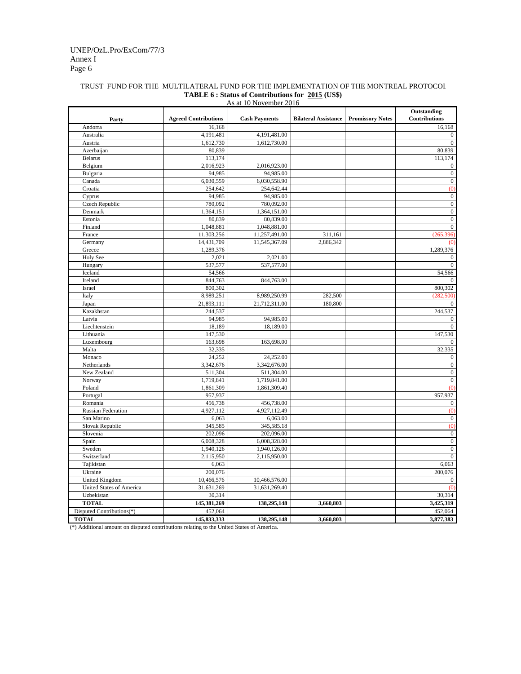#### Annex I Page 6 UNEP/OzL.Pro/ExCom/77/3

## TRUST FUND FOR THE MULTILATERAL FUND FOR THE IMPLEMENTATION OF THE MONTREAL PROTOCOL **TABLE 6 : Status of Contributions for 2015 (US\$)**

|                           |                             | As at 10 November 2016 |                             |                         |                                     |
|---------------------------|-----------------------------|------------------------|-----------------------------|-------------------------|-------------------------------------|
| Party                     | <b>Agreed Contributions</b> | <b>Cash Payments</b>   | <b>Bilateral Assistance</b> | <b>Promissory Notes</b> | Outstanding<br><b>Contributions</b> |
| Andorra                   | 16,168                      |                        |                             |                         | 16,168                              |
| Australia                 | 4,191,481                   | 4,191,481.00           |                             |                         | $\boldsymbol{0}$                    |
| Austria                   | 1,612,730                   | 1,612,730.00           |                             |                         | $\boldsymbol{0}$                    |
| Azerbaijan                | 80,839                      |                        |                             |                         | 80,839                              |
| <b>Belarus</b>            | 113,174                     |                        |                             |                         | 113,174                             |
| Belgium                   | 2,016,923                   | 2,016,923.00           |                             |                         | $\boldsymbol{0}$                    |
| Bulgaria                  | 94,985                      | 94,985.00              |                             |                         | $\boldsymbol{0}$                    |
| Canada                    | 6,030,559                   | 6,030,558.90           |                             |                         | $\overline{0}$                      |
| Croatia                   | 254,642                     | 254,642.44             |                             |                         | (0)                                 |
| Cyprus                    | 94,985                      | 94,985.00              |                             |                         | $\boldsymbol{0}$                    |
| Czech Republic            | 780,092                     | 780,092.00             |                             |                         | $\boldsymbol{0}$                    |
| Denmark                   | 1,364,151                   | 1,364,151.00           |                             |                         | $\boldsymbol{0}$                    |
| Estonia                   | 80,839                      | 80,839.00              |                             |                         | $\boldsymbol{0}$                    |
| Finland                   | 1,048,881                   | 1,048,881.00           |                             |                         | $\overline{0}$                      |
| France                    | 11,303,256                  | 11,257,491.00          | 311,161                     |                         | (265,<br>396                        |
| Germany                   | 14,431,709                  | 11,545,367.09          | 2,886,342                   |                         | $\omega$                            |
| Greece                    | 1,289,376                   |                        |                             |                         | 1,289,376                           |
| Holy See                  | 2,021                       | 2,021.00               |                             |                         | $\boldsymbol{0}$                    |
| Hungary                   | 537,577                     | 537,577.00             |                             |                         | $\overline{0}$                      |
| Iceland                   | 54,566                      |                        |                             |                         | 54,566                              |
| Ireland                   | 844,763                     | 844,763.00             |                             |                         | $\Omega$                            |
| Israel                    | 800,302                     |                        |                             |                         | 800,302                             |
| Italy                     | 8,989,251                   | 8,989,250.99           | 282,500                     |                         | (282, 500)                          |
| Japan                     | 21,893,111                  | 21,712,311.00          | 180,800                     |                         | $\overline{0}$                      |
| Kazakhstan                | 244,537                     |                        |                             |                         | 244,537                             |
| Latvia                    | 94,985                      | 94,985.00              |                             |                         | $\mathbf{0}$                        |
| Liechtenstein             | 18,189                      | 18,189.00              |                             |                         | $\theta$                            |
| Lithuania                 | 147,530                     |                        |                             |                         | 147,530                             |
| Luxembourg                | 163,698                     | 163,698.00             |                             |                         | $\mathbf{0}$                        |
| Malta                     | 32,335                      |                        |                             |                         | 32,335                              |
| Monaco                    | 24,252                      | 24,252.00              |                             |                         | $\boldsymbol{0}$                    |
| Netherlands               | 3,342,676                   | 3,342,676.00           |                             |                         | $\boldsymbol{0}$                    |
| New Zealand               | 511,304                     | 511,304.00             |                             |                         | $\boldsymbol{0}$                    |
| Norway                    | 1,719,841                   | 1,719,841.00           |                             |                         | $\boldsymbol{0}$                    |
| Poland                    | 1,861,309                   | 1,861,309.40           |                             |                         | (0)                                 |
| Portugal                  | 957,937                     |                        |                             |                         | 957,937                             |
| Romania                   | 456,738                     | 456,738.00             |                             |                         | $\boldsymbol{0}$                    |
| <b>Russian Federation</b> | 4,927,112                   | 4,927,112.49           |                             |                         | (0)                                 |
| San Marino                | 6,063                       | 6,063.00               |                             |                         | $\boldsymbol{0}$                    |
| Slovak Republic           | 345,585                     | 345,585.18             |                             |                         | $\overline{0}$                      |
| Slovenia                  | 202,096                     | 202,096.00             |                             |                         | $\boldsymbol{0}$                    |
| Spain                     | 6,008,328                   | 6,008,328.00           |                             |                         | $\boldsymbol{0}$                    |
| Sweden                    | 1,940,126                   | 1,940,126.00           |                             |                         | $\boldsymbol{0}$                    |
| Switzerland               | 2,115,950                   | 2,115,950.00           |                             |                         | $\overline{0}$                      |
| Tajikistan                | 6,063                       |                        |                             |                         | 6,063                               |
| Ukraine                   | 200,076                     |                        |                             |                         | 200,076                             |
| United Kingdom            | 10,466,576                  | 10,466,576.00          |                             |                         | $\Omega$                            |
| United States of America  | 31,631,269                  | 31,631,269.40          |                             |                         | (0)                                 |
| Uzbekistan                | 30,314                      |                        |                             |                         | 30,314                              |
| <b>TOTAL</b>              | 145,381,269                 | 138,295,148            | 3,660,803                   |                         | 3,425,319                           |
| Disputed Contributions(*) | 452,064                     |                        |                             |                         | 452,064                             |
|                           |                             |                        |                             |                         |                                     |
| <b>TOTAL</b>              | 145,833,333                 | 138,295,148            | 3,660,803                   |                         | 3,877,383                           |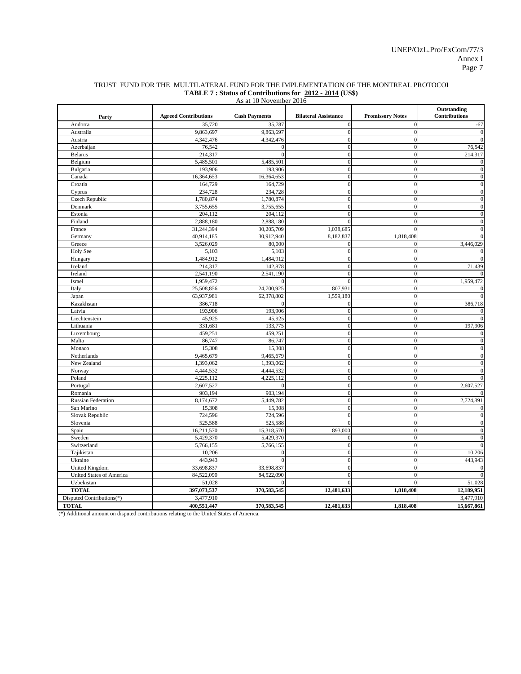#### TRUST FUND FOR THE MULTILATERAL FUND FOR THE IMPLEMENTATION OF THE MONTREAL PROTOCOL **TABLE 7 : Status of Contributions for 2012 - 2014 (US\$)**

| As at 10 November 2016    |                             |                      |                             |                         |                              |  |  |
|---------------------------|-----------------------------|----------------------|-----------------------------|-------------------------|------------------------------|--|--|
| Party                     | <b>Agreed Contributions</b> | <b>Cash Payments</b> | <b>Bilateral Assistance</b> | <b>Promissory Notes</b> | Outstanding<br>Contributions |  |  |
| Andorra                   | 35,720                      | 35,787               | $\overline{0}$              | $\Omega$                | $-67$                        |  |  |
| Australia                 | 9,863,697                   | 9,863,697            | $\mathbf{0}$                | $\mathbf{0}$            | $\overline{0}$               |  |  |
| Austria                   | 4,342,476                   | 4,342,476            | $\boldsymbol{0}$            | $\mathbf{0}$            | $\theta$                     |  |  |
| Azerbaijan                | 76,542                      | $\Omega$             | $\overline{0}$              | $\overline{0}$          | 76,542                       |  |  |
| <b>Belarus</b>            | 214,317                     | $\Omega$             | $\overline{0}$              | $\mathbf{0}$            | 214,317                      |  |  |
| Belgium                   | 5,485,501                   | 5,485,501            | $\overline{0}$              | $\overline{0}$          | $\mathbf{0}$                 |  |  |
| Bulgaria                  | 193,906                     | 193,906              | $\overline{0}$              | $\boldsymbol{0}$        | $\overline{0}$               |  |  |
| Canada                    | 16,364,653                  | 16,364,653           | $\overline{0}$              | $\overline{0}$          | $\overline{0}$               |  |  |
| Croatia                   | 164,729                     | 164,729              | $\mathbf{0}$                | $\overline{0}$          | $\theta$                     |  |  |
| Cyprus                    | 234,728                     | 234,728              | $\bf{0}$                    | $\boldsymbol{0}$        | $\overline{0}$               |  |  |
| Czech Republic            | 1,780,874                   | 1,780,874            | $\overline{0}$              | $\overline{0}$          | $\overline{0}$               |  |  |
| Denmark                   | 3,755,655                   | 3,755,655            | $\overline{0}$              | $\mathbf{0}$            | $\overline{0}$               |  |  |
| Estonia                   | 204,112                     | 204,112              | $\overline{0}$              | $\boldsymbol{0}$        | $\theta$                     |  |  |
| Finland                   | 2,888,180                   | 2,888,180            | $\overline{0}$              | $\Omega$                | $\theta$                     |  |  |
| France                    | 31,244,394                  | 30,205,709           | 1,038,685                   | $\Omega$                | $\theta$                     |  |  |
| Germany                   | 40,914,185                  | 30,912,940           | 8,182,837                   | 1,818,408               | $\Omega$                     |  |  |
| Greece                    | 3,526,029                   | 80,000               | $\bf{0}$                    | $\overline{0}$          | 3,446,029                    |  |  |
| Holy See                  | 5,103                       | 5,103                | $\overline{0}$              | $\overline{0}$          |                              |  |  |
| Hungary                   | 1,484,912                   | 1,484,912            | $\mathbf{0}$                | $\boldsymbol{0}$        | $\Omega$                     |  |  |
| Iceland                   | 214,317                     | 142,878              | $\mathbf{0}$                | $\overline{0}$          | 71,439                       |  |  |
| Ireland                   | 2,541,190                   | 2,541,190            | $\overline{0}$              | $\Omega$                |                              |  |  |
| Israel                    | 1,959,472                   | $\Omega$             | $\overline{0}$              | $\mathbf{0}$            | 1,959,472                    |  |  |
| Italy                     | 25,508,856                  | 24,700,925           | 807,931                     | $\overline{0}$          |                              |  |  |
| Japan                     | 63,937,981                  | 62,378,802           | 1,559,180                   | $\boldsymbol{0}$        |                              |  |  |
| Kazakhstan                | 386,718                     |                      | $\overline{0}$              | $\overline{0}$          | 386,718                      |  |  |
| Latvia                    | 193,906                     | 193,906              | $\mathbf{0}$                | $\overline{0}$          | $\Omega$                     |  |  |
| Liechtenstein             | 45,925                      | 45,925               | $\overline{0}$              | $\boldsymbol{0}$        |                              |  |  |
| Lithuania                 | 331,681                     | 133,775              | $\overline{0}$              | $\overline{0}$          | 197,906                      |  |  |
| Luxembourg                | 459,251                     | 459,251              | $\mathbf{0}$                | $\boldsymbol{0}$        | $\Omega$                     |  |  |
| Malta                     | 86,747                      | 86,747               | $\mathbf{0}$                | $\boldsymbol{0}$        | $\theta$                     |  |  |
| Monaco                    | 15,308                      | 15,308               | $\mathbf{0}$                | $\overline{0}$          | $\overline{0}$               |  |  |
| Netherlands               | 9,465,679                   | 9,465,679            | $\overline{0}$              | $\overline{0}$          | $\theta$                     |  |  |
| New Zealand               | 1,393,062                   | 1,393,062            | $\mathbf{0}$                | $\overline{0}$          | $\Omega$                     |  |  |
| Norway                    | 4,444,532                   | 4,444,532            | $\overline{0}$              | $\overline{0}$          | $\theta$                     |  |  |
| Poland                    | 4,225,112                   | 4,225,112            | $\overline{0}$              | $\overline{0}$          | $\sqrt{ }$                   |  |  |
| Portugal                  | 2,607,527                   | $\Omega$             | $\mathbf{0}$                | $\boldsymbol{0}$        | 2,607,527                    |  |  |
| Romania                   | 903,194                     | 903,194              | $\overline{0}$              | $\overline{0}$          |                              |  |  |
| <b>Russian Federation</b> | 8,174,672                   | 5,449,782            | $\overline{0}$              | $\overline{0}$          | 2,724,891                    |  |  |
| San Marino                | 15,308                      | 15,308               | $\overline{0}$              | $\boldsymbol{0}$        |                              |  |  |
| Slovak Republic           | 724,596                     | 724,596              | $\mathbf{0}$                | $\overline{0}$          | $\overline{0}$               |  |  |
| Slovenia                  | 525,588                     | 525,588              | $\overline{0}$              | $\overline{0}$          | $\overline{0}$               |  |  |
| Spain                     | 16,211,570                  | 15,318,570           | 893,000                     | $\overline{0}$          | $\overline{0}$               |  |  |
| Sweden                    | 5,429,370                   | 5,429,370            | $\mathbf{0}$                | $\overline{0}$          | $\theta$                     |  |  |
| Switzerland               | 5,766,155                   | 5,766,155            | $\overline{0}$              | $\mathbf{0}$            |                              |  |  |
| Tajikistan                | 10,206                      | $\mathbf{0}$         | $\overline{0}$              | $\overline{0}$          | 10,206                       |  |  |
| Ukraine                   | 443,943                     | $\Omega$             | $\overline{0}$              | $\overline{0}$          | 443,943                      |  |  |
| <b>United Kingdom</b>     | 33,698,837                  | 33,698,837           | $\overline{0}$              | $\overline{0}$          |                              |  |  |
| United States of America  | 84,522,090                  | 84,522,090           | $\mathbf{0}$                | $\Omega$                | $\Omega$                     |  |  |
| Uzbekistan                | 51,028                      | $\Omega$             | $\overline{0}$              | $\Omega$                | 51,028                       |  |  |
| <b>TOTAL</b>              | 397,073,537                 | 370,583,545          | 12,481,633                  | 1,818,408               | 12,189,951                   |  |  |
| Disputed Contributions(*) | 3,477,910                   |                      |                             |                         | 3,477,910                    |  |  |
| <b>TOTAL</b>              | 400,551,447                 | 370,583,545          | 12,481,633                  | 1,818,408               | 15,667,861                   |  |  |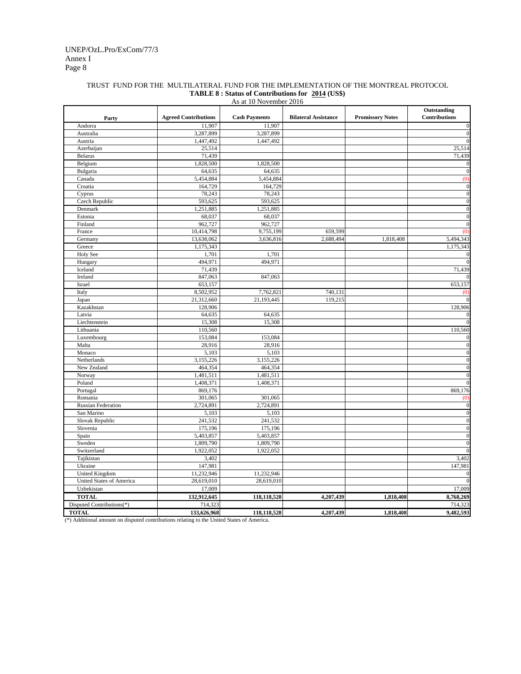### Annex I Page 8 UNEP/OzL.Pro/ExCom/77/3

#### TRUST FUND FOR THE MULTILATERAL FUND FOR THE IMPLEMENTATION OF THE MONTREAL PROTOCOL **TABLE 8 : Status of Contributions for 2014 (US\$)** As at 10 November 2016

|                                 | <b>Agreed Contributions</b> | <b>Cash Payments</b> | <b>Bilateral Assistance</b> | <b>Promissory Notes</b> | Outstanding<br><b>Contributions</b> |
|---------------------------------|-----------------------------|----------------------|-----------------------------|-------------------------|-------------------------------------|
| Party<br>Andorra                | 11.907                      | 11,907               |                             |                         | $\overline{0}$                      |
| Australia                       | 3,287,899                   | 3,287,899            |                             |                         | $\overline{0}$                      |
| Austria                         | 1,447,492                   | 1,447,492            |                             |                         | $\overline{0}$                      |
| Azerbaijan                      | 25,514                      |                      |                             |                         | 25,514                              |
| Belarus                         | 71,439                      |                      |                             |                         | 71,439                              |
| Belgium                         | 1,828,500                   | 1,828,500            |                             |                         | $\boldsymbol{0}$                    |
| Bulgaria                        | 64,635                      | 64,635               |                             |                         | $\overline{0}$                      |
| Canada                          | 5,454,884                   | 5,454,884            |                             |                         | (0)                                 |
| Croatia                         | 164,729                     | 164,729              |                             |                         | $\boldsymbol{0}$                    |
| Cyprus                          | 78,243                      | 78,243               |                             |                         | $\boldsymbol{0}$                    |
| Czech Republic                  | 593,625                     | 593,625              |                             |                         | $\mathbf{0}$                        |
| Denmark                         | 1,251,885                   | 1,251,885            |                             |                         | $\overline{0}$                      |
| Estonia                         | 68,037                      | 68,037               |                             |                         | $\overline{0}$                      |
| Finland                         | 962,727                     | 962,727              |                             |                         | $\overline{0}$                      |
| France                          | 10,414,798                  | 9,755,199            | 659,599                     |                         | $\overline{0}$                      |
| Germany                         | 13,638,062                  | 3,636,816            | 2,688,494                   | 1,818,408               | 5,494,343                           |
| Greece                          | 1,175,343                   |                      |                             |                         | 1,175,343                           |
| <b>Holy See</b>                 | 1,701                       | 1,701                |                             |                         | $\Omega$                            |
| Hungary                         | 494,971                     | 494,971              |                             |                         | $\theta$                            |
| Iceland                         | 71,439                      |                      |                             |                         | 71,439                              |
| Ireland                         | 847,063                     | 847,063              |                             |                         |                                     |
| Israel                          | 653,157                     |                      |                             |                         | 653,157                             |
| Italy                           | 8,502,952                   | 7,762,821            | 740,131                     |                         | (0)                                 |
| Japan                           | 21,312,660                  | 21,193,445           | 119,215                     |                         | $\theta$                            |
| Kazakhstan                      | 128,906                     |                      |                             |                         | 128,906                             |
| Latvia                          | 64,635                      | 64,635               |                             |                         | $\boldsymbol{0}$                    |
| Liechtenstein                   | 15,308                      | 15,308               |                             |                         | $\overline{0}$                      |
| Lithuania                       | 110,560                     |                      |                             |                         | 110,560                             |
| Luxembourg                      | 153,084                     | 153,084              |                             |                         | $\theta$                            |
| Malta                           | 28,916                      | 28,916               |                             |                         | $\mathbf{0}$                        |
| Monaco                          | 5,103                       | 5,103                |                             |                         | $\overline{0}$                      |
| Netherlands                     | 3,155,226                   | 3,155,226            |                             |                         | $\mathbf{0}$                        |
| New Zealand                     | 464,354                     | 464,354              |                             |                         | $\overline{0}$                      |
| Norway                          | 1,481,511                   | 1,481,511            |                             |                         | $\overline{0}$                      |
| Poland                          | 1,408,371                   | 1,408,371            |                             |                         | $\overline{0}$                      |
| Portugal                        | 869,176                     |                      |                             |                         | 869,176                             |
| Romania                         | 301,065                     | 301,065              |                             |                         | (0)                                 |
| <b>Russian Federation</b>       | 2,724,891                   | 2,724,891            |                             |                         | $\boldsymbol{0}$                    |
| San Marino                      | 5,103                       | 5,103                |                             |                         | $\boldsymbol{0}$                    |
| Slovak Republic                 | 241,532                     | 241,532              |                             |                         | $\overline{0}$                      |
| Slovenia                        | 175,196                     | 175,196              |                             |                         | $\overline{0}$                      |
| Spain                           | 5,403,857                   | 5,403,857            |                             |                         | $\boldsymbol{0}$                    |
| Sweden                          | 1,809,790                   | 1,809,790            |                             |                         | $\overline{0}$                      |
| Switzerland                     | 1,922,052                   | 1,922,052            |                             |                         | $\theta$                            |
| Tajikistan                      | 3,402                       |                      |                             |                         | 3,402                               |
| Ukraine                         | 147,981                     |                      |                             |                         | 147,981                             |
| <b>United Kingdom</b>           | 11,232,946                  | 11,232,946           |                             |                         | $\sqrt{ }$                          |
| <b>United States of America</b> | 28,619,010                  | 28,619,010           |                             |                         |                                     |
| Uzbekistan                      | 17,009                      |                      |                             |                         | 17,009                              |
| <b>TOTAL</b>                    | 132,912,645                 | 118,118,528          | 4,207,439                   | 1,818,408               | 8,768,269                           |
| Disputed Contributions(*)       | 714,323                     |                      |                             |                         | 714,323                             |
| <b>TOTAL</b>                    | 133,626,968                 | 118,118,528          | 4,207,439                   | 1,818,408               | 9,482,593                           |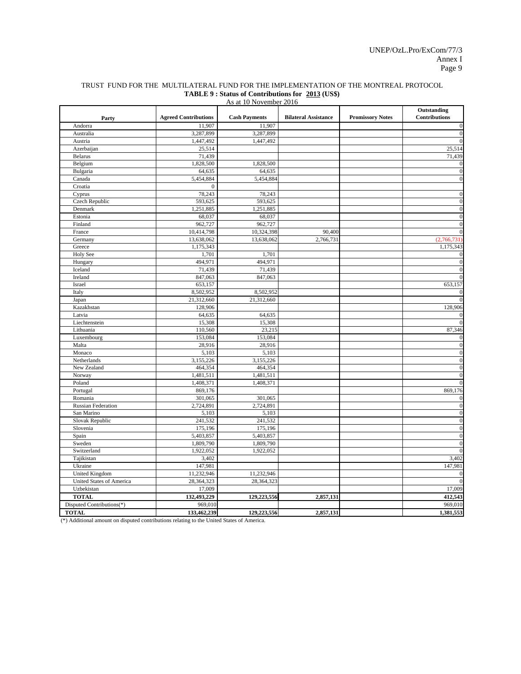|                           | <b>Agreed Contributions</b> | <b>Cash Payments</b> | <b>Bilateral Assistance</b> | <b>Promissory Notes</b> | Outstanding<br>Contributions |
|---------------------------|-----------------------------|----------------------|-----------------------------|-------------------------|------------------------------|
| Party<br>Andorra          | 11,907                      | 11,907               |                             |                         | $\boldsymbol{0}$             |
| Australia                 | 3,287,899                   | 3,287,899            |                             |                         | $\boldsymbol{0}$             |
| Austria                   | 1,447,492                   | 1,447,492            |                             |                         | $\mathbf{0}$                 |
| Azerbaijan                | 25,514                      |                      |                             |                         | 25,514                       |
| <b>Belarus</b>            | 71,439                      |                      |                             |                         | 71,439                       |
| Belgium                   | 1,828,500                   | 1,828,500            |                             |                         | $\bf{0}$                     |
| Bulgaria                  | 64,635                      | 64,635               |                             |                         | $\boldsymbol{0}$             |
| Canada                    | 5,454,884                   | 5,454,884            |                             |                         | $\overline{0}$               |
| Croatia                   | $\Omega$                    |                      |                             |                         |                              |
| Cyprus                    | 78,243                      | 78,243               |                             |                         | $\overline{0}$               |
| Czech Republic            | 593,625                     | 593,625              |                             |                         | $\boldsymbol{0}$             |
| Denmark                   | 1,251,885                   | 1,251,885            |                             |                         | $\boldsymbol{0}$             |
| Estonia                   | 68,037                      | 68,037               |                             |                         | $\boldsymbol{0}$             |
| Finland                   | 962,727                     | 962,727              |                             |                         | $\mathbf{0}$                 |
| France                    | 10,414,798                  | 10,324,398           | 90,400                      |                         | $\boldsymbol{0}$             |
| Germany                   | 13,638,062                  | 13,638,062           | 2,766,731                   |                         | (2,766,731)                  |
| Greece                    | 1,175,343                   |                      |                             |                         | 1,175,343                    |
| <b>Holy See</b>           | 1,701                       | 1,701                |                             |                         | $\bf{0}$                     |
| Hungary                   | 494,971                     | 494,971              |                             |                         | $\overline{0}$               |
| Iceland                   | 71,439                      | 71,439               |                             |                         | $\boldsymbol{0}$             |
| Ireland                   | 847,063                     | 847,063              |                             |                         | $\mathbf{0}$                 |
| Israel                    | 653,157                     |                      |                             |                         | 653,157                      |
| Italy                     | 8,502,952                   | 8,502,952            |                             |                         | $\overline{0}$               |
| Japan                     | 21,312,660                  | 21,312,660           |                             |                         | $\overline{0}$               |
| Kazakhstan                | 128,906                     |                      |                             |                         | 128,906                      |
| Latvia                    | 64,635                      | 64,635               |                             |                         | $\mathbf{0}$                 |
| Liechtenstein             | 15,308                      | 15,308               |                             |                         | $\overline{0}$               |
| Lithuania                 | 110,560                     | 23,215               |                             |                         | 87,346                       |
| Luxembourg                | 153,084                     | 153,084              |                             |                         | $\mathbf{0}$                 |
| Malta                     | 28,916                      | 28,916               |                             |                         | $\mathbf{0}$                 |
| Monaco                    | 5,103                       | 5,103                |                             |                         | $\boldsymbol{0}$             |
| Netherlands               | 3,155,226                   | 3,155,226            |                             |                         | $\boldsymbol{0}$             |
| New Zealand               | 464,354                     | 464,354              |                             |                         | $\mathbf{0}$                 |
| Norway                    | 1,481,511                   | 1,481,511            |                             |                         | $\boldsymbol{0}$             |
| Poland                    | 1,408,371                   | 1,408,371            |                             |                         | $\boldsymbol{0}$             |
| Portugal                  | 869,176                     |                      |                             |                         | 869,176                      |
| Romania                   | 301,065                     | 301,065              |                             |                         | $\overline{0}$               |
| <b>Russian Federation</b> | 2,724,891                   | 2,724,891            |                             |                         | $\overline{0}$               |
| San Marino                | 5,103                       | 5,103                |                             |                         | $\boldsymbol{0}$             |
| Slovak Republic           | 241,532                     | 241,532              |                             |                         | $\boldsymbol{0}$             |
| Slovenia                  | 175,196                     | 175,196              |                             |                         | $\boldsymbol{0}$             |
| Spain                     | 5,403,857                   | 5,403,857            |                             |                         | $\overline{0}$               |
| Sweden                    | 1,809,790                   | 1,809,790            |                             |                         | $\boldsymbol{0}$             |
| Switzerland               | 1,922,052                   | 1,922,052            |                             |                         | $\boldsymbol{0}$             |
| Tajikistan                | 3,402                       |                      |                             |                         | 3,402                        |
| Ukraine                   | 147,981                     |                      |                             |                         | 147,981                      |
| <b>United Kingdom</b>     | 11,232,946                  | 11,232,946           |                             |                         | $\boldsymbol{0}$             |
| United States of America  | 28,364,323                  | 28,364,323           |                             |                         | $\overline{0}$               |
| Uzbekistan                | 17,009                      |                      |                             |                         | 17,009                       |
| <b>TOTAL</b>              | 132,493,229                 | 129,223,556          | 2,857,131                   |                         | 412,543                      |
| Disputed Contributions(*) | 969,010                     |                      |                             |                         | 969,010                      |
| <b>TOTAL</b>              | 133,462,239                 | 129,223,556          | 2,857,131                   |                         | 1,381,553                    |

#### TRUST FUND FOR THE MULTILATERAL FUND FOR THE IMPLEMENTATION OF THE MONTREAL PROTOCOL **TABLE 9 : Status of Contributions for 2013 (US\$)** As at 10 November 2016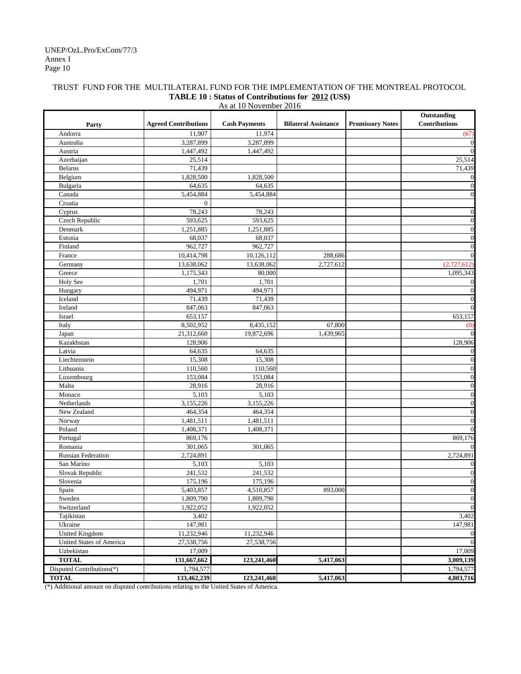#### Annex I Page 10 UNEP/OzL.Pro/ExCom/77/3

## TRUST FUND FOR THE MULTILATERAL FUND FOR THE IMPLEMENTATION OF THE MONTREAL PROTOCOL **TABLE 10 : Status of Contributions for 2012 (US\$)**

|                           | As at 10 November 2016      |                      |                             |                         |                                     |  |  |  |
|---------------------------|-----------------------------|----------------------|-----------------------------|-------------------------|-------------------------------------|--|--|--|
| Party                     | <b>Agreed Contributions</b> | <b>Cash Payments</b> | <b>Bilateral Assistance</b> | <b>Promissory Notes</b> | Outstanding<br><b>Contributions</b> |  |  |  |
| Andorra                   | 11,907                      | 11,974               |                             |                         | (67)                                |  |  |  |
| Australia                 | 3,287,899                   | 3,287,899            |                             |                         | $\mathbf{0}$                        |  |  |  |
| Austria                   | 1,447,492                   | 1,447,492            |                             |                         | $\Omega$                            |  |  |  |
| Azerbaijan                | 25,514                      |                      |                             |                         | 25,514                              |  |  |  |
| <b>Belarus</b>            | 71,439                      |                      |                             |                         | 71,439                              |  |  |  |
| Belgium                   | 1,828,500                   | 1,828,500            |                             |                         | $\boldsymbol{0}$                    |  |  |  |
| Bulgaria                  | 64,635                      | 64,635               |                             |                         | $\boldsymbol{0}$                    |  |  |  |
| Canada                    | 5,454,884                   | 5,454,884            |                             |                         | $\mathbf{0}$                        |  |  |  |
| Croatia                   | $\overline{0}$              |                      |                             |                         |                                     |  |  |  |
| Cyprus                    | 78,243                      | 78,243               |                             |                         | $\mathbf{0}$                        |  |  |  |
| Czech Republic            | 593,625                     | 593,625              |                             |                         | $\mathbf{0}$                        |  |  |  |
| Denmark                   | 1,251,885                   | 1,251,885            |                             |                         | $\mathbf{0}$                        |  |  |  |
| Estonia                   | 68,037                      | 68,037               |                             |                         | $\boldsymbol{0}$                    |  |  |  |
| Finland                   | 962,727                     | 962,727              |                             |                         | $\mathbf{0}$                        |  |  |  |
| France                    | 10,414,798                  | 10,126,112           | 288,686                     |                         | $\mathbf{0}$                        |  |  |  |
| Germany                   | 13,638,062                  | 13,638,062           | 2,727,612                   |                         | (2,727,612)                         |  |  |  |
| Greece                    | 1,175,343                   | 80,000               |                             |                         | 1,095,343                           |  |  |  |
| Holy See                  | 1,701                       | 1,701                |                             |                         | $\mathbf{0}$                        |  |  |  |
| Hungary                   | 494,971                     | 494,971              |                             |                         | $\mathbf{0}$                        |  |  |  |
| Iceland                   | 71,439                      | 71,439               |                             |                         | $\boldsymbol{0}$                    |  |  |  |
| Ireland                   | 847,063                     | 847,063              |                             |                         | $\mathbf{0}$                        |  |  |  |
| Israel                    | 653,157                     |                      |                             |                         | 653,157                             |  |  |  |
| Italy                     | 8,502,952                   | 8,435,152            | 67,800                      |                         | (0)                                 |  |  |  |
| Japan                     | 21,312,660                  | 19,872,696           | 1,439,965                   |                         | $\Omega$                            |  |  |  |
| Kazakhstan                | 128,906                     |                      |                             |                         | 128,906                             |  |  |  |
| Latvia                    | 64,635                      | 64,635               |                             |                         | $\bf{0}$                            |  |  |  |
| Liechtenstein             | 15,308                      | 15,308               |                             |                         | $\mathbf{0}$                        |  |  |  |
| Lithuania                 | 110,560                     | 110,560              |                             |                         | $\mathbf{0}$                        |  |  |  |
| Luxembourg                | 153,084                     | 153,084              |                             |                         | $\mathbf{0}$                        |  |  |  |
| Malta                     | 28,916                      | 28,916               |                             |                         | $\mathbf{0}$                        |  |  |  |
| Monaco                    | 5,103                       | 5,103                |                             |                         | $\boldsymbol{0}$                    |  |  |  |
| Netherlands               | 3,155,226                   | 3,155,226            |                             |                         | $\mathbf{0}$                        |  |  |  |
| New Zealand               | 464,354                     | 464,354              |                             |                         | $\mathbf{0}$                        |  |  |  |
| Norway                    | 1,481,511                   | 1,481,511            |                             |                         | $\mathbf{0}$                        |  |  |  |
| Poland                    | 1,408,371                   | 1,408,371            |                             |                         | $\mathbf{0}$                        |  |  |  |
| Portugal                  | 869,176                     |                      |                             |                         | 869,176                             |  |  |  |
| Romania                   | 301,065                     | 301,065              |                             |                         | $\mathbf{0}$                        |  |  |  |
| <b>Russian Federation</b> | 2,724,891                   |                      |                             |                         | 2,724,891                           |  |  |  |
| San Marino                | 5,103                       | 5,103                |                             |                         | $\boldsymbol{0}$                    |  |  |  |
| Slovak Republic           | 241,532                     | 241,532              |                             |                         | $\boldsymbol{0}$                    |  |  |  |
| Slovenia                  | 175,196                     | 175,196              |                             |                         | $\theta$                            |  |  |  |
| Spain                     | 5,403,857                   | 4,510,857            | 893,000                     |                         | $\boldsymbol{0}$                    |  |  |  |
| Sweden                    | 1,809,790                   | 1,809,790            |                             |                         | $\boldsymbol{0}$                    |  |  |  |
| Switzerland               | 1,922,052                   | 1,922,052            |                             |                         | $\mathbf{0}$                        |  |  |  |
| Tajikistan                | 3,402                       |                      |                             |                         | 3,402                               |  |  |  |
| Ukraine                   | 147,981                     |                      |                             |                         | 147,981                             |  |  |  |
| <b>United Kingdom</b>     | 11,232,946                  | 11,232,946           |                             |                         | $\boldsymbol{0}$                    |  |  |  |
| United States of America  | 27,538,756                  | 27,538,756           |                             |                         | $\mathbf{0}$                        |  |  |  |
| Uzbekistan                | 17,009                      |                      |                             |                         | 17,009                              |  |  |  |
| <b>TOTAL</b>              | 131,667,662                 | 123,241,460          | 5,417,063                   |                         | 3,009,139                           |  |  |  |
| Disputed Contributions(*) | 1,794,577                   |                      |                             |                         | 1,794,577                           |  |  |  |
| <b>TOTAL</b>              | 133,462,239                 | 123,241,460          | 5,417,063                   |                         | 4,803,716                           |  |  |  |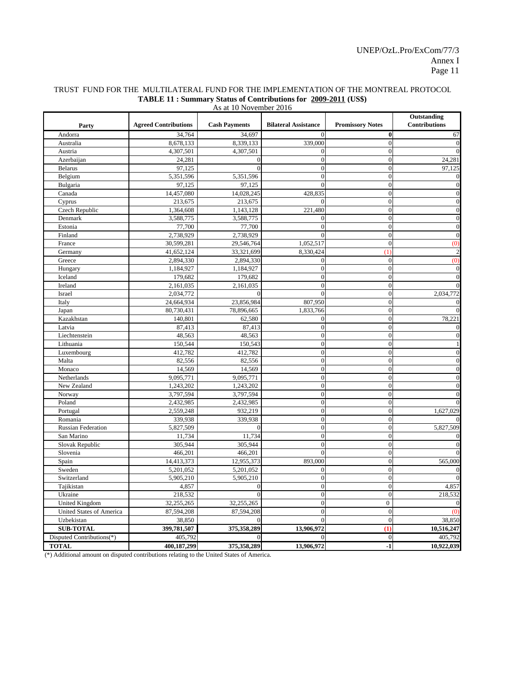| Outstanding<br><b>Agreed Contributions</b><br><b>Contributions</b><br><b>Cash Payments</b><br><b>Bilateral Assistance</b><br><b>Promissory Notes</b><br>Party<br>Andorra<br>34,764<br>34,697<br>$\bf{0}$<br>$\Omega$<br>$\overline{0}$<br>8,339,133<br>Australia<br>8,678,133<br>339,000<br>4,307,501<br>4,307,501<br>$\theta$<br>Austria<br>24,281<br>$\theta$<br>Azerbaijan<br>$\overline{0}$<br>$\theta$<br>97,125<br><b>Belarus</b><br>$\theta$<br>$\theta$<br>Belgium<br>5,351,596<br>5,351,596<br>$\theta$<br>$\Omega$<br>Bulgaria<br>97,125<br>$\overline{0}$<br>97,125<br>$\theta$<br>14,457,080<br>14,028,245<br>$\overline{0}$<br>Canada<br>428,835<br>Cyprus<br>213,675<br>213,675<br>$\theta$<br>Czech Republic<br>1,364,608<br>1,143,128<br>221,480<br>$\overline{0}$<br>Denmark<br>3,588,775<br>3,588,775<br>$\mathbf{0}$<br>$\Omega$<br>Estonia<br>77,700<br>77,700<br>$\theta$<br>$\theta$<br>2,738,929<br>2,738,929<br>$\theta$<br>Finland<br>30,599,281<br>$\theta$<br>France<br>29,546,764<br>1,052,517<br>(0)<br>41,652,124<br>33,321,699<br>8,330,424<br>$\overline{1}$<br>Germany<br>Greece<br>2,894,330<br>2,894,330<br>$\theta$<br>(0)<br>$\overline{0}$<br>$\overline{0}$<br>Hungary<br>1,184,927<br>1,184,927<br>$\overline{0}$<br>Iceland<br>179,682<br>179,682<br>$\overline{0}$<br>2,161,035<br>2,161,035<br>$\theta$<br>Ireland<br>2,034,772<br>Israel<br>2,034,772<br>$\overline{0}$<br>$\theta$<br>$\overline{0}$<br>Italy<br>24,664,934<br>23,856,984<br>807,950<br>$\theta$<br>80,730,431<br>78,896,665<br>1,833,766<br>Japan<br>Kazakhstan<br>$\overline{0}$<br>78,221<br>140,801<br>62,580<br>$\mathbf{0}$<br>$\overline{0}$<br>Latvia<br>87,413<br>87,413<br>$\Omega$<br>Liechtenstein<br>48,563<br>48,563<br>$\theta$<br>$\Omega$<br>Lithuania<br>150,544<br>150,543<br>$\theta$<br>$\theta$<br>412,782<br>$\theta$<br>Luxembourg<br>412,782<br>$\theta$<br>Malta<br>82,556<br>$\theta$<br>$\theta$<br>82,556<br>$\theta$<br>14,569<br>14,569<br>$\theta$<br>Monaco<br>9,095,771<br>9,095,771<br>$\theta$<br>Netherlands<br>$\theta$<br>New Zealand<br>1,243,202<br>1,243,202<br>$\theta$<br>$\theta$<br>3,797,594<br>$\overline{0}$<br>Norway<br>3,797,594<br>$\theta$<br>Poland<br>2,432,985<br>2,432,985<br>$\theta$<br>$\theta$<br>$\overline{0}$<br>Portugal<br>2,559,248<br>932,219<br>$\overline{0}$<br>1,627,029<br>339,938<br>339,938<br>$\theta$<br>Romania<br>$\Omega$<br>5,827,509<br>$\theta$<br><b>Russian Federation</b><br>5,827,509<br>11,734<br>11,734<br>$\overline{0}$<br>San Marino<br>Slovak Republic<br>305,944<br>305,944<br>$\theta$<br>$\theta$<br>$\overline{0}$<br>Slovenia<br>466,201<br>466,201<br>$\theta$<br>893,000<br>$\overline{0}$<br>565,000<br>Spain<br>14,413,373<br>12,955,373<br>$\theta$<br>5,201,052<br>Sweden<br>5,201,052<br>$\theta$<br>5,905,210<br>$\overline{0}$<br>Switzerland<br>5,905,210<br>$\theta$<br>$\overline{0}$<br>Tajikistan<br>4,857<br>$\overline{0}$<br>4,857<br>$\boldsymbol{0}$<br>$\theta$<br>$\theta$<br>Ukraine<br>218,532<br>$\theta$<br>218,532<br>United Kingdom<br>32,255,265<br>32,255,265<br>$\overline{0}$<br>$\mathbf{0}$<br>United States of America<br>87,594,208<br>$\overline{0}$<br>87,594,208<br>$\theta$<br>$\omega$<br>38,850<br>$\theta$<br>38,850<br>Uzbekistan<br><b>SUB-TOTAL</b><br>399,781,507<br>13,906,972<br>(1)<br>10,516,247<br>375,358,289<br>Disputed Contributions(*)<br>$\overline{0}$<br>405,792<br>$\Omega$<br>405,792<br><b>TOTAL</b><br>400,187,299<br>375,358,289<br>13,906,972<br>$-1$ | As at 10 November 2016 |  |  |  |  |                |  |  |
|----------------------------------------------------------------------------------------------------------------------------------------------------------------------------------------------------------------------------------------------------------------------------------------------------------------------------------------------------------------------------------------------------------------------------------------------------------------------------------------------------------------------------------------------------------------------------------------------------------------------------------------------------------------------------------------------------------------------------------------------------------------------------------------------------------------------------------------------------------------------------------------------------------------------------------------------------------------------------------------------------------------------------------------------------------------------------------------------------------------------------------------------------------------------------------------------------------------------------------------------------------------------------------------------------------------------------------------------------------------------------------------------------------------------------------------------------------------------------------------------------------------------------------------------------------------------------------------------------------------------------------------------------------------------------------------------------------------------------------------------------------------------------------------------------------------------------------------------------------------------------------------------------------------------------------------------------------------------------------------------------------------------------------------------------------------------------------------------------------------------------------------------------------------------------------------------------------------------------------------------------------------------------------------------------------------------------------------------------------------------------------------------------------------------------------------------------------------------------------------------------------------------------------------------------------------------------------------------------------------------------------------------------------------------------------------------------------------------------------------------------------------------------------------------------------------------------------------------------------------------------------------------------------------------------------------------------------------------------------------------------------------------------------------------------------------------------------------------------------------------------------------------------------------------------------------------------------------------------------------------------------------------------------------------------------------------------------------------------------------------------------------------------------------------------------------------------------------------------------------------------------------------------------------|------------------------|--|--|--|--|----------------|--|--|
|                                                                                                                                                                                                                                                                                                                                                                                                                                                                                                                                                                                                                                                                                                                                                                                                                                                                                                                                                                                                                                                                                                                                                                                                                                                                                                                                                                                                                                                                                                                                                                                                                                                                                                                                                                                                                                                                                                                                                                                                                                                                                                                                                                                                                                                                                                                                                                                                                                                                                                                                                                                                                                                                                                                                                                                                                                                                                                                                                                                                                                                                                                                                                                                                                                                                                                                                                                                                                                                                                                                                        |                        |  |  |  |  |                |  |  |
|                                                                                                                                                                                                                                                                                                                                                                                                                                                                                                                                                                                                                                                                                                                                                                                                                                                                                                                                                                                                                                                                                                                                                                                                                                                                                                                                                                                                                                                                                                                                                                                                                                                                                                                                                                                                                                                                                                                                                                                                                                                                                                                                                                                                                                                                                                                                                                                                                                                                                                                                                                                                                                                                                                                                                                                                                                                                                                                                                                                                                                                                                                                                                                                                                                                                                                                                                                                                                                                                                                                                        |                        |  |  |  |  | 67             |  |  |
|                                                                                                                                                                                                                                                                                                                                                                                                                                                                                                                                                                                                                                                                                                                                                                                                                                                                                                                                                                                                                                                                                                                                                                                                                                                                                                                                                                                                                                                                                                                                                                                                                                                                                                                                                                                                                                                                                                                                                                                                                                                                                                                                                                                                                                                                                                                                                                                                                                                                                                                                                                                                                                                                                                                                                                                                                                                                                                                                                                                                                                                                                                                                                                                                                                                                                                                                                                                                                                                                                                                                        |                        |  |  |  |  | $\overline{0}$ |  |  |
|                                                                                                                                                                                                                                                                                                                                                                                                                                                                                                                                                                                                                                                                                                                                                                                                                                                                                                                                                                                                                                                                                                                                                                                                                                                                                                                                                                                                                                                                                                                                                                                                                                                                                                                                                                                                                                                                                                                                                                                                                                                                                                                                                                                                                                                                                                                                                                                                                                                                                                                                                                                                                                                                                                                                                                                                                                                                                                                                                                                                                                                                                                                                                                                                                                                                                                                                                                                                                                                                                                                                        |                        |  |  |  |  |                |  |  |
|                                                                                                                                                                                                                                                                                                                                                                                                                                                                                                                                                                                                                                                                                                                                                                                                                                                                                                                                                                                                                                                                                                                                                                                                                                                                                                                                                                                                                                                                                                                                                                                                                                                                                                                                                                                                                                                                                                                                                                                                                                                                                                                                                                                                                                                                                                                                                                                                                                                                                                                                                                                                                                                                                                                                                                                                                                                                                                                                                                                                                                                                                                                                                                                                                                                                                                                                                                                                                                                                                                                                        |                        |  |  |  |  | 24,281         |  |  |
|                                                                                                                                                                                                                                                                                                                                                                                                                                                                                                                                                                                                                                                                                                                                                                                                                                                                                                                                                                                                                                                                                                                                                                                                                                                                                                                                                                                                                                                                                                                                                                                                                                                                                                                                                                                                                                                                                                                                                                                                                                                                                                                                                                                                                                                                                                                                                                                                                                                                                                                                                                                                                                                                                                                                                                                                                                                                                                                                                                                                                                                                                                                                                                                                                                                                                                                                                                                                                                                                                                                                        |                        |  |  |  |  | 97,125         |  |  |
|                                                                                                                                                                                                                                                                                                                                                                                                                                                                                                                                                                                                                                                                                                                                                                                                                                                                                                                                                                                                                                                                                                                                                                                                                                                                                                                                                                                                                                                                                                                                                                                                                                                                                                                                                                                                                                                                                                                                                                                                                                                                                                                                                                                                                                                                                                                                                                                                                                                                                                                                                                                                                                                                                                                                                                                                                                                                                                                                                                                                                                                                                                                                                                                                                                                                                                                                                                                                                                                                                                                                        |                        |  |  |  |  | $\mathbf{0}$   |  |  |
|                                                                                                                                                                                                                                                                                                                                                                                                                                                                                                                                                                                                                                                                                                                                                                                                                                                                                                                                                                                                                                                                                                                                                                                                                                                                                                                                                                                                                                                                                                                                                                                                                                                                                                                                                                                                                                                                                                                                                                                                                                                                                                                                                                                                                                                                                                                                                                                                                                                                                                                                                                                                                                                                                                                                                                                                                                                                                                                                                                                                                                                                                                                                                                                                                                                                                                                                                                                                                                                                                                                                        |                        |  |  |  |  | $\overline{0}$ |  |  |
|                                                                                                                                                                                                                                                                                                                                                                                                                                                                                                                                                                                                                                                                                                                                                                                                                                                                                                                                                                                                                                                                                                                                                                                                                                                                                                                                                                                                                                                                                                                                                                                                                                                                                                                                                                                                                                                                                                                                                                                                                                                                                                                                                                                                                                                                                                                                                                                                                                                                                                                                                                                                                                                                                                                                                                                                                                                                                                                                                                                                                                                                                                                                                                                                                                                                                                                                                                                                                                                                                                                                        |                        |  |  |  |  | $\Omega$       |  |  |
|                                                                                                                                                                                                                                                                                                                                                                                                                                                                                                                                                                                                                                                                                                                                                                                                                                                                                                                                                                                                                                                                                                                                                                                                                                                                                                                                                                                                                                                                                                                                                                                                                                                                                                                                                                                                                                                                                                                                                                                                                                                                                                                                                                                                                                                                                                                                                                                                                                                                                                                                                                                                                                                                                                                                                                                                                                                                                                                                                                                                                                                                                                                                                                                                                                                                                                                                                                                                                                                                                                                                        |                        |  |  |  |  |                |  |  |
|                                                                                                                                                                                                                                                                                                                                                                                                                                                                                                                                                                                                                                                                                                                                                                                                                                                                                                                                                                                                                                                                                                                                                                                                                                                                                                                                                                                                                                                                                                                                                                                                                                                                                                                                                                                                                                                                                                                                                                                                                                                                                                                                                                                                                                                                                                                                                                                                                                                                                                                                                                                                                                                                                                                                                                                                                                                                                                                                                                                                                                                                                                                                                                                                                                                                                                                                                                                                                                                                                                                                        |                        |  |  |  |  | $\overline{0}$ |  |  |
|                                                                                                                                                                                                                                                                                                                                                                                                                                                                                                                                                                                                                                                                                                                                                                                                                                                                                                                                                                                                                                                                                                                                                                                                                                                                                                                                                                                                                                                                                                                                                                                                                                                                                                                                                                                                                                                                                                                                                                                                                                                                                                                                                                                                                                                                                                                                                                                                                                                                                                                                                                                                                                                                                                                                                                                                                                                                                                                                                                                                                                                                                                                                                                                                                                                                                                                                                                                                                                                                                                                                        |                        |  |  |  |  | $\mathbf{0}$   |  |  |
|                                                                                                                                                                                                                                                                                                                                                                                                                                                                                                                                                                                                                                                                                                                                                                                                                                                                                                                                                                                                                                                                                                                                                                                                                                                                                                                                                                                                                                                                                                                                                                                                                                                                                                                                                                                                                                                                                                                                                                                                                                                                                                                                                                                                                                                                                                                                                                                                                                                                                                                                                                                                                                                                                                                                                                                                                                                                                                                                                                                                                                                                                                                                                                                                                                                                                                                                                                                                                                                                                                                                        |                        |  |  |  |  | $\theta$       |  |  |
|                                                                                                                                                                                                                                                                                                                                                                                                                                                                                                                                                                                                                                                                                                                                                                                                                                                                                                                                                                                                                                                                                                                                                                                                                                                                                                                                                                                                                                                                                                                                                                                                                                                                                                                                                                                                                                                                                                                                                                                                                                                                                                                                                                                                                                                                                                                                                                                                                                                                                                                                                                                                                                                                                                                                                                                                                                                                                                                                                                                                                                                                                                                                                                                                                                                                                                                                                                                                                                                                                                                                        |                        |  |  |  |  | $\Omega$       |  |  |
|                                                                                                                                                                                                                                                                                                                                                                                                                                                                                                                                                                                                                                                                                                                                                                                                                                                                                                                                                                                                                                                                                                                                                                                                                                                                                                                                                                                                                                                                                                                                                                                                                                                                                                                                                                                                                                                                                                                                                                                                                                                                                                                                                                                                                                                                                                                                                                                                                                                                                                                                                                                                                                                                                                                                                                                                                                                                                                                                                                                                                                                                                                                                                                                                                                                                                                                                                                                                                                                                                                                                        |                        |  |  |  |  |                |  |  |
|                                                                                                                                                                                                                                                                                                                                                                                                                                                                                                                                                                                                                                                                                                                                                                                                                                                                                                                                                                                                                                                                                                                                                                                                                                                                                                                                                                                                                                                                                                                                                                                                                                                                                                                                                                                                                                                                                                                                                                                                                                                                                                                                                                                                                                                                                                                                                                                                                                                                                                                                                                                                                                                                                                                                                                                                                                                                                                                                                                                                                                                                                                                                                                                                                                                                                                                                                                                                                                                                                                                                        |                        |  |  |  |  |                |  |  |
|                                                                                                                                                                                                                                                                                                                                                                                                                                                                                                                                                                                                                                                                                                                                                                                                                                                                                                                                                                                                                                                                                                                                                                                                                                                                                                                                                                                                                                                                                                                                                                                                                                                                                                                                                                                                                                                                                                                                                                                                                                                                                                                                                                                                                                                                                                                                                                                                                                                                                                                                                                                                                                                                                                                                                                                                                                                                                                                                                                                                                                                                                                                                                                                                                                                                                                                                                                                                                                                                                                                                        |                        |  |  |  |  |                |  |  |
|                                                                                                                                                                                                                                                                                                                                                                                                                                                                                                                                                                                                                                                                                                                                                                                                                                                                                                                                                                                                                                                                                                                                                                                                                                                                                                                                                                                                                                                                                                                                                                                                                                                                                                                                                                                                                                                                                                                                                                                                                                                                                                                                                                                                                                                                                                                                                                                                                                                                                                                                                                                                                                                                                                                                                                                                                                                                                                                                                                                                                                                                                                                                                                                                                                                                                                                                                                                                                                                                                                                                        |                        |  |  |  |  | $\mathbf{0}$   |  |  |
|                                                                                                                                                                                                                                                                                                                                                                                                                                                                                                                                                                                                                                                                                                                                                                                                                                                                                                                                                                                                                                                                                                                                                                                                                                                                                                                                                                                                                                                                                                                                                                                                                                                                                                                                                                                                                                                                                                                                                                                                                                                                                                                                                                                                                                                                                                                                                                                                                                                                                                                                                                                                                                                                                                                                                                                                                                                                                                                                                                                                                                                                                                                                                                                                                                                                                                                                                                                                                                                                                                                                        |                        |  |  |  |  | $\Omega$       |  |  |
|                                                                                                                                                                                                                                                                                                                                                                                                                                                                                                                                                                                                                                                                                                                                                                                                                                                                                                                                                                                                                                                                                                                                                                                                                                                                                                                                                                                                                                                                                                                                                                                                                                                                                                                                                                                                                                                                                                                                                                                                                                                                                                                                                                                                                                                                                                                                                                                                                                                                                                                                                                                                                                                                                                                                                                                                                                                                                                                                                                                                                                                                                                                                                                                                                                                                                                                                                                                                                                                                                                                                        |                        |  |  |  |  |                |  |  |
|                                                                                                                                                                                                                                                                                                                                                                                                                                                                                                                                                                                                                                                                                                                                                                                                                                                                                                                                                                                                                                                                                                                                                                                                                                                                                                                                                                                                                                                                                                                                                                                                                                                                                                                                                                                                                                                                                                                                                                                                                                                                                                                                                                                                                                                                                                                                                                                                                                                                                                                                                                                                                                                                                                                                                                                                                                                                                                                                                                                                                                                                                                                                                                                                                                                                                                                                                                                                                                                                                                                                        |                        |  |  |  |  |                |  |  |
|                                                                                                                                                                                                                                                                                                                                                                                                                                                                                                                                                                                                                                                                                                                                                                                                                                                                                                                                                                                                                                                                                                                                                                                                                                                                                                                                                                                                                                                                                                                                                                                                                                                                                                                                                                                                                                                                                                                                                                                                                                                                                                                                                                                                                                                                                                                                                                                                                                                                                                                                                                                                                                                                                                                                                                                                                                                                                                                                                                                                                                                                                                                                                                                                                                                                                                                                                                                                                                                                                                                                        |                        |  |  |  |  |                |  |  |
|                                                                                                                                                                                                                                                                                                                                                                                                                                                                                                                                                                                                                                                                                                                                                                                                                                                                                                                                                                                                                                                                                                                                                                                                                                                                                                                                                                                                                                                                                                                                                                                                                                                                                                                                                                                                                                                                                                                                                                                                                                                                                                                                                                                                                                                                                                                                                                                                                                                                                                                                                                                                                                                                                                                                                                                                                                                                                                                                                                                                                                                                                                                                                                                                                                                                                                                                                                                                                                                                                                                                        |                        |  |  |  |  |                |  |  |
|                                                                                                                                                                                                                                                                                                                                                                                                                                                                                                                                                                                                                                                                                                                                                                                                                                                                                                                                                                                                                                                                                                                                                                                                                                                                                                                                                                                                                                                                                                                                                                                                                                                                                                                                                                                                                                                                                                                                                                                                                                                                                                                                                                                                                                                                                                                                                                                                                                                                                                                                                                                                                                                                                                                                                                                                                                                                                                                                                                                                                                                                                                                                                                                                                                                                                                                                                                                                                                                                                                                                        |                        |  |  |  |  |                |  |  |
|                                                                                                                                                                                                                                                                                                                                                                                                                                                                                                                                                                                                                                                                                                                                                                                                                                                                                                                                                                                                                                                                                                                                                                                                                                                                                                                                                                                                                                                                                                                                                                                                                                                                                                                                                                                                                                                                                                                                                                                                                                                                                                                                                                                                                                                                                                                                                                                                                                                                                                                                                                                                                                                                                                                                                                                                                                                                                                                                                                                                                                                                                                                                                                                                                                                                                                                                                                                                                                                                                                                                        |                        |  |  |  |  | $\Omega$       |  |  |
|                                                                                                                                                                                                                                                                                                                                                                                                                                                                                                                                                                                                                                                                                                                                                                                                                                                                                                                                                                                                                                                                                                                                                                                                                                                                                                                                                                                                                                                                                                                                                                                                                                                                                                                                                                                                                                                                                                                                                                                                                                                                                                                                                                                                                                                                                                                                                                                                                                                                                                                                                                                                                                                                                                                                                                                                                                                                                                                                                                                                                                                                                                                                                                                                                                                                                                                                                                                                                                                                                                                                        |                        |  |  |  |  |                |  |  |
|                                                                                                                                                                                                                                                                                                                                                                                                                                                                                                                                                                                                                                                                                                                                                                                                                                                                                                                                                                                                                                                                                                                                                                                                                                                                                                                                                                                                                                                                                                                                                                                                                                                                                                                                                                                                                                                                                                                                                                                                                                                                                                                                                                                                                                                                                                                                                                                                                                                                                                                                                                                                                                                                                                                                                                                                                                                                                                                                                                                                                                                                                                                                                                                                                                                                                                                                                                                                                                                                                                                                        |                        |  |  |  |  |                |  |  |
|                                                                                                                                                                                                                                                                                                                                                                                                                                                                                                                                                                                                                                                                                                                                                                                                                                                                                                                                                                                                                                                                                                                                                                                                                                                                                                                                                                                                                                                                                                                                                                                                                                                                                                                                                                                                                                                                                                                                                                                                                                                                                                                                                                                                                                                                                                                                                                                                                                                                                                                                                                                                                                                                                                                                                                                                                                                                                                                                                                                                                                                                                                                                                                                                                                                                                                                                                                                                                                                                                                                                        |                        |  |  |  |  |                |  |  |
|                                                                                                                                                                                                                                                                                                                                                                                                                                                                                                                                                                                                                                                                                                                                                                                                                                                                                                                                                                                                                                                                                                                                                                                                                                                                                                                                                                                                                                                                                                                                                                                                                                                                                                                                                                                                                                                                                                                                                                                                                                                                                                                                                                                                                                                                                                                                                                                                                                                                                                                                                                                                                                                                                                                                                                                                                                                                                                                                                                                                                                                                                                                                                                                                                                                                                                                                                                                                                                                                                                                                        |                        |  |  |  |  | $\Omega$       |  |  |
|                                                                                                                                                                                                                                                                                                                                                                                                                                                                                                                                                                                                                                                                                                                                                                                                                                                                                                                                                                                                                                                                                                                                                                                                                                                                                                                                                                                                                                                                                                                                                                                                                                                                                                                                                                                                                                                                                                                                                                                                                                                                                                                                                                                                                                                                                                                                                                                                                                                                                                                                                                                                                                                                                                                                                                                                                                                                                                                                                                                                                                                                                                                                                                                                                                                                                                                                                                                                                                                                                                                                        |                        |  |  |  |  | $\theta$       |  |  |
|                                                                                                                                                                                                                                                                                                                                                                                                                                                                                                                                                                                                                                                                                                                                                                                                                                                                                                                                                                                                                                                                                                                                                                                                                                                                                                                                                                                                                                                                                                                                                                                                                                                                                                                                                                                                                                                                                                                                                                                                                                                                                                                                                                                                                                                                                                                                                                                                                                                                                                                                                                                                                                                                                                                                                                                                                                                                                                                                                                                                                                                                                                                                                                                                                                                                                                                                                                                                                                                                                                                                        |                        |  |  |  |  |                |  |  |
|                                                                                                                                                                                                                                                                                                                                                                                                                                                                                                                                                                                                                                                                                                                                                                                                                                                                                                                                                                                                                                                                                                                                                                                                                                                                                                                                                                                                                                                                                                                                                                                                                                                                                                                                                                                                                                                                                                                                                                                                                                                                                                                                                                                                                                                                                                                                                                                                                                                                                                                                                                                                                                                                                                                                                                                                                                                                                                                                                                                                                                                                                                                                                                                                                                                                                                                                                                                                                                                                                                                                        |                        |  |  |  |  |                |  |  |
|                                                                                                                                                                                                                                                                                                                                                                                                                                                                                                                                                                                                                                                                                                                                                                                                                                                                                                                                                                                                                                                                                                                                                                                                                                                                                                                                                                                                                                                                                                                                                                                                                                                                                                                                                                                                                                                                                                                                                                                                                                                                                                                                                                                                                                                                                                                                                                                                                                                                                                                                                                                                                                                                                                                                                                                                                                                                                                                                                                                                                                                                                                                                                                                                                                                                                                                                                                                                                                                                                                                                        |                        |  |  |  |  |                |  |  |
|                                                                                                                                                                                                                                                                                                                                                                                                                                                                                                                                                                                                                                                                                                                                                                                                                                                                                                                                                                                                                                                                                                                                                                                                                                                                                                                                                                                                                                                                                                                                                                                                                                                                                                                                                                                                                                                                                                                                                                                                                                                                                                                                                                                                                                                                                                                                                                                                                                                                                                                                                                                                                                                                                                                                                                                                                                                                                                                                                                                                                                                                                                                                                                                                                                                                                                                                                                                                                                                                                                                                        |                        |  |  |  |  |                |  |  |
|                                                                                                                                                                                                                                                                                                                                                                                                                                                                                                                                                                                                                                                                                                                                                                                                                                                                                                                                                                                                                                                                                                                                                                                                                                                                                                                                                                                                                                                                                                                                                                                                                                                                                                                                                                                                                                                                                                                                                                                                                                                                                                                                                                                                                                                                                                                                                                                                                                                                                                                                                                                                                                                                                                                                                                                                                                                                                                                                                                                                                                                                                                                                                                                                                                                                                                                                                                                                                                                                                                                                        |                        |  |  |  |  |                |  |  |
|                                                                                                                                                                                                                                                                                                                                                                                                                                                                                                                                                                                                                                                                                                                                                                                                                                                                                                                                                                                                                                                                                                                                                                                                                                                                                                                                                                                                                                                                                                                                                                                                                                                                                                                                                                                                                                                                                                                                                                                                                                                                                                                                                                                                                                                                                                                                                                                                                                                                                                                                                                                                                                                                                                                                                                                                                                                                                                                                                                                                                                                                                                                                                                                                                                                                                                                                                                                                                                                                                                                                        |                        |  |  |  |  |                |  |  |
|                                                                                                                                                                                                                                                                                                                                                                                                                                                                                                                                                                                                                                                                                                                                                                                                                                                                                                                                                                                                                                                                                                                                                                                                                                                                                                                                                                                                                                                                                                                                                                                                                                                                                                                                                                                                                                                                                                                                                                                                                                                                                                                                                                                                                                                                                                                                                                                                                                                                                                                                                                                                                                                                                                                                                                                                                                                                                                                                                                                                                                                                                                                                                                                                                                                                                                                                                                                                                                                                                                                                        |                        |  |  |  |  |                |  |  |
|                                                                                                                                                                                                                                                                                                                                                                                                                                                                                                                                                                                                                                                                                                                                                                                                                                                                                                                                                                                                                                                                                                                                                                                                                                                                                                                                                                                                                                                                                                                                                                                                                                                                                                                                                                                                                                                                                                                                                                                                                                                                                                                                                                                                                                                                                                                                                                                                                                                                                                                                                                                                                                                                                                                                                                                                                                                                                                                                                                                                                                                                                                                                                                                                                                                                                                                                                                                                                                                                                                                                        |                        |  |  |  |  |                |  |  |
|                                                                                                                                                                                                                                                                                                                                                                                                                                                                                                                                                                                                                                                                                                                                                                                                                                                                                                                                                                                                                                                                                                                                                                                                                                                                                                                                                                                                                                                                                                                                                                                                                                                                                                                                                                                                                                                                                                                                                                                                                                                                                                                                                                                                                                                                                                                                                                                                                                                                                                                                                                                                                                                                                                                                                                                                                                                                                                                                                                                                                                                                                                                                                                                                                                                                                                                                                                                                                                                                                                                                        |                        |  |  |  |  |                |  |  |
|                                                                                                                                                                                                                                                                                                                                                                                                                                                                                                                                                                                                                                                                                                                                                                                                                                                                                                                                                                                                                                                                                                                                                                                                                                                                                                                                                                                                                                                                                                                                                                                                                                                                                                                                                                                                                                                                                                                                                                                                                                                                                                                                                                                                                                                                                                                                                                                                                                                                                                                                                                                                                                                                                                                                                                                                                                                                                                                                                                                                                                                                                                                                                                                                                                                                                                                                                                                                                                                                                                                                        |                        |  |  |  |  |                |  |  |
|                                                                                                                                                                                                                                                                                                                                                                                                                                                                                                                                                                                                                                                                                                                                                                                                                                                                                                                                                                                                                                                                                                                                                                                                                                                                                                                                                                                                                                                                                                                                                                                                                                                                                                                                                                                                                                                                                                                                                                                                                                                                                                                                                                                                                                                                                                                                                                                                                                                                                                                                                                                                                                                                                                                                                                                                                                                                                                                                                                                                                                                                                                                                                                                                                                                                                                                                                                                                                                                                                                                                        |                        |  |  |  |  |                |  |  |
|                                                                                                                                                                                                                                                                                                                                                                                                                                                                                                                                                                                                                                                                                                                                                                                                                                                                                                                                                                                                                                                                                                                                                                                                                                                                                                                                                                                                                                                                                                                                                                                                                                                                                                                                                                                                                                                                                                                                                                                                                                                                                                                                                                                                                                                                                                                                                                                                                                                                                                                                                                                                                                                                                                                                                                                                                                                                                                                                                                                                                                                                                                                                                                                                                                                                                                                                                                                                                                                                                                                                        |                        |  |  |  |  |                |  |  |
|                                                                                                                                                                                                                                                                                                                                                                                                                                                                                                                                                                                                                                                                                                                                                                                                                                                                                                                                                                                                                                                                                                                                                                                                                                                                                                                                                                                                                                                                                                                                                                                                                                                                                                                                                                                                                                                                                                                                                                                                                                                                                                                                                                                                                                                                                                                                                                                                                                                                                                                                                                                                                                                                                                                                                                                                                                                                                                                                                                                                                                                                                                                                                                                                                                                                                                                                                                                                                                                                                                                                        |                        |  |  |  |  |                |  |  |
|                                                                                                                                                                                                                                                                                                                                                                                                                                                                                                                                                                                                                                                                                                                                                                                                                                                                                                                                                                                                                                                                                                                                                                                                                                                                                                                                                                                                                                                                                                                                                                                                                                                                                                                                                                                                                                                                                                                                                                                                                                                                                                                                                                                                                                                                                                                                                                                                                                                                                                                                                                                                                                                                                                                                                                                                                                                                                                                                                                                                                                                                                                                                                                                                                                                                                                                                                                                                                                                                                                                                        |                        |  |  |  |  |                |  |  |
|                                                                                                                                                                                                                                                                                                                                                                                                                                                                                                                                                                                                                                                                                                                                                                                                                                                                                                                                                                                                                                                                                                                                                                                                                                                                                                                                                                                                                                                                                                                                                                                                                                                                                                                                                                                                                                                                                                                                                                                                                                                                                                                                                                                                                                                                                                                                                                                                                                                                                                                                                                                                                                                                                                                                                                                                                                                                                                                                                                                                                                                                                                                                                                                                                                                                                                                                                                                                                                                                                                                                        |                        |  |  |  |  |                |  |  |
|                                                                                                                                                                                                                                                                                                                                                                                                                                                                                                                                                                                                                                                                                                                                                                                                                                                                                                                                                                                                                                                                                                                                                                                                                                                                                                                                                                                                                                                                                                                                                                                                                                                                                                                                                                                                                                                                                                                                                                                                                                                                                                                                                                                                                                                                                                                                                                                                                                                                                                                                                                                                                                                                                                                                                                                                                                                                                                                                                                                                                                                                                                                                                                                                                                                                                                                                                                                                                                                                                                                                        |                        |  |  |  |  |                |  |  |
|                                                                                                                                                                                                                                                                                                                                                                                                                                                                                                                                                                                                                                                                                                                                                                                                                                                                                                                                                                                                                                                                                                                                                                                                                                                                                                                                                                                                                                                                                                                                                                                                                                                                                                                                                                                                                                                                                                                                                                                                                                                                                                                                                                                                                                                                                                                                                                                                                                                                                                                                                                                                                                                                                                                                                                                                                                                                                                                                                                                                                                                                                                                                                                                                                                                                                                                                                                                                                                                                                                                                        |                        |  |  |  |  |                |  |  |
|                                                                                                                                                                                                                                                                                                                                                                                                                                                                                                                                                                                                                                                                                                                                                                                                                                                                                                                                                                                                                                                                                                                                                                                                                                                                                                                                                                                                                                                                                                                                                                                                                                                                                                                                                                                                                                                                                                                                                                                                                                                                                                                                                                                                                                                                                                                                                                                                                                                                                                                                                                                                                                                                                                                                                                                                                                                                                                                                                                                                                                                                                                                                                                                                                                                                                                                                                                                                                                                                                                                                        |                        |  |  |  |  |                |  |  |
|                                                                                                                                                                                                                                                                                                                                                                                                                                                                                                                                                                                                                                                                                                                                                                                                                                                                                                                                                                                                                                                                                                                                                                                                                                                                                                                                                                                                                                                                                                                                                                                                                                                                                                                                                                                                                                                                                                                                                                                                                                                                                                                                                                                                                                                                                                                                                                                                                                                                                                                                                                                                                                                                                                                                                                                                                                                                                                                                                                                                                                                                                                                                                                                                                                                                                                                                                                                                                                                                                                                                        |                        |  |  |  |  |                |  |  |
|                                                                                                                                                                                                                                                                                                                                                                                                                                                                                                                                                                                                                                                                                                                                                                                                                                                                                                                                                                                                                                                                                                                                                                                                                                                                                                                                                                                                                                                                                                                                                                                                                                                                                                                                                                                                                                                                                                                                                                                                                                                                                                                                                                                                                                                                                                                                                                                                                                                                                                                                                                                                                                                                                                                                                                                                                                                                                                                                                                                                                                                                                                                                                                                                                                                                                                                                                                                                                                                                                                                                        |                        |  |  |  |  |                |  |  |
|                                                                                                                                                                                                                                                                                                                                                                                                                                                                                                                                                                                                                                                                                                                                                                                                                                                                                                                                                                                                                                                                                                                                                                                                                                                                                                                                                                                                                                                                                                                                                                                                                                                                                                                                                                                                                                                                                                                                                                                                                                                                                                                                                                                                                                                                                                                                                                                                                                                                                                                                                                                                                                                                                                                                                                                                                                                                                                                                                                                                                                                                                                                                                                                                                                                                                                                                                                                                                                                                                                                                        |                        |  |  |  |  | 10,922,039     |  |  |

## TRUST FUND FOR THE MULTILATERAL FUND FOR THE IMPLEMENTATION OF THE MONTREAL PROTOCOL **TABLE 11 : Summary Status of Contributions for 2009-2011 (US\$)**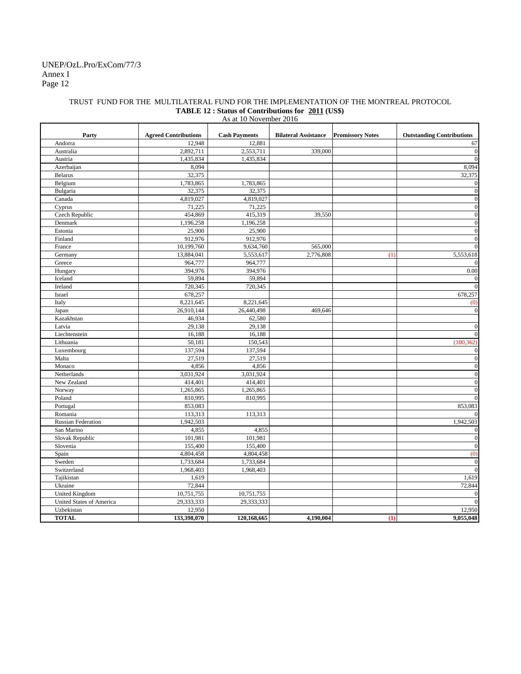## Annex I Page 12 UNEP/OzL.Pro/ExCom/77/3

#### TRUST FUND FOR THE MULTILATERAL FUND FOR THE IMPLEMENTATION OF THE MONTREAL PROTOCOL **TABLE 12 : Status of Contributions for 2011 (US\$)** As at 10 November 2016

| 12,948<br>12,881<br>Andorra<br>Australia<br>2,892,711<br>2,553,711<br>339,000<br>Austria<br>1,435,834<br>1,435,834<br>8,094<br>Azerbaijan<br>32,375<br><b>Belarus</b><br>Belgium<br>1,783,865<br>1,783,865<br>Bulgaria<br>32,375<br>32,375<br>Canada<br>4,819,027<br>4,819,027<br>71,225<br>Cyprus<br>71,225<br>Czech Republic<br>454,869<br>415,319<br>39,550<br>Denmark<br>1,196,258<br>1,196,258<br>25,900<br>25,900<br>Estonia<br>912,976<br>Finland<br>912,976<br>France<br>10,199,760<br>9,634,760<br>565,000<br>2,776,808<br>5,553,618<br>Germany<br>13,884,041<br>5,553,617<br>(1)<br>Greece<br>964,777<br>964,777<br>394,976<br>394,976<br>0.00<br>Hungary<br>59,894<br>Iceland<br>59,894<br>720,345<br>720,345<br>Ireland<br>678,257<br>678,257<br>Israel<br>Italy<br>8,221,645<br>8,221,645<br>(0)<br>26,910,144<br>26,440,498<br>469,646<br>Japan<br>46,934<br>62,580<br>Kazakhstan<br>Latvia<br>29,138<br>29,138<br>Liechtenstein<br>16,188<br>16,188<br>150,543<br>Lithuania<br>50,181<br>(100, 362)<br>137,594<br>Luxembourg<br>137,594<br>27,519<br>Malta<br>27,519<br>Monaco<br>4,856<br>4,856<br>3,031,924<br>3,031,924<br>Netherlands<br>New Zealand<br>414,401<br>414,401<br>1,265,865<br>Norway<br>1,265,865<br>Poland<br>810,995<br>810,995<br>853,083<br>853,083<br>Portugal<br>113,313<br>113,313<br>Romania<br>1,942,503<br>1,942,503<br><b>Russian Federation</b><br>San Marino<br>4,855<br>4,855<br>101,981<br>Slovak Republic<br>101,981<br>155,400<br>155,400<br>Slovenia<br>4,804,458<br>4,804,458<br>(0)<br>Spain<br>Sweden<br>1,733,684<br>1,733,684<br>Switzerland<br>1,968,403<br>1,968,403<br>Tajikistan<br>1,619<br>1,619<br>72,844<br>Ukraine<br>72,844<br><b>United Kingdom</b><br>10,751,755<br>10,751,755<br>United States of America<br>29,333,333<br>29,333,333<br>Uzbekistan<br>12,950<br>12,950 | Party        | <b>Agreed Contributions</b> | <b>Cash Payments</b> | <b>Bilateral Assistance</b> | <b>Promissory Notes</b> | <b>Outstanding Contributions</b> |
|---------------------------------------------------------------------------------------------------------------------------------------------------------------------------------------------------------------------------------------------------------------------------------------------------------------------------------------------------------------------------------------------------------------------------------------------------------------------------------------------------------------------------------------------------------------------------------------------------------------------------------------------------------------------------------------------------------------------------------------------------------------------------------------------------------------------------------------------------------------------------------------------------------------------------------------------------------------------------------------------------------------------------------------------------------------------------------------------------------------------------------------------------------------------------------------------------------------------------------------------------------------------------------------------------------------------------------------------------------------------------------------------------------------------------------------------------------------------------------------------------------------------------------------------------------------------------------------------------------------------------------------------------------------------------------------------------------------------------------------------------------------------------------------------------------------------------------------------|--------------|-----------------------------|----------------------|-----------------------------|-------------------------|----------------------------------|
|                                                                                                                                                                                                                                                                                                                                                                                                                                                                                                                                                                                                                                                                                                                                                                                                                                                                                                                                                                                                                                                                                                                                                                                                                                                                                                                                                                                                                                                                                                                                                                                                                                                                                                                                                                                                                                             |              |                             |                      |                             |                         | 67                               |
|                                                                                                                                                                                                                                                                                                                                                                                                                                                                                                                                                                                                                                                                                                                                                                                                                                                                                                                                                                                                                                                                                                                                                                                                                                                                                                                                                                                                                                                                                                                                                                                                                                                                                                                                                                                                                                             |              |                             |                      |                             |                         | $\mathbf{0}$                     |
|                                                                                                                                                                                                                                                                                                                                                                                                                                                                                                                                                                                                                                                                                                                                                                                                                                                                                                                                                                                                                                                                                                                                                                                                                                                                                                                                                                                                                                                                                                                                                                                                                                                                                                                                                                                                                                             |              |                             |                      |                             |                         | $\mathbf{0}$                     |
|                                                                                                                                                                                                                                                                                                                                                                                                                                                                                                                                                                                                                                                                                                                                                                                                                                                                                                                                                                                                                                                                                                                                                                                                                                                                                                                                                                                                                                                                                                                                                                                                                                                                                                                                                                                                                                             |              |                             |                      |                             |                         | 8,094                            |
|                                                                                                                                                                                                                                                                                                                                                                                                                                                                                                                                                                                                                                                                                                                                                                                                                                                                                                                                                                                                                                                                                                                                                                                                                                                                                                                                                                                                                                                                                                                                                                                                                                                                                                                                                                                                                                             |              |                             |                      |                             |                         | 32,375                           |
|                                                                                                                                                                                                                                                                                                                                                                                                                                                                                                                                                                                                                                                                                                                                                                                                                                                                                                                                                                                                                                                                                                                                                                                                                                                                                                                                                                                                                                                                                                                                                                                                                                                                                                                                                                                                                                             |              |                             |                      |                             |                         | $\bf{0}$                         |
|                                                                                                                                                                                                                                                                                                                                                                                                                                                                                                                                                                                                                                                                                                                                                                                                                                                                                                                                                                                                                                                                                                                                                                                                                                                                                                                                                                                                                                                                                                                                                                                                                                                                                                                                                                                                                                             |              |                             |                      |                             |                         | $\mathbf{0}$                     |
|                                                                                                                                                                                                                                                                                                                                                                                                                                                                                                                                                                                                                                                                                                                                                                                                                                                                                                                                                                                                                                                                                                                                                                                                                                                                                                                                                                                                                                                                                                                                                                                                                                                                                                                                                                                                                                             |              |                             |                      |                             |                         | $\mathbf{0}$                     |
|                                                                                                                                                                                                                                                                                                                                                                                                                                                                                                                                                                                                                                                                                                                                                                                                                                                                                                                                                                                                                                                                                                                                                                                                                                                                                                                                                                                                                                                                                                                                                                                                                                                                                                                                                                                                                                             |              |                             |                      |                             |                         | $\mathbf{0}$                     |
|                                                                                                                                                                                                                                                                                                                                                                                                                                                                                                                                                                                                                                                                                                                                                                                                                                                                                                                                                                                                                                                                                                                                                                                                                                                                                                                                                                                                                                                                                                                                                                                                                                                                                                                                                                                                                                             |              |                             |                      |                             |                         | $\mathbf{0}$                     |
|                                                                                                                                                                                                                                                                                                                                                                                                                                                                                                                                                                                                                                                                                                                                                                                                                                                                                                                                                                                                                                                                                                                                                                                                                                                                                                                                                                                                                                                                                                                                                                                                                                                                                                                                                                                                                                             |              |                             |                      |                             |                         | $\mathbf{0}$                     |
|                                                                                                                                                                                                                                                                                                                                                                                                                                                                                                                                                                                                                                                                                                                                                                                                                                                                                                                                                                                                                                                                                                                                                                                                                                                                                                                                                                                                                                                                                                                                                                                                                                                                                                                                                                                                                                             |              |                             |                      |                             |                         | $\mathbf{0}$                     |
|                                                                                                                                                                                                                                                                                                                                                                                                                                                                                                                                                                                                                                                                                                                                                                                                                                                                                                                                                                                                                                                                                                                                                                                                                                                                                                                                                                                                                                                                                                                                                                                                                                                                                                                                                                                                                                             |              |                             |                      |                             |                         | $\mathbf{0}$                     |
|                                                                                                                                                                                                                                                                                                                                                                                                                                                                                                                                                                                                                                                                                                                                                                                                                                                                                                                                                                                                                                                                                                                                                                                                                                                                                                                                                                                                                                                                                                                                                                                                                                                                                                                                                                                                                                             |              |                             |                      |                             |                         | $\overline{0}$                   |
|                                                                                                                                                                                                                                                                                                                                                                                                                                                                                                                                                                                                                                                                                                                                                                                                                                                                                                                                                                                                                                                                                                                                                                                                                                                                                                                                                                                                                                                                                                                                                                                                                                                                                                                                                                                                                                             |              |                             |                      |                             |                         |                                  |
|                                                                                                                                                                                                                                                                                                                                                                                                                                                                                                                                                                                                                                                                                                                                                                                                                                                                                                                                                                                                                                                                                                                                                                                                                                                                                                                                                                                                                                                                                                                                                                                                                                                                                                                                                                                                                                             |              |                             |                      |                             |                         | $\overline{0}$                   |
|                                                                                                                                                                                                                                                                                                                                                                                                                                                                                                                                                                                                                                                                                                                                                                                                                                                                                                                                                                                                                                                                                                                                                                                                                                                                                                                                                                                                                                                                                                                                                                                                                                                                                                                                                                                                                                             |              |                             |                      |                             |                         |                                  |
|                                                                                                                                                                                                                                                                                                                                                                                                                                                                                                                                                                                                                                                                                                                                                                                                                                                                                                                                                                                                                                                                                                                                                                                                                                                                                                                                                                                                                                                                                                                                                                                                                                                                                                                                                                                                                                             |              |                             |                      |                             |                         | $\overline{0}$                   |
|                                                                                                                                                                                                                                                                                                                                                                                                                                                                                                                                                                                                                                                                                                                                                                                                                                                                                                                                                                                                                                                                                                                                                                                                                                                                                                                                                                                                                                                                                                                                                                                                                                                                                                                                                                                                                                             |              |                             |                      |                             |                         | $\mathbf{0}$                     |
|                                                                                                                                                                                                                                                                                                                                                                                                                                                                                                                                                                                                                                                                                                                                                                                                                                                                                                                                                                                                                                                                                                                                                                                                                                                                                                                                                                                                                                                                                                                                                                                                                                                                                                                                                                                                                                             |              |                             |                      |                             |                         |                                  |
|                                                                                                                                                                                                                                                                                                                                                                                                                                                                                                                                                                                                                                                                                                                                                                                                                                                                                                                                                                                                                                                                                                                                                                                                                                                                                                                                                                                                                                                                                                                                                                                                                                                                                                                                                                                                                                             |              |                             |                      |                             |                         |                                  |
|                                                                                                                                                                                                                                                                                                                                                                                                                                                                                                                                                                                                                                                                                                                                                                                                                                                                                                                                                                                                                                                                                                                                                                                                                                                                                                                                                                                                                                                                                                                                                                                                                                                                                                                                                                                                                                             |              |                             |                      |                             |                         | $\mathbf{0}$                     |
|                                                                                                                                                                                                                                                                                                                                                                                                                                                                                                                                                                                                                                                                                                                                                                                                                                                                                                                                                                                                                                                                                                                                                                                                                                                                                                                                                                                                                                                                                                                                                                                                                                                                                                                                                                                                                                             |              |                             |                      |                             |                         |                                  |
|                                                                                                                                                                                                                                                                                                                                                                                                                                                                                                                                                                                                                                                                                                                                                                                                                                                                                                                                                                                                                                                                                                                                                                                                                                                                                                                                                                                                                                                                                                                                                                                                                                                                                                                                                                                                                                             |              |                             |                      |                             |                         | $\overline{0}$                   |
|                                                                                                                                                                                                                                                                                                                                                                                                                                                                                                                                                                                                                                                                                                                                                                                                                                                                                                                                                                                                                                                                                                                                                                                                                                                                                                                                                                                                                                                                                                                                                                                                                                                                                                                                                                                                                                             |              |                             |                      |                             |                         | $\overline{0}$                   |
|                                                                                                                                                                                                                                                                                                                                                                                                                                                                                                                                                                                                                                                                                                                                                                                                                                                                                                                                                                                                                                                                                                                                                                                                                                                                                                                                                                                                                                                                                                                                                                                                                                                                                                                                                                                                                                             |              |                             |                      |                             |                         |                                  |
|                                                                                                                                                                                                                                                                                                                                                                                                                                                                                                                                                                                                                                                                                                                                                                                                                                                                                                                                                                                                                                                                                                                                                                                                                                                                                                                                                                                                                                                                                                                                                                                                                                                                                                                                                                                                                                             |              |                             |                      |                             |                         | $\boldsymbol{0}$                 |
|                                                                                                                                                                                                                                                                                                                                                                                                                                                                                                                                                                                                                                                                                                                                                                                                                                                                                                                                                                                                                                                                                                                                                                                                                                                                                                                                                                                                                                                                                                                                                                                                                                                                                                                                                                                                                                             |              |                             |                      |                             |                         | $\overline{0}$                   |
|                                                                                                                                                                                                                                                                                                                                                                                                                                                                                                                                                                                                                                                                                                                                                                                                                                                                                                                                                                                                                                                                                                                                                                                                                                                                                                                                                                                                                                                                                                                                                                                                                                                                                                                                                                                                                                             |              |                             |                      |                             |                         | $\mathbf{0}$                     |
|                                                                                                                                                                                                                                                                                                                                                                                                                                                                                                                                                                                                                                                                                                                                                                                                                                                                                                                                                                                                                                                                                                                                                                                                                                                                                                                                                                                                                                                                                                                                                                                                                                                                                                                                                                                                                                             |              |                             |                      |                             |                         | $\overline{0}$                   |
|                                                                                                                                                                                                                                                                                                                                                                                                                                                                                                                                                                                                                                                                                                                                                                                                                                                                                                                                                                                                                                                                                                                                                                                                                                                                                                                                                                                                                                                                                                                                                                                                                                                                                                                                                                                                                                             |              |                             |                      |                             |                         | $\overline{0}$                   |
|                                                                                                                                                                                                                                                                                                                                                                                                                                                                                                                                                                                                                                                                                                                                                                                                                                                                                                                                                                                                                                                                                                                                                                                                                                                                                                                                                                                                                                                                                                                                                                                                                                                                                                                                                                                                                                             |              |                             |                      |                             |                         | $\overline{0}$                   |
|                                                                                                                                                                                                                                                                                                                                                                                                                                                                                                                                                                                                                                                                                                                                                                                                                                                                                                                                                                                                                                                                                                                                                                                                                                                                                                                                                                                                                                                                                                                                                                                                                                                                                                                                                                                                                                             |              |                             |                      |                             |                         | $\overline{0}$                   |
|                                                                                                                                                                                                                                                                                                                                                                                                                                                                                                                                                                                                                                                                                                                                                                                                                                                                                                                                                                                                                                                                                                                                                                                                                                                                                                                                                                                                                                                                                                                                                                                                                                                                                                                                                                                                                                             |              |                             |                      |                             |                         |                                  |
|                                                                                                                                                                                                                                                                                                                                                                                                                                                                                                                                                                                                                                                                                                                                                                                                                                                                                                                                                                                                                                                                                                                                                                                                                                                                                                                                                                                                                                                                                                                                                                                                                                                                                                                                                                                                                                             |              |                             |                      |                             |                         | $\Omega$                         |
|                                                                                                                                                                                                                                                                                                                                                                                                                                                                                                                                                                                                                                                                                                                                                                                                                                                                                                                                                                                                                                                                                                                                                                                                                                                                                                                                                                                                                                                                                                                                                                                                                                                                                                                                                                                                                                             |              |                             |                      |                             |                         |                                  |
|                                                                                                                                                                                                                                                                                                                                                                                                                                                                                                                                                                                                                                                                                                                                                                                                                                                                                                                                                                                                                                                                                                                                                                                                                                                                                                                                                                                                                                                                                                                                                                                                                                                                                                                                                                                                                                             |              |                             |                      |                             |                         | $\mathbf{0}$                     |
|                                                                                                                                                                                                                                                                                                                                                                                                                                                                                                                                                                                                                                                                                                                                                                                                                                                                                                                                                                                                                                                                                                                                                                                                                                                                                                                                                                                                                                                                                                                                                                                                                                                                                                                                                                                                                                             |              |                             |                      |                             |                         | $\mathbf{0}$                     |
|                                                                                                                                                                                                                                                                                                                                                                                                                                                                                                                                                                                                                                                                                                                                                                                                                                                                                                                                                                                                                                                                                                                                                                                                                                                                                                                                                                                                                                                                                                                                                                                                                                                                                                                                                                                                                                             |              |                             |                      |                             |                         | $\boldsymbol{0}$                 |
|                                                                                                                                                                                                                                                                                                                                                                                                                                                                                                                                                                                                                                                                                                                                                                                                                                                                                                                                                                                                                                                                                                                                                                                                                                                                                                                                                                                                                                                                                                                                                                                                                                                                                                                                                                                                                                             |              |                             |                      |                             |                         |                                  |
|                                                                                                                                                                                                                                                                                                                                                                                                                                                                                                                                                                                                                                                                                                                                                                                                                                                                                                                                                                                                                                                                                                                                                                                                                                                                                                                                                                                                                                                                                                                                                                                                                                                                                                                                                                                                                                             |              |                             |                      |                             |                         | $\boldsymbol{0}$                 |
|                                                                                                                                                                                                                                                                                                                                                                                                                                                                                                                                                                                                                                                                                                                                                                                                                                                                                                                                                                                                                                                                                                                                                                                                                                                                                                                                                                                                                                                                                                                                                                                                                                                                                                                                                                                                                                             |              |                             |                      |                             |                         | $\overline{0}$                   |
|                                                                                                                                                                                                                                                                                                                                                                                                                                                                                                                                                                                                                                                                                                                                                                                                                                                                                                                                                                                                                                                                                                                                                                                                                                                                                                                                                                                                                                                                                                                                                                                                                                                                                                                                                                                                                                             |              |                             |                      |                             |                         |                                  |
|                                                                                                                                                                                                                                                                                                                                                                                                                                                                                                                                                                                                                                                                                                                                                                                                                                                                                                                                                                                                                                                                                                                                                                                                                                                                                                                                                                                                                                                                                                                                                                                                                                                                                                                                                                                                                                             |              |                             |                      |                             |                         |                                  |
|                                                                                                                                                                                                                                                                                                                                                                                                                                                                                                                                                                                                                                                                                                                                                                                                                                                                                                                                                                                                                                                                                                                                                                                                                                                                                                                                                                                                                                                                                                                                                                                                                                                                                                                                                                                                                                             |              |                             |                      |                             |                         | $\mathbf{0}$                     |
|                                                                                                                                                                                                                                                                                                                                                                                                                                                                                                                                                                                                                                                                                                                                                                                                                                                                                                                                                                                                                                                                                                                                                                                                                                                                                                                                                                                                                                                                                                                                                                                                                                                                                                                                                                                                                                             |              |                             |                      |                             |                         | $\overline{0}$                   |
|                                                                                                                                                                                                                                                                                                                                                                                                                                                                                                                                                                                                                                                                                                                                                                                                                                                                                                                                                                                                                                                                                                                                                                                                                                                                                                                                                                                                                                                                                                                                                                                                                                                                                                                                                                                                                                             |              |                             |                      |                             |                         |                                  |
|                                                                                                                                                                                                                                                                                                                                                                                                                                                                                                                                                                                                                                                                                                                                                                                                                                                                                                                                                                                                                                                                                                                                                                                                                                                                                                                                                                                                                                                                                                                                                                                                                                                                                                                                                                                                                                             | <b>TOTAL</b> | 133,398,070                 | 120,168,665          | 4,190,004                   | (1)                     | 9,055,048                        |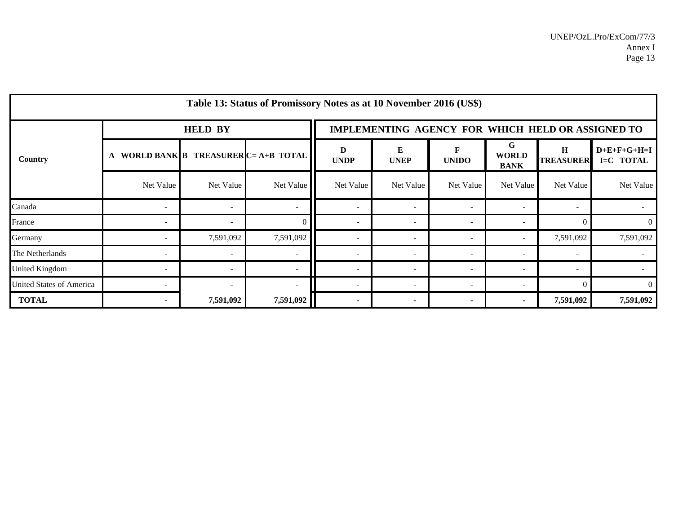|                                 |           |                | Table 13: Status of Promissory Notes as at 10 November 2016 (US\$) |                                                   |                          |                          |                                  |                          |                            |  |  |
|---------------------------------|-----------|----------------|--------------------------------------------------------------------|---------------------------------------------------|--------------------------|--------------------------|----------------------------------|--------------------------|----------------------------|--|--|
| Country                         |           | <b>HELD BY</b> |                                                                    | IMPLEMENTING AGENCY FOR WHICH HELD OR ASSIGNED TO |                          |                          |                                  |                          |                            |  |  |
|                                 | A         |                | WORLD BANK B TREASURER $C = A + B$ TOTAL                           | D<br><b>UNDP</b>                                  | ${\bf E}$<br><b>UNEP</b> | F<br><b>UNIDO</b>        | G<br><b>WORLD</b><br><b>BANK</b> | H<br><b>TREASURER</b>    | $D+E+F+G+H=I$<br>I=C TOTAL |  |  |
|                                 | Net Value | Net Value      | Net Value                                                          | Net Value                                         | Net Value                | Net Value                | Net Value                        | Net Value                | Net Value                  |  |  |
| Canada                          |           |                |                                                                    | $\sim$                                            |                          | $\overline{\phantom{a}}$ |                                  |                          |                            |  |  |
| France                          |           |                | ∩                                                                  | $\overline{\phantom{a}}$                          |                          |                          |                                  | $\Omega$                 | $\overline{0}$             |  |  |
| Germany                         |           | 7,591,092      | 7,591,092                                                          | $\overline{\phantom{a}}$                          |                          | $\overline{\phantom{a}}$ |                                  | 7,591,092                | 7,591,092                  |  |  |
| The Netherlands                 |           |                |                                                                    | $\sim$                                            | $\overline{\phantom{a}}$ | $\overline{\phantom{a}}$ | $\overline{\phantom{a}}$         |                          |                            |  |  |
| United Kingdom                  |           |                |                                                                    | $\overline{\phantom{a}}$                          |                          | $\overline{\phantom{a}}$ | $\overline{\phantom{a}}$         | $\overline{\phantom{a}}$ |                            |  |  |
| <b>United States of America</b> |           |                | $\blacksquare$                                                     | $\overline{\phantom{a}}$                          |                          |                          |                                  | $\Omega$                 | $\Omega$                   |  |  |
| <b>TOTAL</b>                    |           | 7,591,092      | 7,591,092                                                          | $\blacksquare$                                    |                          |                          |                                  | 7,591,092                | 7,591,092                  |  |  |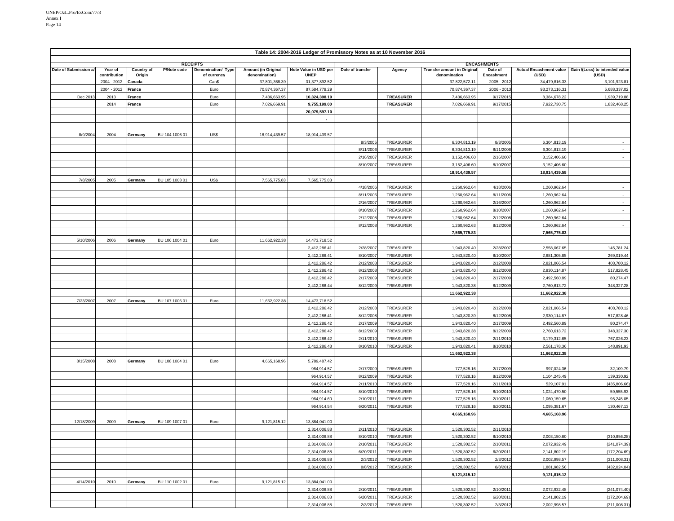| Table 14: 2004-2016 Ledger of Promissory Notes as at 10 November 2016 |                         |                      |                 |                                   |                                             |                                      |                        |                        |                                                    |                        |                                         |                                         |
|-----------------------------------------------------------------------|-------------------------|----------------------|-----------------|-----------------------------------|---------------------------------------------|--------------------------------------|------------------------|------------------------|----------------------------------------------------|------------------------|-----------------------------------------|-----------------------------------------|
|                                                                       |                         |                      | <b>RECEIPTS</b> |                                   |                                             |                                      |                        |                        |                                                    | <b>ENCASHMENTS</b>     |                                         |                                         |
| Date of Submission a                                                  | Year of<br>contribution | Country of<br>Origin | P/Note code     | Denomination/ Type<br>of currency | <b>Amount (in Original</b><br>denomination) | Note Value in USD per<br><b>UNEP</b> | Date of transfer       | Agency                 | <b>Transfer amount in Original</b><br>denomination | Date of<br>Encashment  | <b>Actual Encashment value</b><br>(USD) | Gain /(Loss) to intended value<br>(USD) |
|                                                                       | 2004 - 2012             | Canada               |                 | Can\$                             | 37,801,368.39                               | 31,377,892.52                        |                        |                        | 37,822,572.11                                      | 2005 - 2012            | 34,479,816.33                           | 3,101,923.81                            |
|                                                                       | 2004 - 2012             | France               |                 | Euro                              | 70,874,367.37                               | 87,584,779.29                        |                        |                        | 70,874,367.37                                      | 2006 - 2013            | 93,273,116.31                           | 5,688,337.02                            |
| Dec.201                                                               | 2013                    | France               |                 | Euro                              | 7,436,663.95                                | 10,324,398.10                        |                        | <b>TREASURER</b>       | 7,436,663.95                                       | 9/17/201               | 8,384,678.22                            | 1,939,719.88                            |
|                                                                       | 2014                    | France               |                 | Euro                              | 7,026,669.91                                | 9,755,199.00                         |                        | <b>TREASURER</b>       | 7,026,669.91                                       | 9/17/201               | 7,922,730.75                            | 1,832,468.25                            |
|                                                                       |                         |                      |                 |                                   |                                             | 20,079,597.10                        |                        |                        |                                                    |                        |                                         |                                         |
|                                                                       |                         |                      |                 |                                   |                                             | $\overline{\phantom{a}}$             |                        |                        |                                                    |                        |                                         |                                         |
|                                                                       |                         |                      |                 |                                   |                                             |                                      |                        |                        |                                                    |                        |                                         |                                         |
| 8/9/2004                                                              | 2004                    | Germany              | BU 104 1006 01  | US\$                              | 18,914,439.57                               | 18,914,439.57                        |                        |                        |                                                    |                        |                                         |                                         |
|                                                                       |                         |                      |                 |                                   |                                             |                                      | 8/3/2005<br>8/11/2006  | TREASURER<br>TREASURER | 6,304,813.19<br>6,304,813.19                       | 8/3/2005<br>8/11/2006  | 6,304,813.19<br>6,304,813.19            |                                         |
|                                                                       |                         |                      |                 |                                   |                                             |                                      | 2/16/2007              | TREASURER              | 3,152,406.60                                       | 2/16/2007              | 3,152,406.60                            | $\overline{\phantom{a}}$                |
|                                                                       |                         |                      |                 |                                   |                                             |                                      | 8/10/2007              | TREASURER              | 3.152.406.60                                       | 8/10/2007              | 3.152.406.60                            |                                         |
|                                                                       |                         |                      |                 |                                   |                                             |                                      |                        |                        | 18,914,439.57                                      |                        | 18,914,439.58                           |                                         |
| 7/8/2005                                                              | 2005                    | Germany              | BU 105 1003 01  | US\$                              | 7,565,775.83                                | 7,565,775.83                         |                        |                        |                                                    |                        |                                         |                                         |
|                                                                       |                         |                      |                 |                                   |                                             |                                      | 4/18/2006              | TREASURER              | 1,260,962.64                                       | 4/18/2006              | 1,260,962.64                            |                                         |
|                                                                       |                         |                      |                 |                                   |                                             |                                      | 8/11/2006              | TREASURER              | 1,260,962.64                                       | 8/11/2006              | 1,260,962.64                            | $\sim$                                  |
|                                                                       |                         |                      |                 |                                   |                                             |                                      | 2/16/2007              | TREASURER              | 1,260,962.64                                       | 2/16/2007              | 1,260,962.64                            | $\sim$                                  |
|                                                                       |                         |                      |                 |                                   |                                             |                                      | 8/10/200               | TREASURER              | 1,260,962.64                                       | 8/10/2007              | 1,260,962.64                            | $\sim$                                  |
|                                                                       |                         |                      |                 |                                   |                                             |                                      | 2/12/200               | TREASURER              | 1.260.962.64                                       | 2/12/2008              | 1,260,962.64                            | $\sim$                                  |
|                                                                       |                         |                      |                 |                                   |                                             |                                      | 8/12/2008              | TREASURER              | 1,260,962.63                                       | 8/12/2008              | 1,260,962.64                            |                                         |
|                                                                       |                         |                      |                 |                                   |                                             |                                      |                        |                        | 7,565,775.83                                       |                        | 7,565,775.83                            |                                         |
| 5/10/2006                                                             | 2006                    | Germany              | BU 106 1004 01  | Euro                              | 11,662,922.38                               | 14,473,718.52                        |                        |                        |                                                    |                        |                                         |                                         |
|                                                                       |                         |                      |                 |                                   |                                             | 2,412,286.41                         | 2/28/2007              | TREASURER              | 1,943,820.40                                       | 2/28/2007              | 2,558,067.65                            | 145,781.24                              |
|                                                                       |                         |                      |                 |                                   |                                             | 2,412,286.41<br>2,412,286.42         | 8/10/2007<br>2/12/2008 | TREASURER<br>TREASURER | 1,943,820.40<br>1,943,820.40                       | 8/10/2007<br>2/12/2008 | 2,681,305.85<br>2,821,066.54            | 269,019.44<br>408,780.12                |
|                                                                       |                         |                      |                 |                                   |                                             | 2,412,286.42                         | 8/12/2008              | TREASURER              | 1,943,820.40                                       | 8/12/2008              | 2,930,114.87                            | 517,828.45                              |
|                                                                       |                         |                      |                 |                                   |                                             | 2,412,286.42                         | 2/17/2009              | TREASURER              | 1,943,820.40                                       | 2/17/2009              | 2,492,560.89                            | 80,274.47                               |
|                                                                       |                         |                      |                 |                                   |                                             | 2,412,286.44                         | 8/12/2009              | TREASURER              | 1,943,820.38                                       | 8/12/2009              | 2,760,613.72                            | 348,327.28                              |
|                                                                       |                         |                      |                 |                                   |                                             |                                      |                        |                        | 11,662,922.38                                      |                        | 11,662,922.38                           |                                         |
| 7/23/2007                                                             | 2007                    | Germany              | BU 107 1006 01  | Euro                              | 11,662,922.38                               | 14,473,718.52                        |                        |                        |                                                    |                        |                                         |                                         |
|                                                                       |                         |                      |                 |                                   |                                             | 2,412,286.42                         | 2/12/2008              | TREASURER              | 1,943,820.40                                       | 2/12/2008              | 2,821,066.54                            | 408,780.12                              |
|                                                                       |                         |                      |                 |                                   |                                             | 2,412,286.41                         | 8/12/2008              | TREASURER              | 1,943,820.39                                       | 8/12/2008              | 2,930,114.87                            | 517,828.46                              |
|                                                                       |                         |                      |                 |                                   |                                             | 2,412,286.42                         | 2/17/2009              | TREASURER              | 1,943,820.40                                       | 2/17/2009              | 2,492,560.89                            | 80,274.47                               |
|                                                                       |                         |                      |                 |                                   |                                             | 2,412,286.42                         | 8/12/2009              | <b>TREASURER</b>       | 1,943,820.38                                       | 8/12/2009              | 2,760,613.72                            | 348,327.30                              |
|                                                                       |                         |                      |                 |                                   |                                             | 2,412,286.42                         | 2/11/201               | TREASURER              | 1,943,820.40                                       | 2/11/2010              | 3,179,312.65                            | 767,026.23                              |
|                                                                       |                         |                      |                 |                                   |                                             | 2,412,286.43                         | 8/10/201               | TREASURER              | 1,943,820.41                                       | 8/10/2010              | 2,561,178.36                            | 148,891.93                              |
|                                                                       |                         |                      |                 |                                   |                                             |                                      |                        |                        | 11,662,922.38                                      |                        | 11,662,922.38                           |                                         |
| 8/15/2008                                                             | 2008                    | Germany              | BU 108 1004 01  | Euro                              | 4,665,168.96                                | 5,789,487.42                         |                        |                        |                                                    |                        |                                         |                                         |
|                                                                       |                         |                      |                 |                                   |                                             | 964,914.57                           | 2/17/2009              | TREASURER              | 777,528.16                                         | 2/17/2009              | 997,024.36                              | 32,109.79                               |
|                                                                       |                         |                      |                 |                                   |                                             | 964,914.57<br>964,914.57             | 8/12/2009<br>2/11/201  | TREASURER<br>TREASURER | 777,528.16<br>777,528.16                           | 8/12/2009<br>2/11/2010 | 1,104,245.49<br>529,107.91              | 139,330.92<br>(435,806.66               |
|                                                                       |                         |                      |                 |                                   |                                             | 964,914.57                           | 8/10/201               | TREASURER              | 777,528.16                                         | 8/10/2010              | 1,024,470.50                            | 59,555.93                               |
|                                                                       |                         |                      |                 |                                   |                                             | 964,914.60                           | 2/10/201               | TREASURER              | 777,528.16                                         | 2/10/201               | 1,060,159.65                            | 95,245.05                               |
|                                                                       |                         |                      |                 |                                   |                                             | 964,914.54                           | 6/20/201               | TREASURER              | 777,528.16                                         | 6/20/201               | 1,095,381.67                            | 130,467.13                              |
|                                                                       |                         |                      |                 |                                   |                                             |                                      |                        |                        | 4,665,168.96                                       |                        | 4,665,168.96                            |                                         |
| 12/18/2009                                                            | 2009                    | Germany              | BU 109 1007 01  | Euro                              | 9.121.815.12                                | 13,884,041.00                        |                        |                        |                                                    |                        |                                         |                                         |
|                                                                       |                         |                      |                 |                                   |                                             | 2,314,006.88                         | 2/11/2010              | TREASURER              | 1,520,302.52                                       | 2/11/2010              |                                         |                                         |
|                                                                       |                         |                      |                 |                                   |                                             | 2,314,006.88                         | 8/10/2010              | TREASURER              | 1,520,302.52                                       | 8/10/2010              | 2,003,150.60                            | (310, 856.28)                           |
|                                                                       |                         |                      |                 |                                   |                                             | 2,314,006.88                         | 2/10/201               | TREASURER              | 1,520,302.52                                       | 2/10/2011              | 2,072,932.49                            | (241,074.39                             |
|                                                                       |                         |                      |                 |                                   |                                             | 2,314,006.88                         | 6/20/201               | TREASURER              | 1,520,302.52                                       | 6/20/201               | 2,141,802.19                            | (172,204.69                             |
|                                                                       |                         |                      |                 |                                   |                                             | 2,314,006.88                         | 2/3/2012               | TREASURER              | 1,520,302.52                                       | 2/3/2012               | 2,002,998.57                            | (311,008.31)                            |
|                                                                       |                         |                      |                 |                                   |                                             | 2,314,006.60                         | 8/8/2012               | TREASURER              | 1,520,302.52                                       | 8/8/2012               | 1,881,982.56                            | (432,024.04                             |
|                                                                       |                         |                      |                 |                                   |                                             |                                      |                        |                        | 9,121,815.12                                       |                        | 9,121,815.12                            |                                         |
| 4/14/2010                                                             | 2010                    | Germany              | BU 110 1002 01  | Euro                              | 9,121,815.12                                | 13,884,041.00<br>2,314,006.88        | 2/10/2011              | TREASURER              | 1,520,302.52                                       |                        | 2,072,932.48                            | (241, 074.40)                           |
|                                                                       |                         |                      |                 |                                   |                                             | 2,314,006.88                         | 6/20/2011              | TREASURER              | 1,520,302.52                                       | 2/10/201<br>6/20/2011  | 2,141,802.19                            | (172, 204.69)                           |
|                                                                       |                         |                      |                 |                                   |                                             | 2,314,006.88                         | 2/3/2012               | TREASURER              | 1,520,302.52                                       | 2/3/2012               | 2,002,998.57                            | (311,008.31)                            |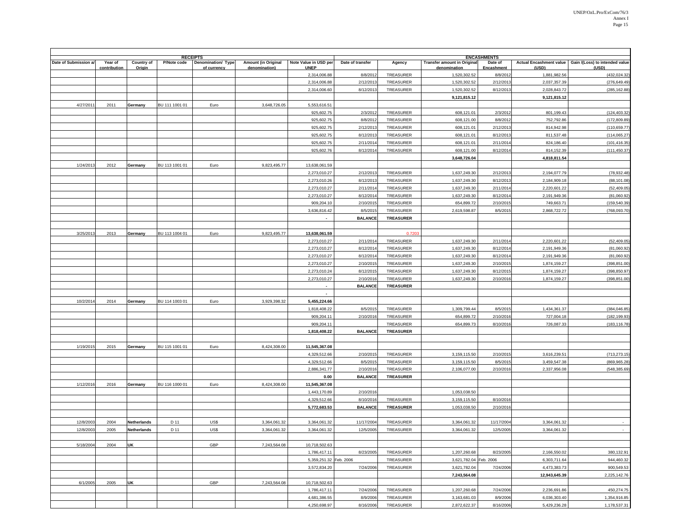|                       | <b>RECEIPTS</b>                |                      |                |                                   |                                      |                                      |                             |                        |                                                    |                                             |                              |                                                                 |
|-----------------------|--------------------------------|----------------------|----------------|-----------------------------------|--------------------------------------|--------------------------------------|-----------------------------|------------------------|----------------------------------------------------|---------------------------------------------|------------------------------|-----------------------------------------------------------------|
| Date of Submission a/ | Year of<br><u>contribution</u> | Country of<br>Origin | P/Note code    | Denomination/ Type<br>of currency | Amount (in Original<br>denomination) | Note Value in USD per<br><b>UNEP</b> | Date of transfer            | Agency                 | <b>Transfer amount in Original</b><br>denomination | <b>ENCASHMENTS</b><br>Date of<br>Encashment | (USD)                        | Actual Encashment value Gain /(Loss) to intended value<br>(USD) |
|                       |                                |                      |                |                                   |                                      | 2,314,006.88                         | 8/8/2012                    | TREASURER              | 1,520,302.52                                       | 8/8/2012                                    | 1,881,982.56                 | (432,024.32                                                     |
|                       |                                |                      |                |                                   |                                      | 2,314,006.88                         | 2/12/2013                   | TREASURER              | 1,520,302.52                                       | 2/12/201                                    | 2,037,357.39                 | (276,649.49)                                                    |
|                       |                                |                      |                |                                   |                                      | 2,314,006.60                         | 8/12/2013                   | TREASURER              | 1,520,302.52                                       | 8/12/201                                    | 2,028,843.72                 | (285, 162.88)                                                   |
|                       |                                |                      |                |                                   |                                      |                                      |                             |                        | 9,121,815.12                                       |                                             | 9,121,815.12                 |                                                                 |
| 4/27/2011             | 2011                           | Germany              | BU 111 1001 01 | Euro                              | 3,648,726.05                         | 5,553,616.51                         |                             |                        |                                                    |                                             |                              |                                                                 |
|                       |                                |                      |                |                                   |                                      | 925,602.75                           | 2/3/2012                    | TREASURER              | 608,121.01                                         | 2/3/201                                     | 801,199.43                   | (124, 403.32)                                                   |
|                       |                                |                      |                |                                   |                                      | 925,602.75                           | 8/8/2012                    | TREASURER              | 608,121.00                                         | 8/8/2012                                    | 752,792.86                   | (172, 809.89)                                                   |
|                       |                                |                      |                |                                   |                                      | 925,602.75                           | 2/12/2013                   | TREASURER              | 608,121.01                                         | 2/12/201                                    | 814,942.98                   | (110,659.77                                                     |
|                       |                                |                      |                |                                   |                                      | 925,602.75                           | 8/12/2013                   | TREASURER              | 608,121.01                                         | 8/12/201                                    | 811,537.48                   | (114,065.27)                                                    |
|                       |                                |                      |                |                                   |                                      | 925,602.75                           | 2/11/201                    | TREASURER              | 608,121.01                                         | 2/11/201                                    | 824,186.40                   | (101, 416.35)                                                   |
|                       |                                |                      |                |                                   |                                      | 925,602.76                           | 8/12/2014                   | TREASURER              | 608,121.00                                         | 8/12/2014                                   | 814,152.39                   | (111, 450.37)                                                   |
|                       |                                |                      |                |                                   |                                      |                                      |                             |                        | 3,648,726.04                                       |                                             | 4,818,811.54                 |                                                                 |
| 1/24/201              | 2012                           | Germany              | BU 113 1001 01 | Euro                              | 9,823,495.77                         | 13,638,061.59                        |                             |                        |                                                    |                                             |                              |                                                                 |
|                       |                                |                      |                |                                   |                                      | 2,273,010.27                         | 2/12/2013                   | TREASURER              | 1,637,249.30                                       | 2/12/201                                    | 2,194,077.79                 | (78, 932.48)                                                    |
|                       |                                |                      |                |                                   |                                      | 2,273,010.26                         | 8/12/2013                   | TREASURER              | 1,637,249.30                                       | 8/12/201                                    | 2,184,909.18                 | (88, 101.08)                                                    |
|                       |                                |                      |                |                                   |                                      | 2,273,010.27                         | 2/11/201                    | TREASURER              | 1,637,249.30                                       | 2/11/201                                    | 2,220,601.22                 | (52, 409.05)                                                    |
|                       |                                |                      |                |                                   |                                      | 2,273,010.27                         | 8/12/2014                   | TREASURER              | 1,637,249.30                                       | 8/12/201                                    | 2,191,949.36                 | (81,060.92)                                                     |
|                       |                                |                      |                |                                   |                                      | 909,204.10                           | 2/10/2015                   | TREASURER              | 654,899.72                                         | 2/10/201                                    | 749,663.71                   | (159, 540.39)                                                   |
|                       |                                |                      |                |                                   |                                      | 3,636,816.42                         | 8/5/2015                    | TREASURER              | 2,619,598.87                                       | 8/5/201                                     | 2,868,722.72                 | (768,093.70                                                     |
|                       |                                |                      |                |                                   |                                      | $\overline{\phantom{a}}$             | <b>BALANCE</b>              | <b>TREASURER</b>       |                                                    |                                             |                              |                                                                 |
|                       |                                |                      |                |                                   |                                      |                                      |                             |                        |                                                    |                                             |                              |                                                                 |
| 3/25/201              | 2013                           | Germany              | BU 113 1004 01 | Euro                              | 9,823,495.77                         | 13,638,061.59                        |                             | 0.720                  |                                                    |                                             |                              |                                                                 |
|                       |                                |                      |                |                                   |                                      | 2,273,010.27                         | 2/11/2014                   | TREASURER              | 1,637,249.30                                       | 2/11/201                                    | 2,220,601.22                 | (52, 409.05)                                                    |
|                       |                                |                      |                |                                   |                                      | 2,273,010.27                         | 8/12/2014                   | TREASURER              | 1,637,249.30                                       | 8/12/201                                    | 2,191,949.36<br>2.191.949.36 | (81,060.92)                                                     |
|                       |                                |                      |                |                                   |                                      | 2,273,010.27                         | 8/12/2014                   | TREASURER              | 1,637,249.30                                       | 8/12/201                                    |                              | (81,060.92)                                                     |
|                       |                                |                      |                |                                   |                                      | 2,273,010.27<br>2,273,010.24         | 2/10/2015<br>8/12/2015      | TREASURER<br>TREASURER | 1,637,249.30<br>1,637,249.30                       | 2/10/2015                                   | 1,874,159.27<br>1,874,159.27 | (398,851.00<br>(398,850.97                                      |
|                       |                                |                      |                |                                   |                                      |                                      |                             | TREASURER              | 1,637,249.30                                       | 8/12/2015                                   | 1,874,159.27                 | (398,851.00                                                     |
|                       |                                |                      |                |                                   |                                      | 2,273,010.27<br>$\blacksquare$       | 2/10/2016<br><b>BALANCE</b> | <b>TREASURER</b>       |                                                    | 2/10/201                                    |                              |                                                                 |
|                       |                                |                      |                |                                   |                                      | $\overline{\phantom{a}}$             |                             |                        |                                                    |                                             |                              |                                                                 |
| 10/2/2014             | 2014                           | Germany              | BU 114 1003 01 | Euro                              | 3,929,398.32                         | 5,455,224.66                         |                             |                        |                                                    |                                             |                              |                                                                 |
|                       |                                |                      |                |                                   |                                      | 1,818,408.22                         | 8/5/2015                    | TREASURER              | 1,309,799.44                                       | 8/5/201                                     | 1,434,361.37                 | (384, 046.85)                                                   |
|                       |                                |                      |                |                                   |                                      | 909,204.11                           | 2/10/2016                   | TREASURER              | 654,899.72                                         | 2/10/201                                    | 727,004.18                   | (182,199.93                                                     |
|                       |                                |                      |                |                                   |                                      | 909,204.11                           |                             | TREASURER              | 654,899.73                                         | 8/10/2016                                   | 726,087.33                   | (183, 116.78)                                                   |
|                       |                                |                      |                |                                   |                                      | 1,818,408.22                         | <b>BALANCE</b>              | <b>TREASURER</b>       |                                                    |                                             |                              |                                                                 |
|                       |                                |                      |                |                                   |                                      |                                      |                             |                        |                                                    |                                             |                              |                                                                 |
| 1/19/201              | 2015                           | Germany              | BU 115 1001 01 | Euro                              | 8,424,308.00                         | 11,545,367.08                        |                             |                        |                                                    |                                             |                              |                                                                 |
|                       |                                |                      |                |                                   |                                      | 4,329,512.66                         | 2/10/201                    | TREASURER              | 3,159,115.50                                       | 2/10/201                                    | 3,616,239.51                 | (713,273.15                                                     |
|                       |                                |                      |                |                                   |                                      | 4,329,512.66                         | 8/5/2015                    | TREASURER              | 3,159,115.50                                       | 8/5/201                                     | 3,459,547.38                 | (869,965.28                                                     |
|                       |                                |                      |                |                                   |                                      | 2,886,341.77                         | 2/10/2016                   | TREASURER              | 2,106,077.00                                       | 2/10/201                                    | 2,337,956.08                 | (548,385.69                                                     |
|                       |                                |                      |                |                                   |                                      | 0.00                                 | <b>BALANCE</b>              | <b>TREASURER</b>       |                                                    |                                             |                              |                                                                 |
| 1/12/201              | 2016                           | Germany              | BU 116 1000 01 | Euro                              | 8,424,308.00                         | 11,545,367.08                        |                             |                        |                                                    |                                             |                              |                                                                 |
|                       |                                |                      |                |                                   |                                      | 1,443,170.89                         | 2/10/2016                   |                        | 1,053,038.50                                       |                                             |                              |                                                                 |
|                       |                                |                      |                |                                   |                                      | 4,329,512.66                         | 8/10/2016                   | TREASURER              | 3,159,115.50                                       | 8/10/201                                    |                              |                                                                 |
|                       |                                |                      |                |                                   |                                      | 5,772,683.53                         | <b>BALANCE</b>              | <b>TREASURER</b>       | 1,053,038.50                                       | 2/10/201                                    |                              |                                                                 |
|                       |                                |                      |                |                                   |                                      |                                      |                             |                        |                                                    |                                             |                              |                                                                 |
| 12/8/2003             | 2004                           | <b>Netherlands</b>   | D 11           | US\$                              | 3,364,061.32                         | 3,364,061.32                         | 11/17/2004                  | TREASURER              | 3,364,061.32                                       | 11/17/200                                   | 3,364,061.32                 |                                                                 |
| 12/8/2003             | 2005                           | <b>Netherlands</b>   | D 11           | US\$                              | 3.364.061.32                         | 3.364.061.32                         | 12/5/2005                   | TREASURER              | 3.364.061.32                                       | 12/5/2005                                   | 3.364.061.32                 |                                                                 |
|                       |                                |                      |                |                                   |                                      |                                      |                             |                        |                                                    |                                             |                              |                                                                 |
| 5/18/200              | 2004                           | UK                   |                | GBP                               | 7.243.564.08                         | 10,718,502.63                        |                             |                        |                                                    |                                             |                              |                                                                 |
|                       |                                |                      |                |                                   |                                      | 1,786,417.11                         | 8/23/2005                   | TREASURER              | 1,207,260.68                                       | 8/23/2005                                   | 2,166,550.02                 | 380,132.91                                                      |
|                       |                                |                      |                |                                   |                                      | 5,359,251.32 Feb. 2006               |                             | TREASURER              | 3,621,782.04 Feb. 2006                             |                                             | 6,303,711.64                 | 944,460.32                                                      |
|                       |                                |                      |                |                                   |                                      | 3,572,834.20                         | 7/24/2006                   | TREASURER              | 3,621,782.04                                       | 7/24/2006                                   | 4,473,383.73                 | 900,549.53                                                      |
|                       |                                |                      |                |                                   |                                      |                                      |                             |                        | 7,243,564.08                                       |                                             | 12,943,645.39                | 2,225,142.76                                                    |
| 6/1/2005              | 2005                           | <b>UK</b>            |                | GBP                               | 7,243,564.08                         | 10,718,502.63                        |                             |                        |                                                    |                                             |                              |                                                                 |
|                       |                                |                      |                |                                   |                                      | 1,786,417.11                         | 7/24/2006                   | TREASURER              | 1,207,260.68                                       | 7/24/2006                                   | 2,236,691.86                 | 450,274.75                                                      |
|                       |                                |                      |                |                                   |                                      | 4,681,386.55                         | 8/9/2006                    | TREASURER              | 3,163,681.03                                       | 8/9/2006                                    | 6,036,303.40                 | 1,354,916.85                                                    |
|                       |                                |                      |                |                                   |                                      | 4,250,698.97                         | 8/16/2006                   | TREASURER              | 2,872,622.37                                       | 8/16/2006                                   | 5,429,236.28                 | 1,178,537.31                                                    |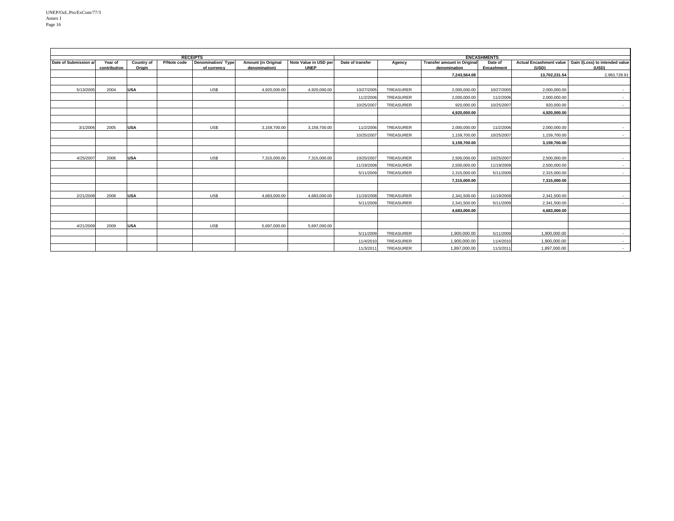| <b>RECEIPTS</b>       |                         |                             |             |                                   |                                             |                                      | <b>ENCASHMENTS</b> |           |                                                    |                       |               |                                                                   |
|-----------------------|-------------------------|-----------------------------|-------------|-----------------------------------|---------------------------------------------|--------------------------------------|--------------------|-----------|----------------------------------------------------|-----------------------|---------------|-------------------------------------------------------------------|
| Date of Submission a/ | Year of<br>contribution | <b>Country of</b><br>Origin | P/Note code | Denomination/ Type<br>of currency | <b>Amount (in Original</b><br>denomination) | Note Value in USD per<br><b>UNEP</b> | Date of transfer   | Agency    | <b>Transfer amount in Original</b><br>denomination | Date of<br>Encashment | (USD)         | Actual Encashment value   Gain /(Loss) to intended value<br>(USD) |
|                       |                         |                             |             |                                   |                                             |                                      |                    |           | 7,243,564.08                                       |                       | 13.702.231.54 | 2,983,728.91                                                      |
|                       |                         |                             |             |                                   |                                             |                                      |                    |           |                                                    |                       |               |                                                                   |
| 5/13/2005             | 2004                    | <b>USA</b>                  |             | US\$                              | 4,920,000.00                                | 4,920,000.00                         | 10/27/2005         | TREASURER | 2,000,000.00                                       | 10/27/2005            | 2,000,000.00  | $\sim$                                                            |
|                       |                         |                             |             |                                   |                                             |                                      | 11/2/2006          | TREASURER | 2,000,000.00                                       | 11/2/2006             | 2,000,000.00  | $\sim$                                                            |
|                       |                         |                             |             |                                   |                                             |                                      | 10/25/2007         | TREASURER | 920,000,00                                         | 10/25/2007            | 920,000,00    | $\sim$                                                            |
|                       |                         |                             |             |                                   |                                             |                                      |                    |           | 4,920,000.00                                       |                       | 4,920,000.00  |                                                                   |
|                       |                         |                             |             |                                   |                                             |                                      |                    |           |                                                    |                       |               |                                                                   |
| 3/1/2006              | 2005                    | <b>USA</b>                  |             | US\$                              | 3,159,700.00                                | 3,159,700.00                         | 11/2/2006          | TREASURER | 2.000.000.00                                       | 11/2/2006             | 2.000.000.00  | $\sim$                                                            |
|                       |                         |                             |             |                                   |                                             |                                      | 10/25/2007         | TREASURER | 1,159,700.00                                       | 10/25/2007            | 1,159,700.00  | $\sim$                                                            |
|                       |                         |                             |             |                                   |                                             |                                      |                    |           | 3,159,700.00                                       |                       | 3,159,700.00  |                                                                   |
|                       |                         |                             |             |                                   |                                             |                                      |                    |           |                                                    |                       |               |                                                                   |
| 4/25/2007             | 2006                    | <b>USA</b>                  |             | US\$                              | 7,315,000.00                                | 7,315,000.00                         | 10/25/2007         | TREASURER | 2,500,000.00                                       | 10/25/2007            | 2,500,000.00  | $\sim$                                                            |
|                       |                         |                             |             |                                   |                                             |                                      | 11/19/2008         | TREASURER | 2.500.000.00                                       | 11/19/2008            | 2.500.000.00  | $\sim$                                                            |
|                       |                         |                             |             |                                   |                                             |                                      | 5/11/2009          | TREASURER | 2,315,000.00                                       | 5/11/2009             | 2,315,000.00  | $\sim 100$                                                        |
|                       |                         |                             |             |                                   |                                             |                                      |                    |           | 7,315,000.00                                       |                       | 7,315,000.00  |                                                                   |
|                       |                         |                             |             |                                   |                                             |                                      |                    |           |                                                    |                       |               |                                                                   |
| 2/21/2008             | 2008                    | <b>USA</b>                  |             | US\$                              | 4,683,000.00                                | 4,683,000.00                         | 11/19/2008         | TREASURER | 2,341,500.00                                       | 11/19/2008            | 2,341,500.00  | $\sim$                                                            |
|                       |                         |                             |             |                                   |                                             |                                      | 5/11/2009          | TREASURER | 2,341,500.00                                       | 5/11/2009             | 2.341.500.00  | $\sim$ 10 $\pm$                                                   |
|                       |                         |                             |             |                                   |                                             |                                      |                    |           | 4,683,000.00                                       |                       | 4,683,000.00  |                                                                   |
|                       |                         |                             |             |                                   |                                             |                                      |                    |           |                                                    |                       |               |                                                                   |
| 4/21/2009             | 2009                    | <b>USA</b>                  |             | US\$                              | 5.697.000.00                                | 5.697.000.00                         |                    |           |                                                    |                       |               |                                                                   |
|                       |                         |                             |             |                                   |                                             |                                      | 5/11/2009          | TREASURER | 1,900,000.00                                       | 5/11/2009             | 1,900,000.00  | $\sim$                                                            |
|                       |                         |                             |             |                                   |                                             |                                      | 11/4/2010          | TREASURER | 1,900,000.00                                       | 11/4/2010             | 1,900,000.00  | $\sim$                                                            |
|                       |                         |                             |             |                                   |                                             |                                      | 11/3/2011          | TREASURER | 1,897,000.00                                       | 11/3/2011             | 1,897,000.00  | $\sim$ 10 $\pm$                                                   |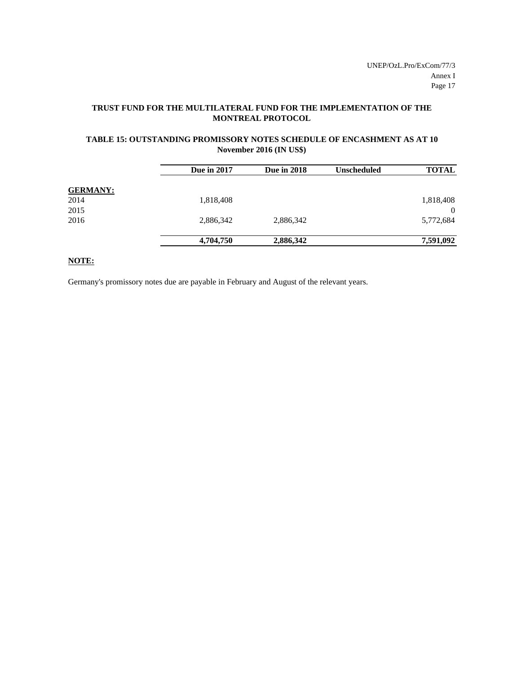## **TRUST FUND FOR THE MULTILATERAL FUND FOR THE IMPLEMENTATION OF THE MONTREAL PROTOCOL**

## **TABLE 15: OUTSTANDING PROMISSORY NOTES SCHEDULE OF ENCASHMENT AS AT 10 November 2016 (IN US\$)**

|                 | <b>Due in 2017</b> | <b>Due in 2018</b> | <b>Unscheduled</b> | <b>TOTAL</b> |
|-----------------|--------------------|--------------------|--------------------|--------------|
| <b>GERMANY:</b> |                    |                    |                    |              |
| 2014            | 1,818,408          |                    |                    | 1,818,408    |
| 2015            |                    |                    |                    | $\Omega$     |
| 2016            | 2,886,342          | 2,886,342          |                    | 5,772,684    |
|                 | 4,704,750          | 2,886,342          |                    | 7,591,092    |

**NOTE:**

Germany's promissory notes due are payable in February and August of the relevant years.